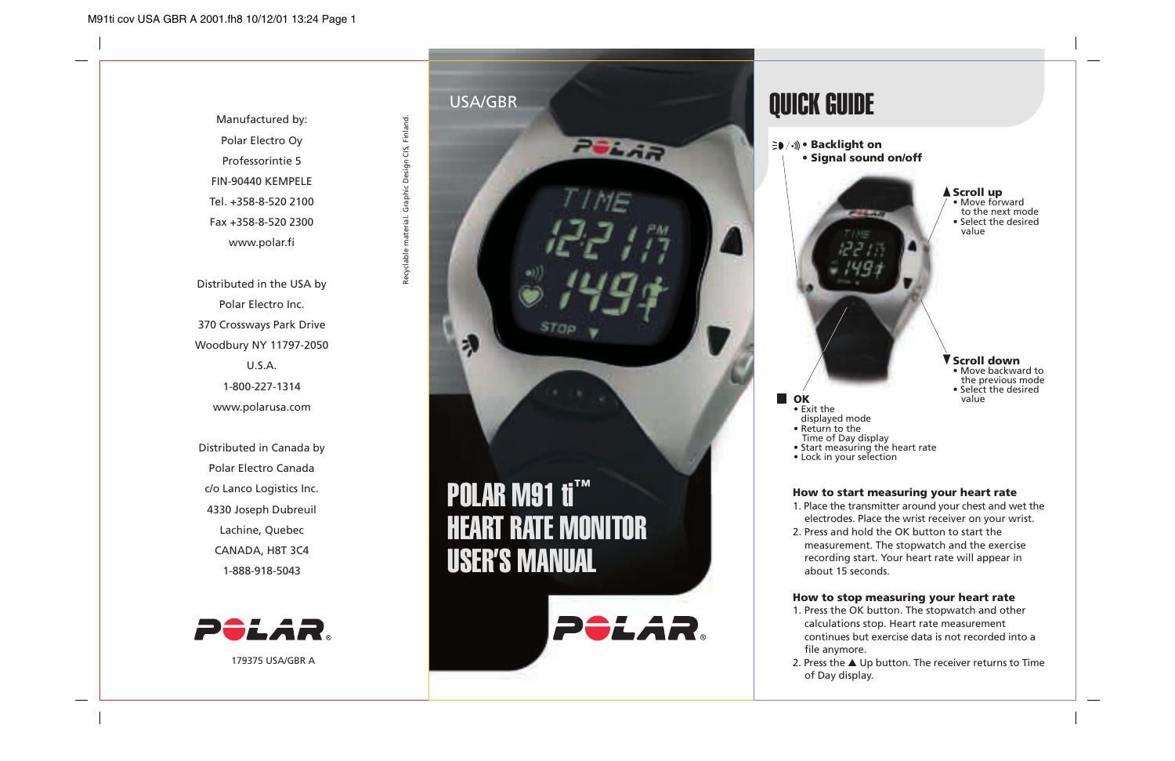Manufactured by: Polar Electro Oy Professorintie 5 FIN-90440 KEMPELE Tel. +358-8-520 2100 Fax +358-8-520 2300 www.polar.fi

Distributed in the USA by Polar Electro Inc. 370 Crossways Park Drive Woodbury NY 11797-2050 U.S.A. 1-800-227-1314 www.polarusa.com

Distributed in Canada by Polar Electro Canada c/o Lanco Logistics Inc. 4330 Joseph Dubreuil Lachine, Quebec CANADA, H8T 3C4 1-888-918-5043



179375 USA/GBR A



USA/GBR

в

POLAR M91 ti ™ HEART RATE MONITOR USER'S MANUAL



# QUICK GUIDE

- **Backlight on**
	- **Signal sound on/off**



**Scroll down** • Move backward to the previous mode

to the next mode

value

• Select the desired value

- 
- Time of Day display
- Start measuring the heart rate
- Lock in your selection

## **How to start measuring your heart rate**

- 1. Place the transmitter around your chest and wet the electrodes. Place the wrist receiver on your wrist.
- 2. Press and hold the OK button to start the measurement. The stopwatch and the exercise recording start. Your heart rate will appear in about 15 seconds.

## **How to stop measuring your heart rate**

- 1. Press the OK button. The stopwatch and other calculations stop. Heart rate measurement continues but exercise data is not recorded into a file anymore.
- 2. Press the ▲ Up button. The receiver returns to Time of Day display.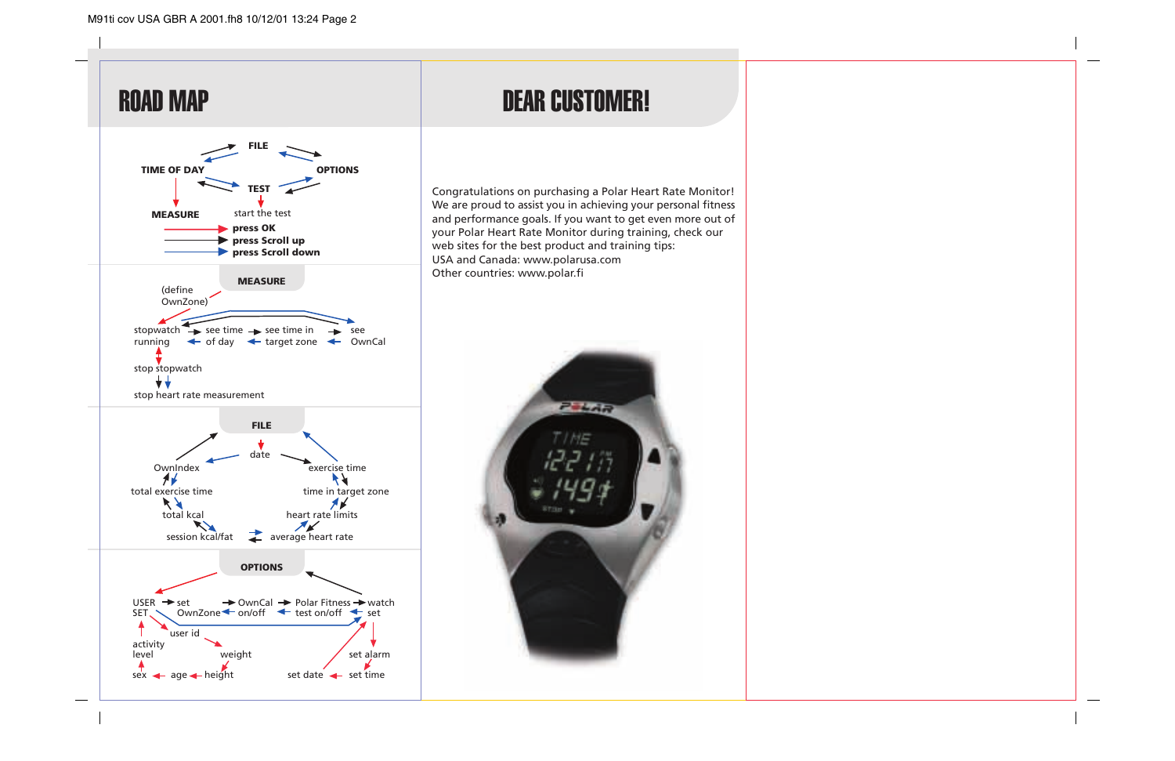## ROAD MAP

# DEAR CUSTOMER!



Congratulations on purchasing a Polar Heart Rate Monitor! We are proud to assist you in achieving your personal fitness and performance goals. If you want to get even more out of your Polar Heart Rate Monitor during training, check our web sites for the best product and training tips: USA and Canada: www.polarusa.com Other countries: www.polar.fi

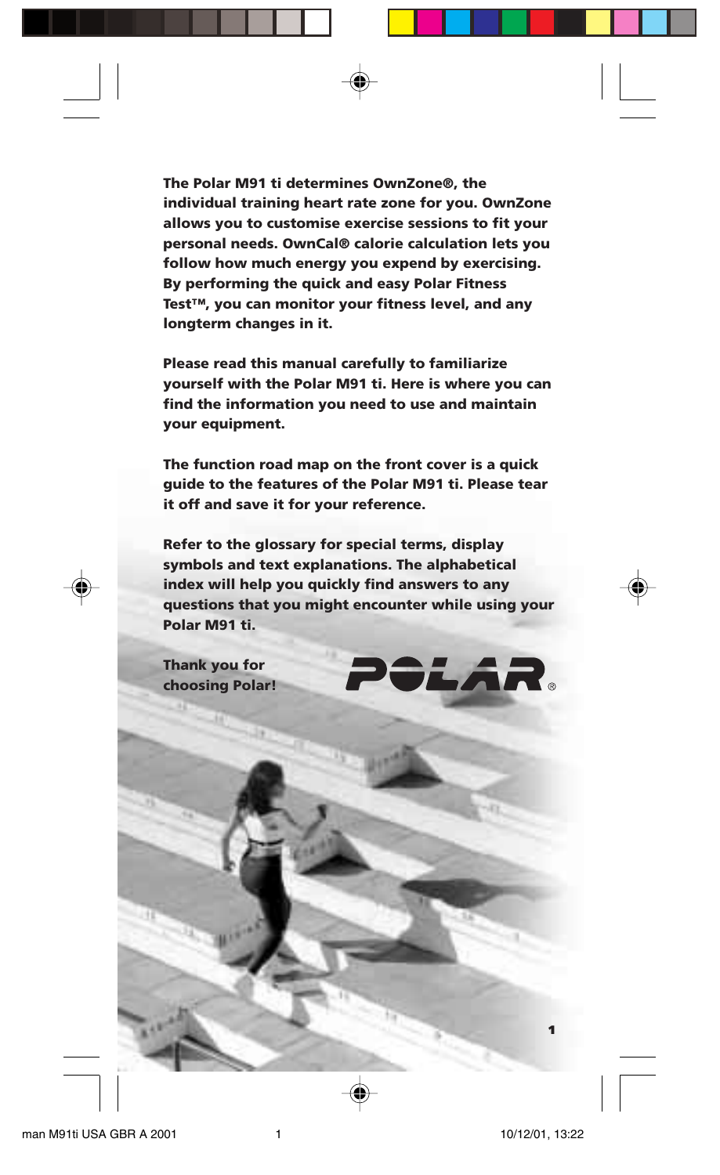**The Polar M91 ti determines OwnZone®, the individual training heart rate zone for you. OwnZone allows you to customise exercise sessions to fit your personal needs. OwnCal® calorie calculation lets you follow how much energy you expend by exercising. By performing the quick and easy Polar Fitness Test™, you can monitor your fitness level, and any longterm changes in it.**

**Please read this manual carefully to familiarize yourself with the Polar M91 ti. Here is where you can find the information you need to use and maintain your equipment.**

**The function road map on the front cover is a quick guide to the features of the Polar M91 ti. Please tear it off and save it for your reference.**

**Refer to the glossary for special terms, display symbols and text explanations. The alphabetical index will help you quickly find answers to any questions that you might encounter while using your Polar M91 ti.**

**Thank you for choosing Polar!**



**1**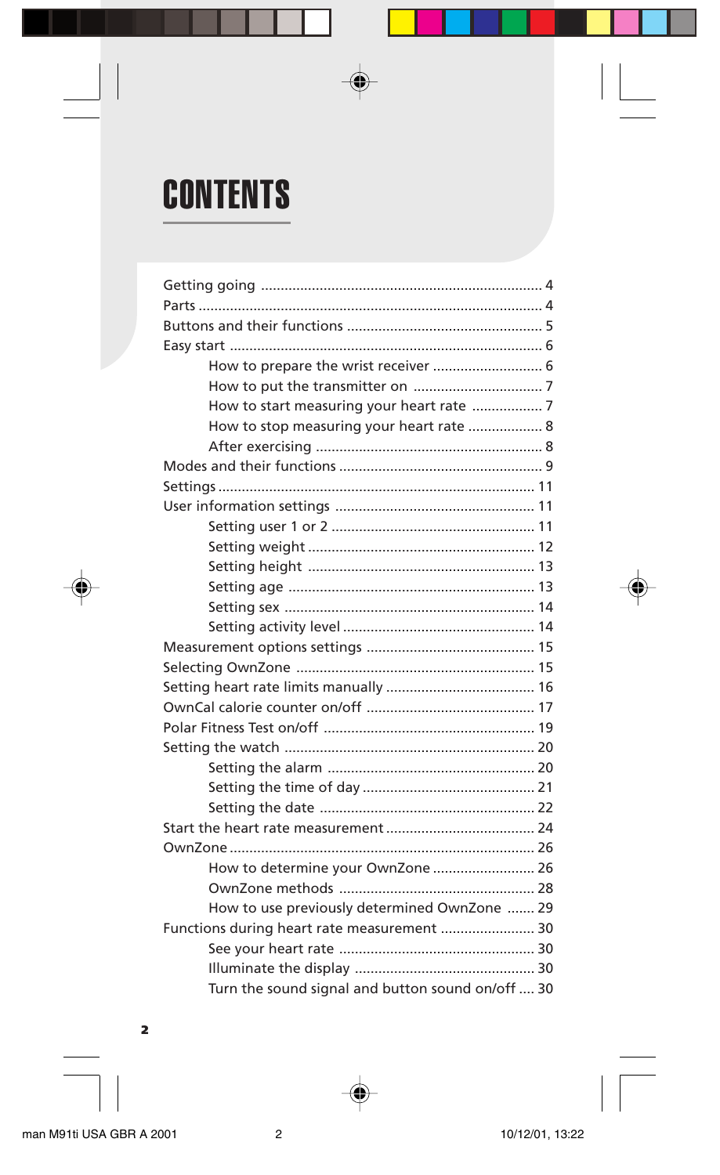# **CONTENTS**

| How to start measuring your heart rate  7         |
|---------------------------------------------------|
| How to stop measuring your heart rate  8          |
|                                                   |
|                                                   |
|                                                   |
|                                                   |
|                                                   |
|                                                   |
|                                                   |
|                                                   |
|                                                   |
|                                                   |
|                                                   |
|                                                   |
|                                                   |
|                                                   |
|                                                   |
|                                                   |
|                                                   |
|                                                   |
|                                                   |
|                                                   |
|                                                   |
| How to determine your OwnZone  26                 |
|                                                   |
| How to use previously determined OwnZone  29      |
| Functions during heart rate measurement  30       |
|                                                   |
|                                                   |
| Turn the sound signal and button sound on/off  30 |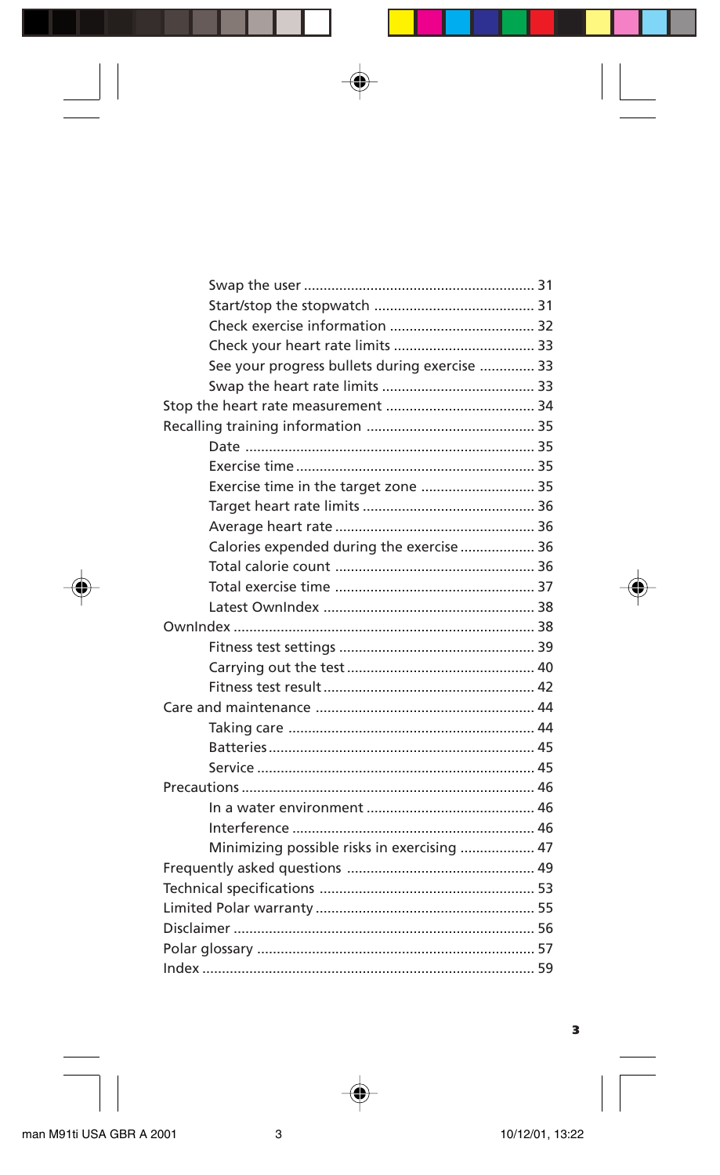| See your progress bullets during exercise  33 |  |
|-----------------------------------------------|--|
|                                               |  |
|                                               |  |
|                                               |  |
|                                               |  |
|                                               |  |
| Exercise time in the target zone  35          |  |
|                                               |  |
|                                               |  |
| Calories expended during the exercise  36     |  |
|                                               |  |
|                                               |  |
|                                               |  |
|                                               |  |
|                                               |  |
|                                               |  |
|                                               |  |
|                                               |  |
|                                               |  |
|                                               |  |
|                                               |  |
|                                               |  |
|                                               |  |
|                                               |  |
| Minimizing possible risks in exercising  47   |  |
|                                               |  |
|                                               |  |
|                                               |  |
|                                               |  |
|                                               |  |
|                                               |  |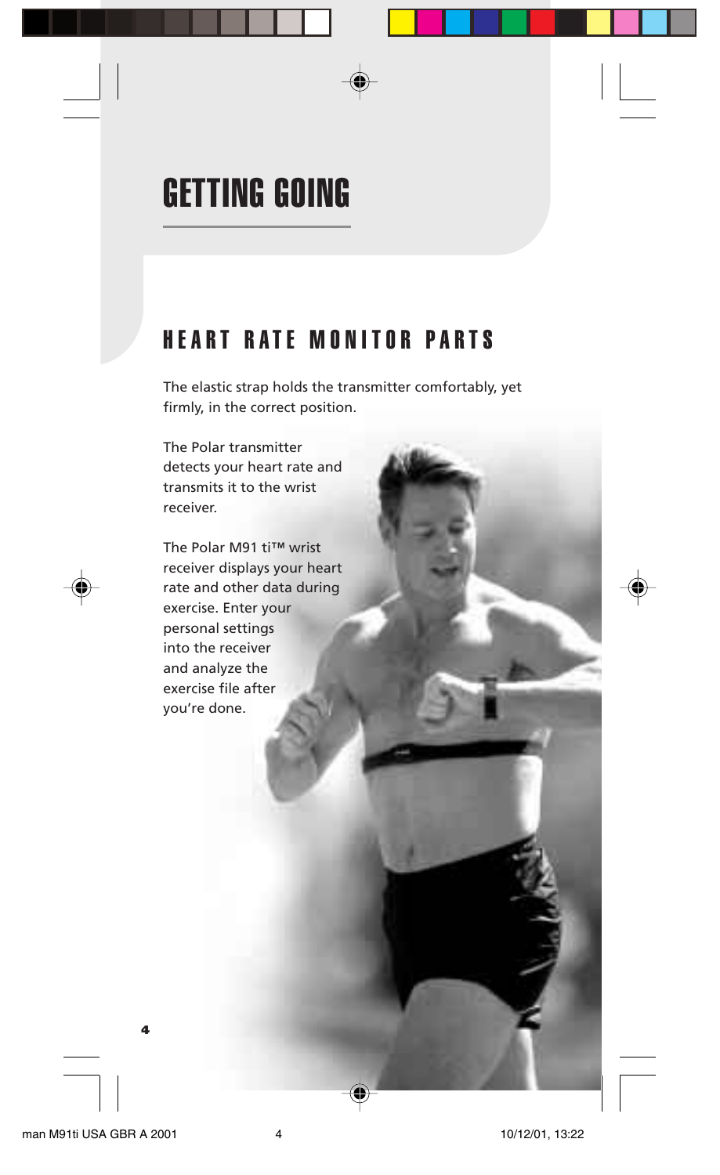# GETTING GOING

## HEART RATE MONITOR PARTS

The elastic strap holds the transmitter comfortably, yet firmly, in the correct position.

The Polar transmitter detects your heart rate and transmits it to the wrist receiver.

The Polar M91 ti™ wrist receiver displays your heart rate and other data during exercise. Enter your personal settings into the receiver and analyze the exercise file after you're done.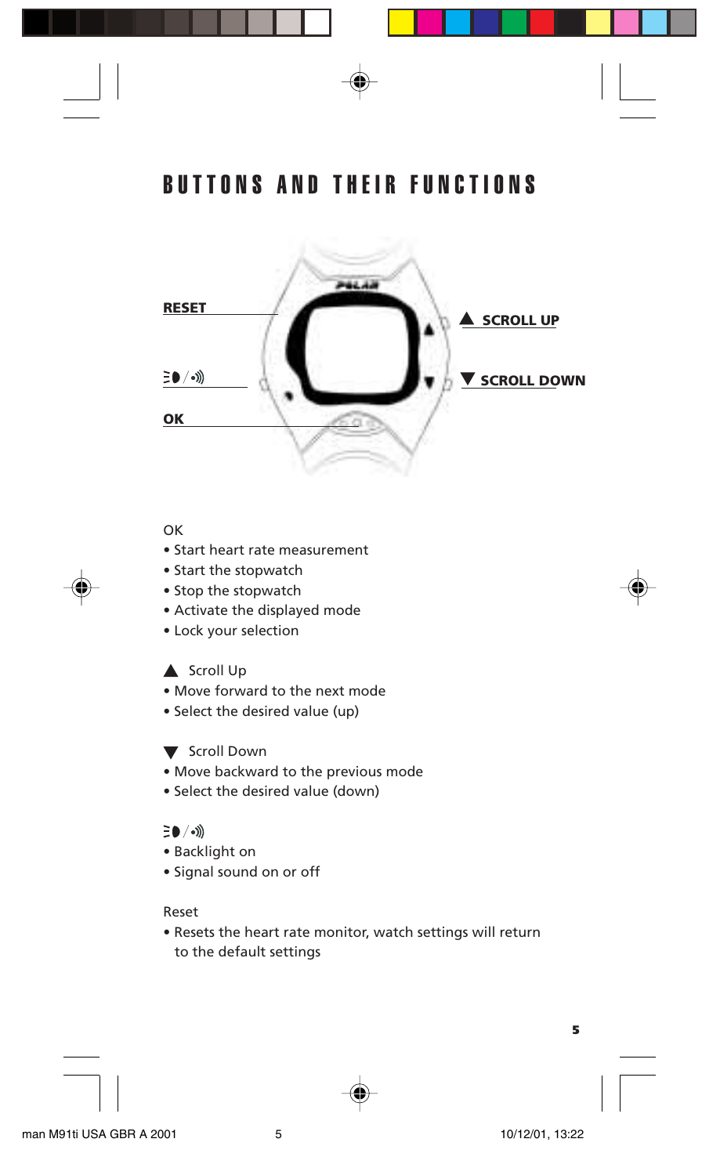## BUTTONS AND THEIR FUNCTIONS



### OK

- Start heart rate measurement
- Start the stopwatch
- Stop the stopwatch
- Activate the displayed mode
- Lock your selection

#### Scroll Up

- Move forward to the next mode
- Select the desired value (up)

#### **V** Scroll Down

- Move backward to the previous mode
- Select the desired value (down)

## $\Xi$  (  $\langle \bullet \rangle$

- Backlight on
- Signal sound on or off

#### Reset

• Resets the heart rate monitor, watch settings will return to the default settings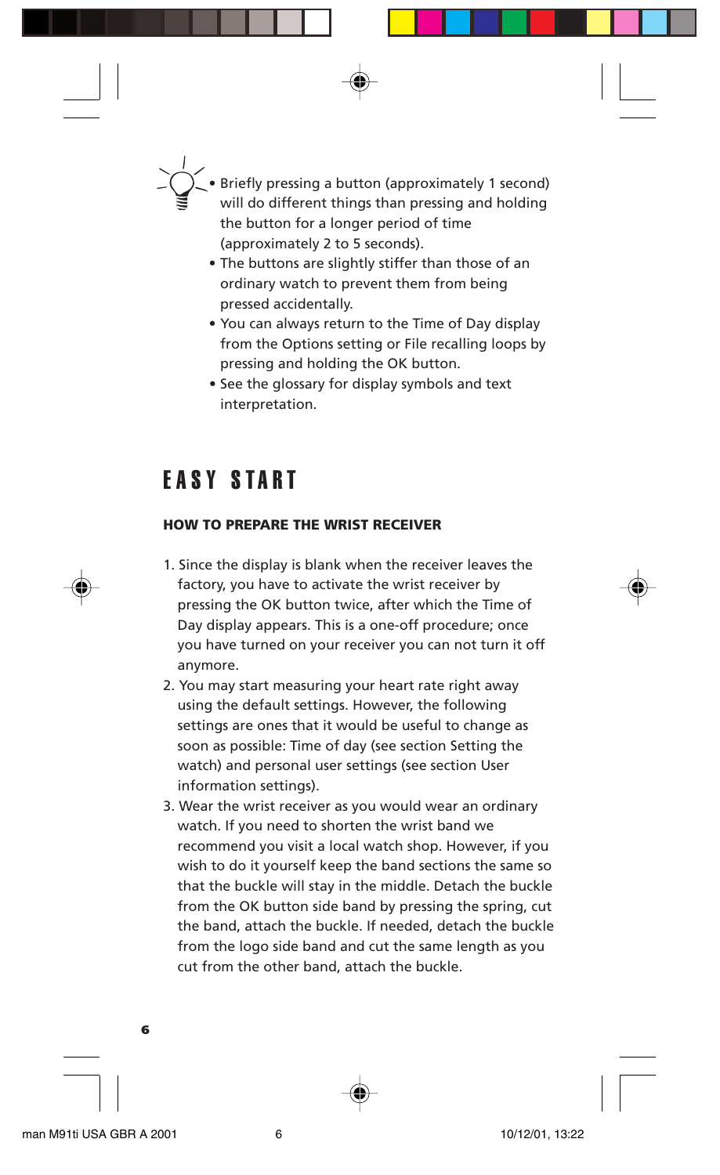

• Briefly pressing a button (approximately 1 second) will do different things than pressing and holding the button for a longer period of time (approximately 2 to 5 seconds).

- The buttons are slightly stiffer than those of an ordinary watch to prevent them from being pressed accidentally.
- You can always return to the Time of Day display from the Options setting or File recalling loops by pressing and holding the OK button.
- *•* See the glossary for display symbols and text interpretation.

## EASY START

## **HOW TO PREPARE THE WRIST RECEIVER**

- 1. Since the display is blank when the receiver leaves the factory, you have to activate the wrist receiver by pressing the OK button twice, after which the Time of Day display appears. This is a one-off procedure; once you have turned on your receiver you can not turn it off anymore.
- 2. You may start measuring your heart rate right away using the default settings. However, the following settings are ones that it would be useful to change as soon as possible: Time of day (see section Setting the watch) and personal user settings (see section User information settings).
- 3. Wear the wrist receiver as you would wear an ordinary watch. If you need to shorten the wrist band we recommend you visit a local watch shop. However, if you wish to do it yourself keep the band sections the same so that the buckle will stay in the middle. Detach the buckle from the OK button side band by pressing the spring, cut the band, attach the buckle. If needed, detach the buckle from the logo side band and cut the same length as you cut from the other band, attach the buckle.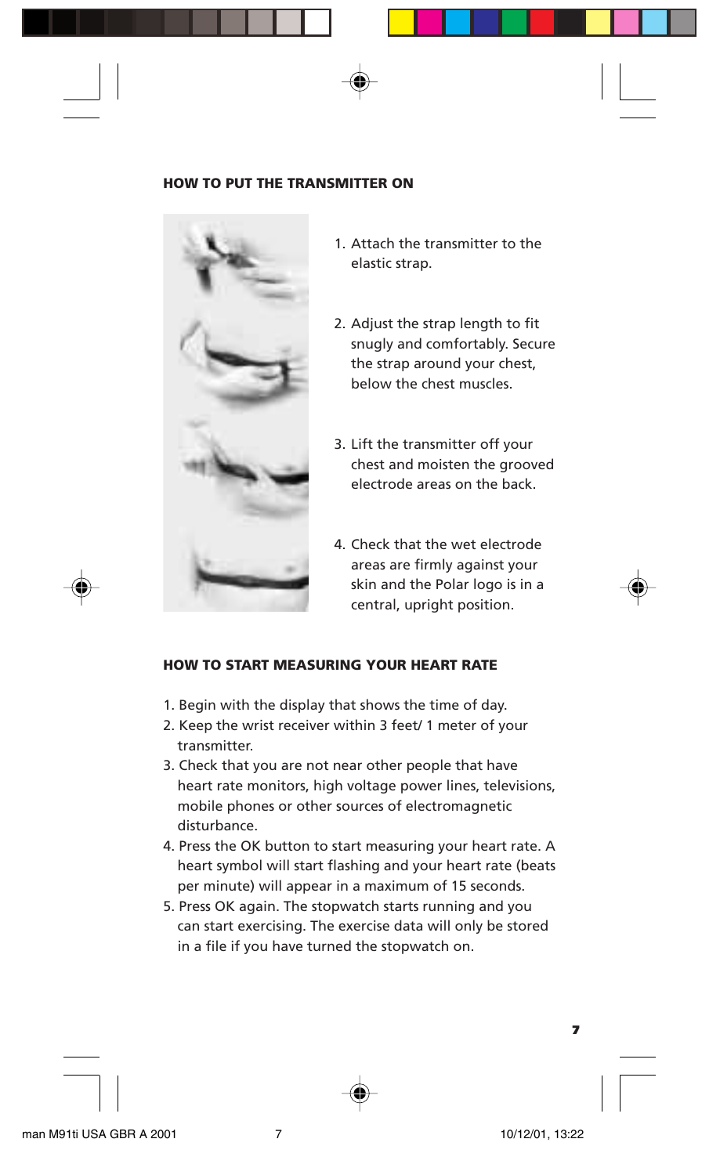#### **HOW TO PUT THE TRANSMITTER ON**



- 1. Attach the transmitter to the elastic strap.
- 2. Adjust the strap length to fit snugly and comfortably. Secure the strap around your chest, below the chest muscles.
- 3. Lift the transmitter off your chest and moisten the grooved electrode areas on the back.
- 4. Check that the wet electrode areas are firmly against your skin and the Polar logo is in a central, upright position.

## **HOW TO START MEASURING YOUR HEART RATE**

- 1. Begin with the display that shows the time of day.
- 2. Keep the wrist receiver within 3 feet/ 1 meter of your transmitter.
- 3. Check that you are not near other people that have heart rate monitors, high voltage power lines, televisions, mobile phones or other sources of electromagnetic disturbance.
- 4. Press the OK button to start measuring your heart rate. A heart symbol will start flashing and your heart rate (beats per minute) will appear in a maximum of 15 seconds.
- 5. Press OK again. The stopwatch starts running and you can start exercising. The exercise data will only be stored in a file if you have turned the stopwatch on.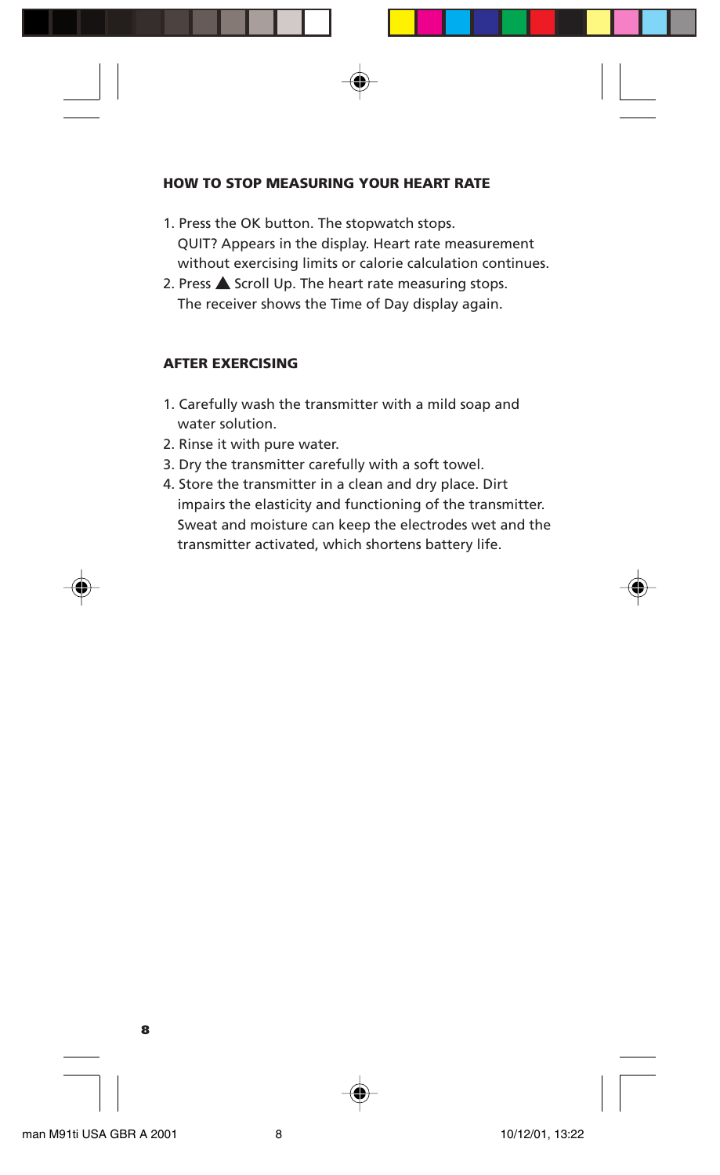#### **HOW TO STOP MEASURING YOUR HEART RATE**

- 1. Press the OK button. The stopwatch stops. QUIT? Appears in the display. Heart rate measurement without exercising limits or calorie calculation continues.
- 2. Press  $\triangle$  Scroll Up. The heart rate measuring stops. The receiver shows the Time of Day display again.

#### **AFTER EXERCISING**

- 1. Carefully wash the transmitter with a mild soap and water solution.
- 2. Rinse it with pure water.
- 3. Dry the transmitter carefully with a soft towel.
- 4. Store the transmitter in a clean and dry place. Dirt impairs the elasticity and functioning of the transmitter. Sweat and moisture can keep the electrodes wet and the transmitter activated, which shortens battery life.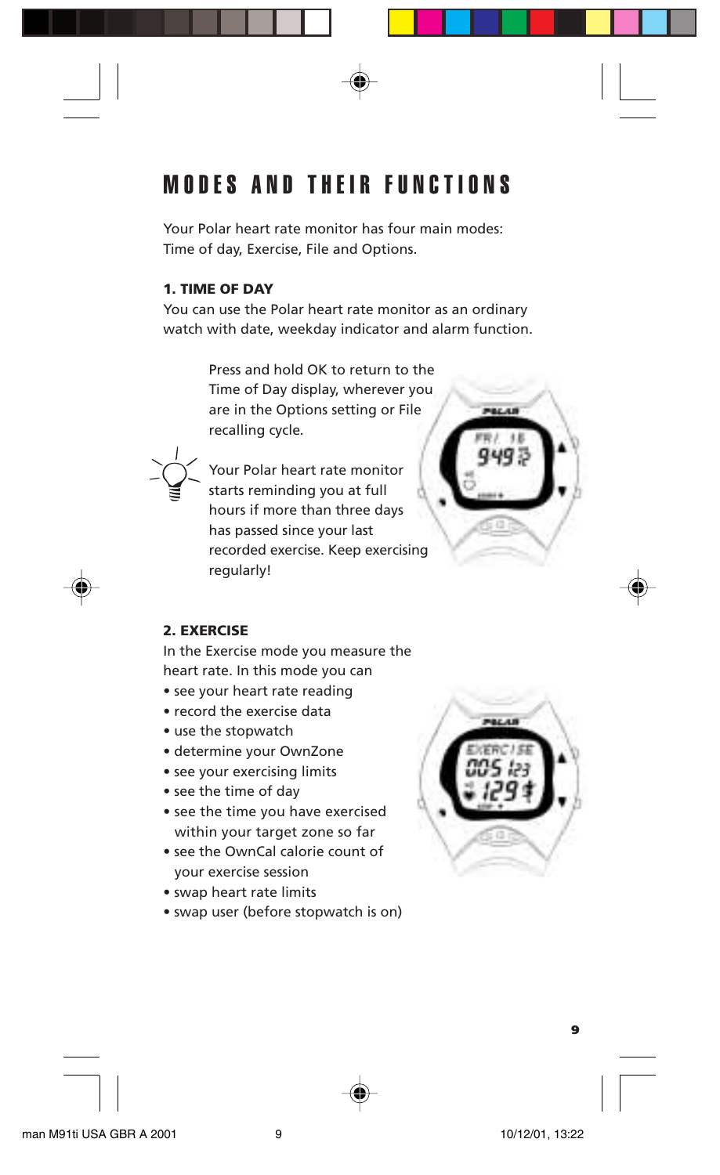## MODES AND THEIR FUNCTIONS

Your Polar heart rate monitor has four main modes: Time of day, Exercise, File and Options.

## **1. TIME OF DAY**

You can use the Polar heart rate monitor as an ordinary watch with date, weekday indicator and alarm function.

> Press and hold OK to return to the Time of Day display, wherever you are in the Options setting or File recalling cycle*.*



Your Polar heart rate monitor starts reminding you at full hours if more than three days has passed since your last recorded exercise. Keep exercising regularly!



## **2. EXERCISE**

In the Exercise mode you measure the heart rate. In this mode you can

- see your heart rate reading
- record the exercise data
- use the stopwatch
- determine your OwnZone
- see your exercising limits
- see the time of day
- see the time you have exercised within your target zone so far
- see the OwnCal calorie count of your exercise session
- swap heart rate limits
- swap user (before stopwatch is on)

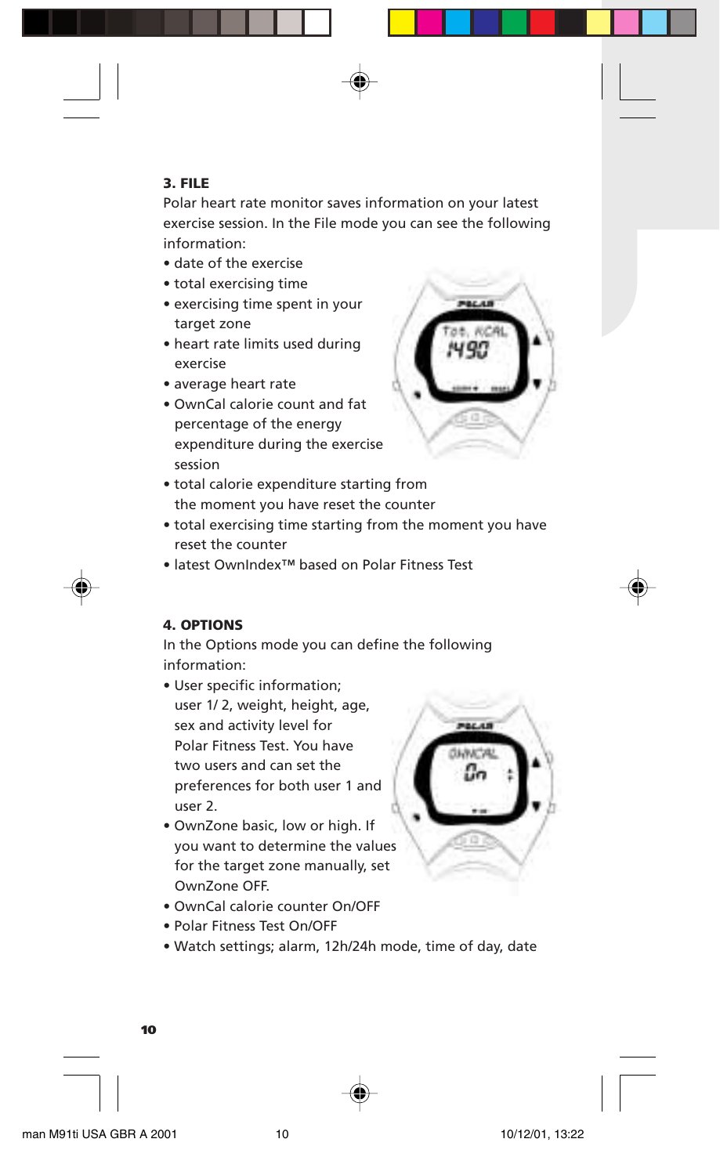## **3. FILE**

Polar heart rate monitor saves information on your latest exercise session. In the File mode you can see the following information:

- date of the exercise
- total exercising time
- exercising time spent in your target zone
- heart rate limits used during exercise
- average heart rate
- OwnCal calorie count and fat percentage of the energy expenditure during the exercise session



- total calorie expenditure starting from the moment you have reset the counter
- total exercising time starting from the moment you have reset the counter
- latest OwnIndex™ based on Polar Fitness Test

#### **4. OPTIONS**

In the Options mode you can define the following information:

- User specific information; user 1/ 2, weight, height, age, sex and activity level for Polar Fitness Test. You have two users and can set the preferences for both user 1 and user 2.
- OwnZone basic, low or high. If you want to determine the values for the target zone manually, set OwnZone OFF.
- OwnCal calorie counter On/OFF
- Polar Fitness Test On/OFF
- Watch settings; alarm, 12h/24h mode, time of day, date

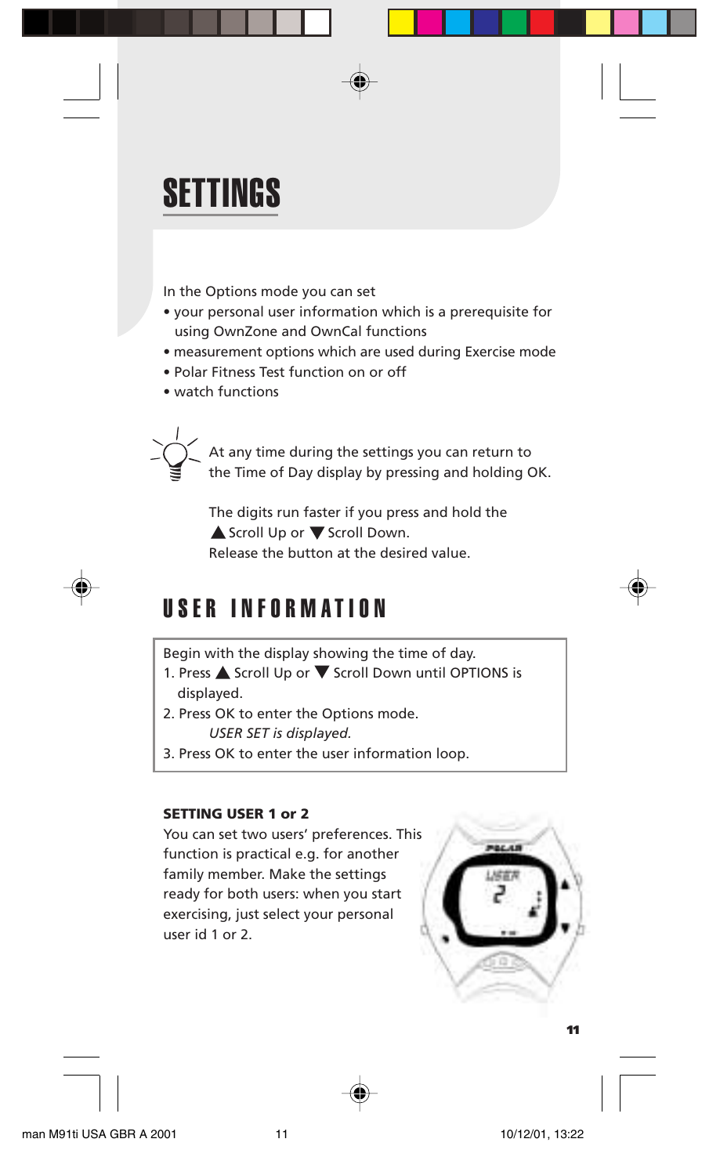# SETTINGS

In the Options mode you can set

- your personal user information which is a prerequisite for using OwnZone and OwnCal functions
- measurement options which are used during Exercise mode
- Polar Fitness Test function on or off
- watch functions

At any time during the settings you can return to the Time of Day display by pressing and holding OK.

> The digits run faster if you press and hold the ▲ Scroll Up or ▼ Scroll Down. Release the button at the desired value.

## USER INFORMATION

Begin with the display showing the time of day.

- 1. Press  $\triangle$  Scroll Up or  $\nabla$  Scroll Down until OPTIONS is displayed.
- 2. Press OK to enter the Options mode. *USER SET is displayed.*
- 3. Press OK to enter the user information loop.

## **SETTING USER 1 or 2**

You can set two users' preferences. This function is practical e.g. for another family member. Make the settings ready for both users: when you start exercising, just select your personal user id 1 or 2.

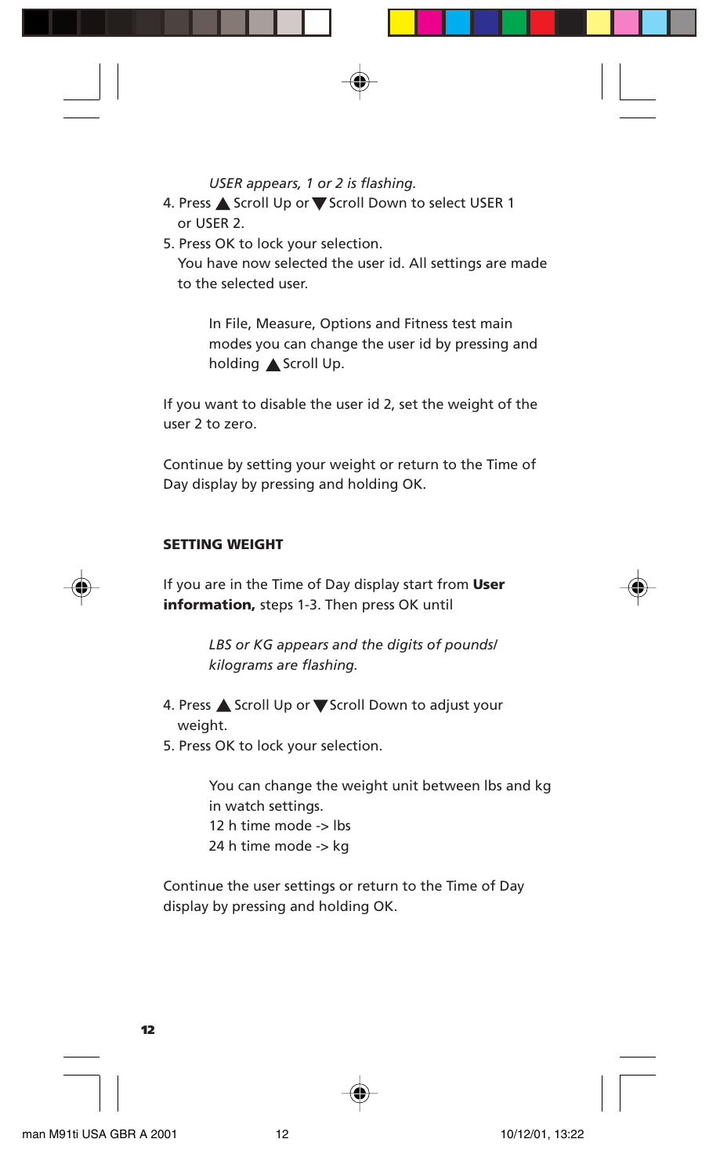*USER appears, 1 or 2 is flashing.*

- 4. Press <a>Scroll Up or<a>T</a>Scroll Down to select USER 1 or USER 2.
- 5. Press OK to lock your selection.

You have now selected the user id. All settings are made to the selected user.

In File, Measure, Options and Fitness test main modes you can change the user id by pressing and holding A Scroll Up.

If you want to disable the user id 2, set the weight of the user 2 to zero.

Continue by setting your weight or return to the Time of Day display by pressing and holding OK.

### **SETTING WEIGHT**

If you are in the Time of Day display start from **User information,** steps 1-3. Then press OK until

> *LBS or KG appears and the digits of pounds/ kilograms are flashing.*

- 4. Press Scroll Up or V Scroll Down to adjust your weight.
- 5. Press OK to lock your selection.

You can change the weight unit between lbs and kg in watch settings. 12 h time mode -> lbs 24 h time mode -> kg

Continue the user settings or return to the Time of Day display by pressing and holding OK.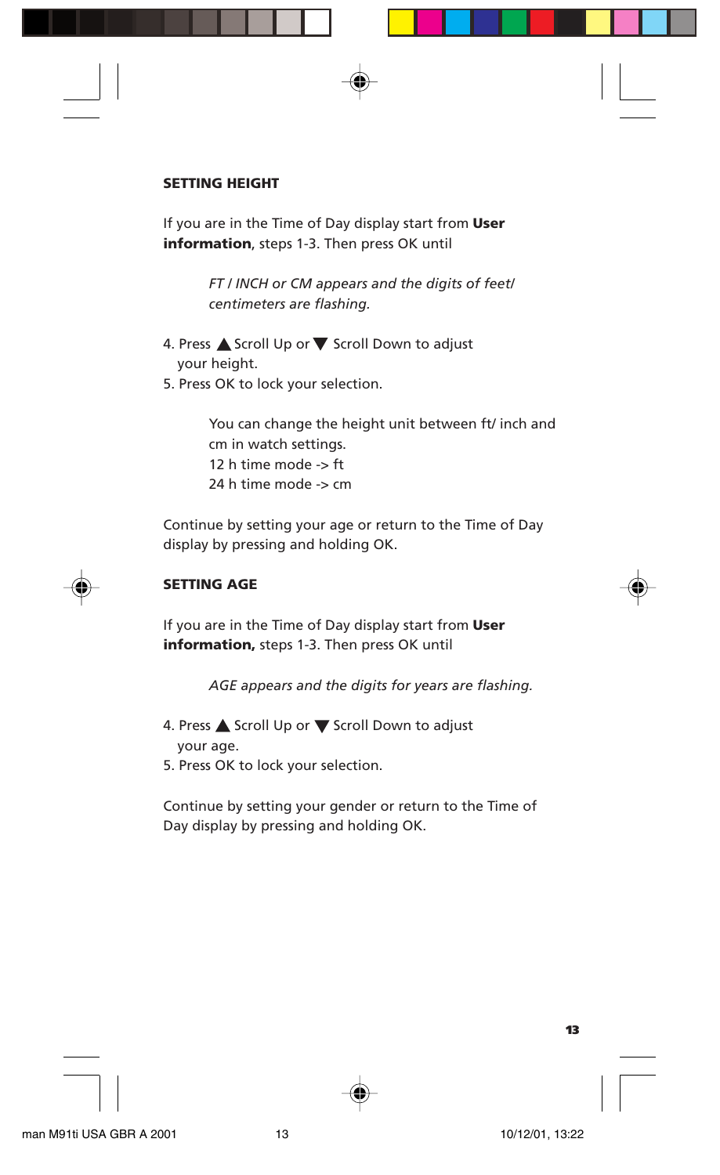### **SETTING HEIGHT**

If you are in the Time of Day display start from **User information**, steps 1-3. Then press OK until

> *FT / INCH or CM appears and the digits of feet/ centimeters are flashing.*

- 4. Press A Scroll Up or  $\nabla$  Scroll Down to adjust your height.
- 5. Press OK to lock your selection.

You can change the height unit between ft/ inch and cm in watch settings. 12 h time mode -> ft 24 h time mode -> cm

Continue by setting your age or return to the Time of Day display by pressing and holding OK.

### **SETTING AGE**

If you are in the Time of Day display start from **User information,** steps 1-3. Then press OK until

*AGE appears and the digits for years are flashing.*

- 4. Press ▲ Scroll Up or ▼ Scroll Down to adjust your age.
- 5. Press OK to lock your selection.

Continue by setting your gender or return to the Time of Day display by pressing and holding OK.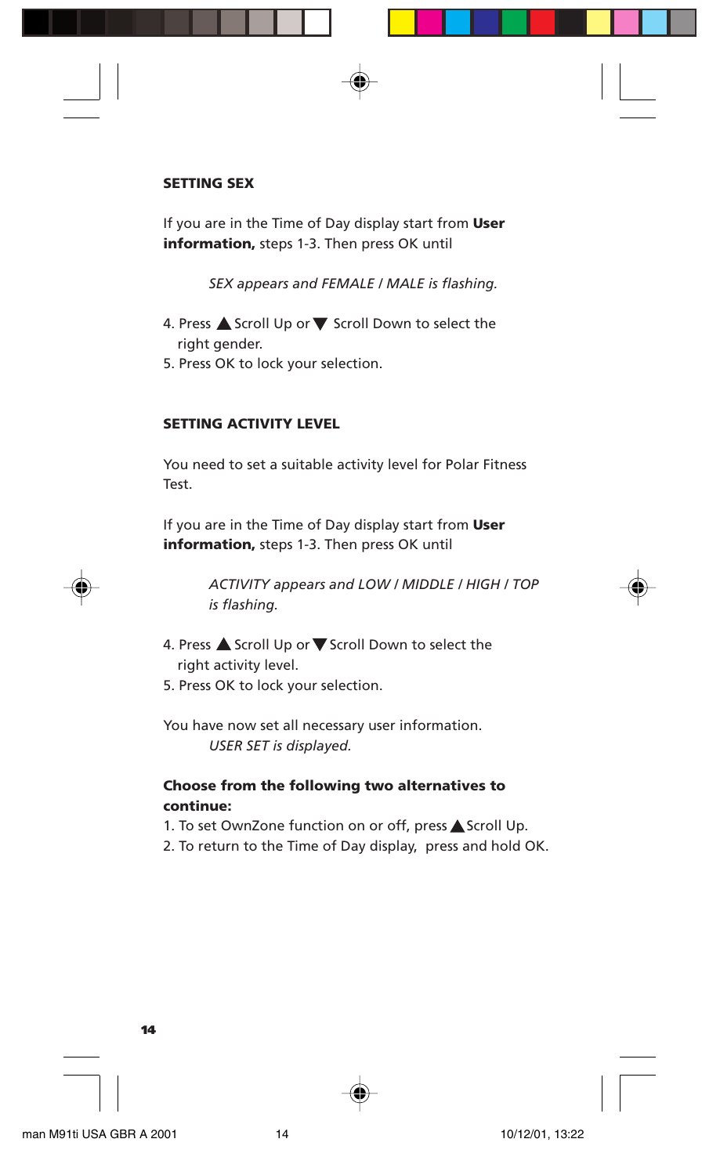### **SETTING SEX**

If you are in the Time of Day display start from **User information,** steps 1-3. Then press OK until

*SEX appears and FEMALE / MALE is flashing.*

- 4. Press  $\triangle$  Scroll Up or  $\nabla$  Scroll Down to select the right gender.
- 5. Press OK to lock your selection.

## **SETTING ACTIVITY LEVEL**

You need to set a suitable activity level for Polar Fitness Test.

If you are in the Time of Day display start from **User information,** steps 1-3. Then press OK until

> *ACTIVITY appears and LOW / MIDDLE / HIGH / TOP is flashing.*

- 4. Press  $\triangle$  Scroll Up or  $\nabla$  Scroll Down to select the right activity level.
- 5. Press OK to lock your selection.

You have now set all necessary user information. *USER SET is displayed.*

### **Choose from the following two alternatives to continue:**

- 1. To set OwnZone function on or off, press Scroll Up.
- 2. To return to the Time of Day display, press and hold OK.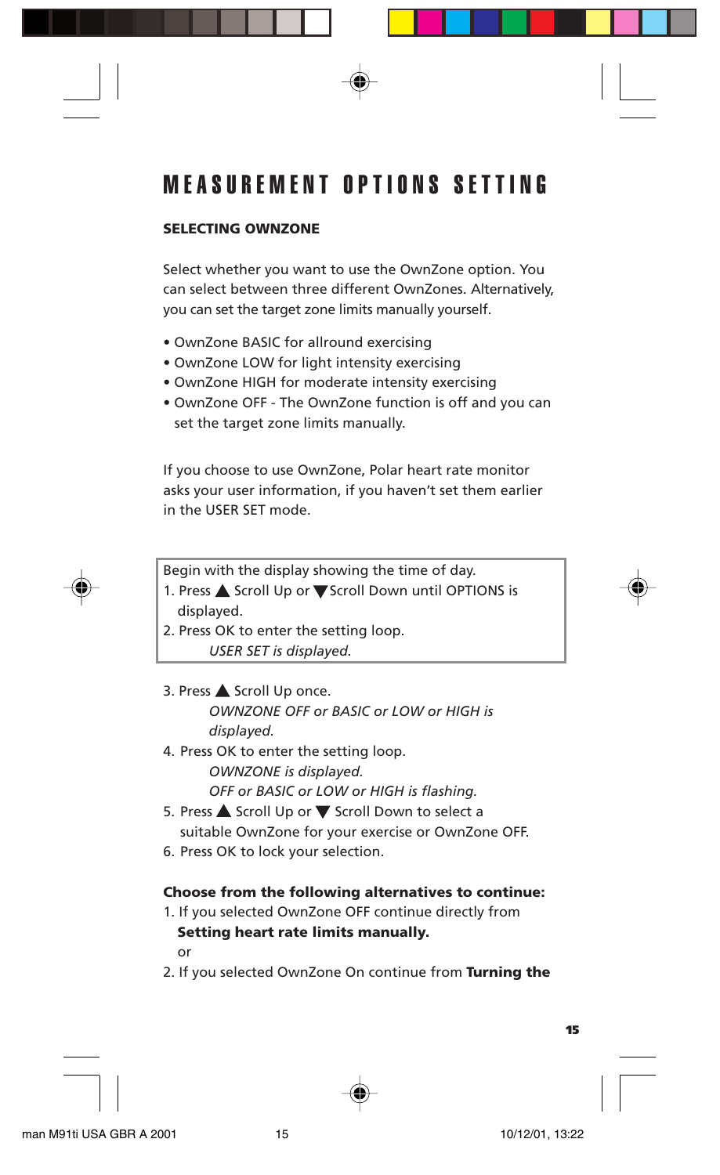## MEASUREMENT OPTIONS SETTING

## **SELECTING OWNZONE**

Select whether you want to use the OwnZone option. You can select between three different OwnZones. Alternatively, you can set the target zone limits manually yourself.

- OwnZone BASIC for allround exercising
- OwnZone LOW for light intensity exercising
- OwnZone HIGH for moderate intensity exercising
- OwnZone OFF The OwnZone function is off and you can set the target zone limits manually.

If you choose to use OwnZone, Polar heart rate monitor asks your user information, if you haven't set them earlier in the USER SET mode.

Begin with the display showing the time of day.

- 1. Press ▲ Scroll Up or ▼ Scroll Down until OPTIONS is displayed.
- 2. Press OK to enter the setting loop. *USER SET is displayed.*
- 3. Press <a>
Scroll Up once. *OWNZONE OFF or BASIC or LOW or HIGH is displayed.*
- 4. Press OK to enter the setting loop. *OWNZONE is displayed. OFF or BASIC or LOW or HIGH is flashing.*
- 5. Press ▲ Scroll Up or ▼ Scroll Down to select a suitable OwnZone for your exercise or OwnZone OFF.
- 6. Press OK to lock your selection.

## **Choose from the following alternatives to continue:**

- 1. If you selected OwnZone OFF continue directly from **Setting heart rate limits manually.** or
- 2. If you selected OwnZone On continue from **Turning the**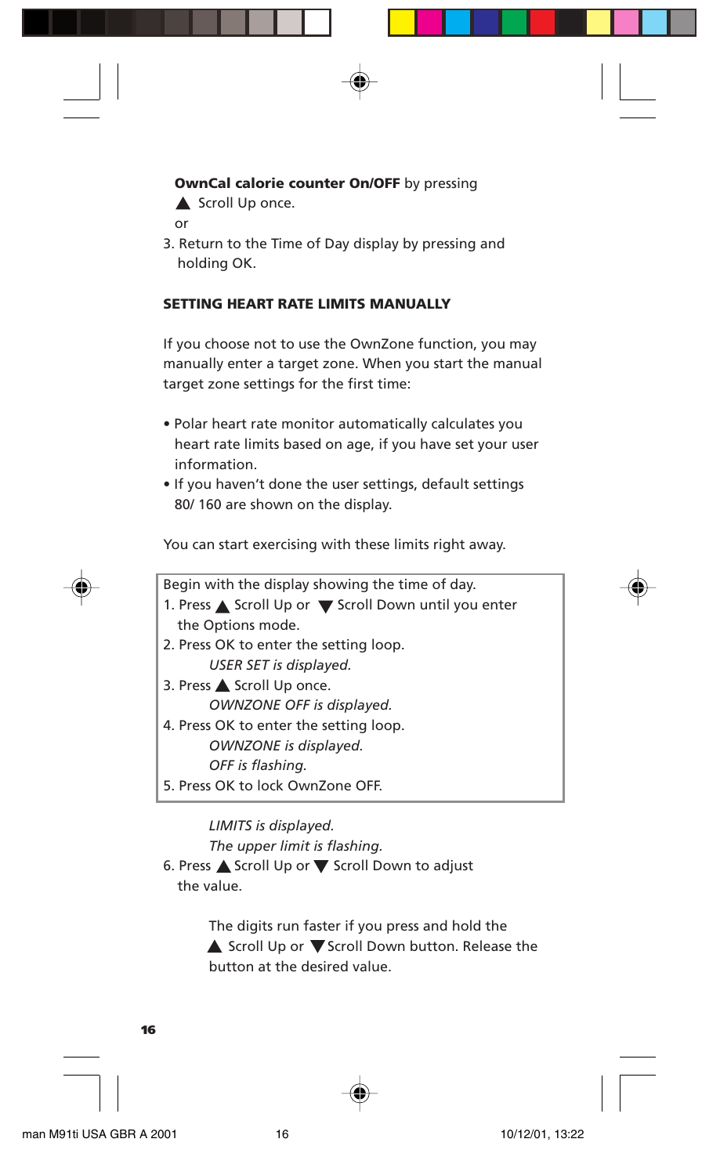```
OwnCal calorie counter On/OFF by pressing
Scroll Up once.
```
or

3. Return to the Time of Day display by pressing and holding OK.

### **SETTING HEART RATE LIMITS MANUALLY**

If you choose not to use the OwnZone function, you may manually enter a target zone. When you start the manual target zone settings for the first time:

- Polar heart rate monitor automatically calculates you heart rate limits based on age, if you have set your user information.
- If you haven't done the user settings, default settings 80/ 160 are shown on the display.

You can start exercising with these limits right away.

| Begin with the display showing the time of day.       |
|-------------------------------------------------------|
| 1. Press ▲ Scroll Up or ▼ Scroll Down until you enter |
| the Options mode.                                     |
| 2. Press OK to enter the setting loop.                |
| USER SET is displayed.                                |
| 3. Press <a> Scroll Up once.</a>                      |
| OWNZONE OFF is displayed.                             |
| 4. Press OK to enter the setting loop.                |
| OWNZONE is displayed.                                 |
| OFF is flashing.                                      |
| 5. Press OK to lock OwnZone OFF.                      |
| LIMITS is displayed.                                  |

*The upper limit is flashing.*

6. Press  $\triangle$  Scroll Up or  $\nabla$  Scroll Down to adjust the value.

> The digits run faster if you press and hold the  $\triangle$  Scroll Up or  $\nabla$  Scroll Down button. Release the button at the desired value.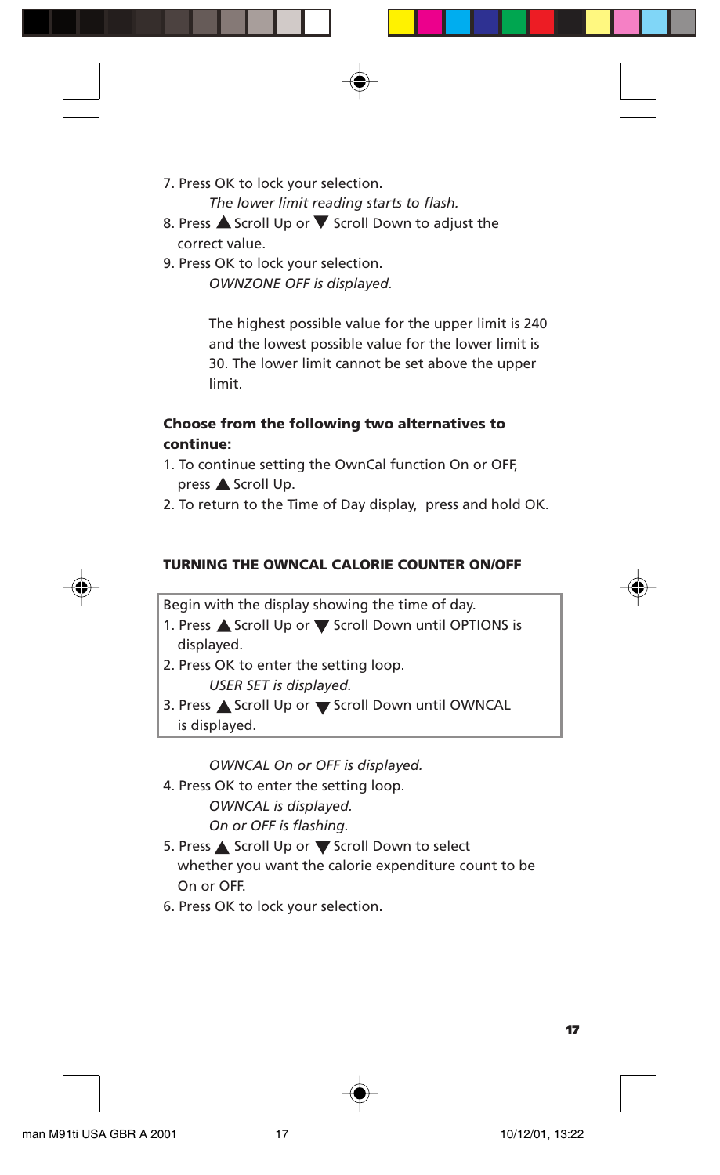- 7. Press OK to lock your selection. *The lower limit reading starts to flash.*
- 8. Press  $\triangle$  Scroll Up or  $\nabla$  Scroll Down to adjust the correct value.
- 9. Press OK to lock your selection. *OWNZONE OFF is displayed.*

The highest possible value for the upper limit is 240 and the lowest possible value for the lower limit is 30. The lower limit cannot be set above the upper limit.

## **Choose from the following two alternatives to continue:**

- 1. To continue setting the OwnCal function On or OFF, press <a>
Scroll Up.
- 2. To return to the Time of Day display, press and hold OK.

### **TURNING THE OWNCAL CALORIE COUNTER ON/OFF**

Begin with the display showing the time of day.

- 1. Press ▲ Scroll Up or ▼ Scroll Down until OPTIONS is displayed.
- 2. Press OK to enter the setting loop. *USER SET is displayed.*
- 3. Press ▲ Scroll Up or ▼ Scroll Down until OWNCAL
	- is displayed.

*OWNCAL On or OFF is displayed.*

- 4. Press OK to enter the setting loop.
	- *OWNCAL is displayed.*

*On or OFF is flashing.*

- 5. Press ▲ Scroll Up or ▼ Scroll Down to select whether you want the calorie expenditure count to be On or OFF.
- 6. Press OK to lock your selection.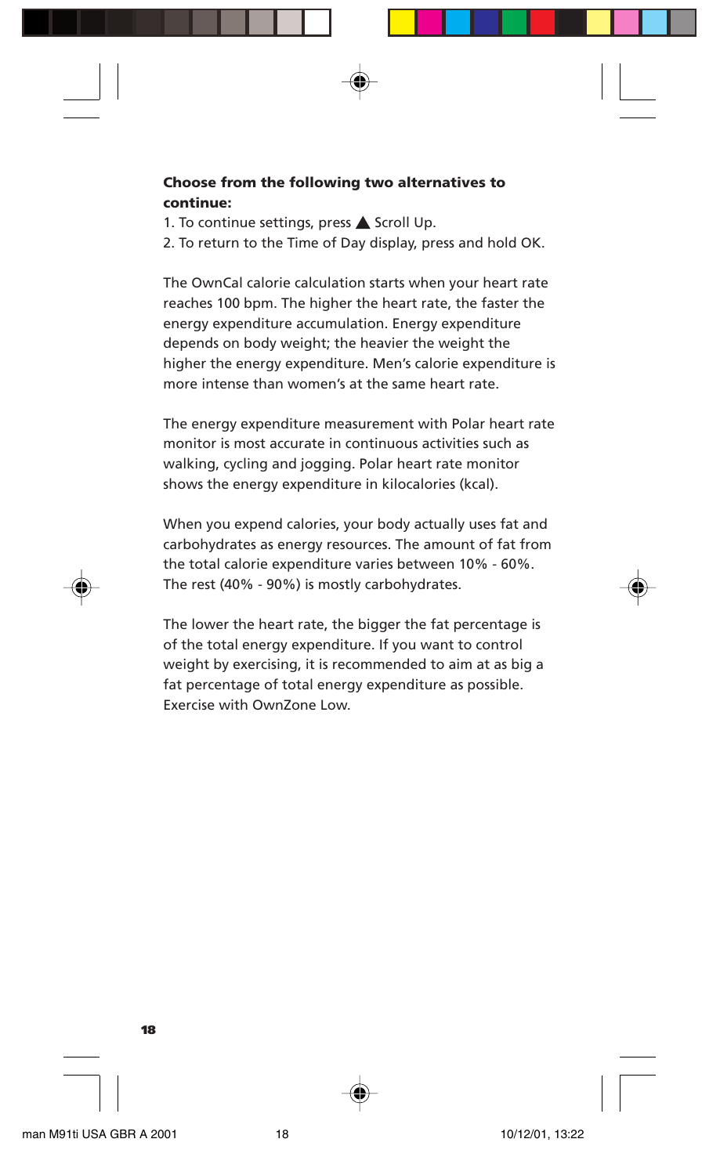1. To continue settings, press  $\triangle$  Scroll Up.

2. To return to the Time of Day display, press and hold OK.

The OwnCal calorie calculation starts when your heart rate reaches 100 bpm. The higher the heart rate, the faster the energy expenditure accumulation. Energy expenditure depends on body weight; the heavier the weight the higher the energy expenditure. Men's calorie expenditure is more intense than women's at the same heart rate.

The energy expenditure measurement with Polar heart rate monitor is most accurate in continuous activities such as walking, cycling and jogging. Polar heart rate monitor shows the energy expenditure in kilocalories (kcal).

When you expend calories, your body actually uses fat and carbohydrates as energy resources. The amount of fat from the total calorie expenditure varies between 10% - 60%. The rest (40% - 90%) is mostly carbohydrates.

The lower the heart rate, the bigger the fat percentage is of the total energy expenditure. If you want to control weight by exercising, it is recommended to aim at as big a fat percentage of total energy expenditure as possible. Exercise with OwnZone Low.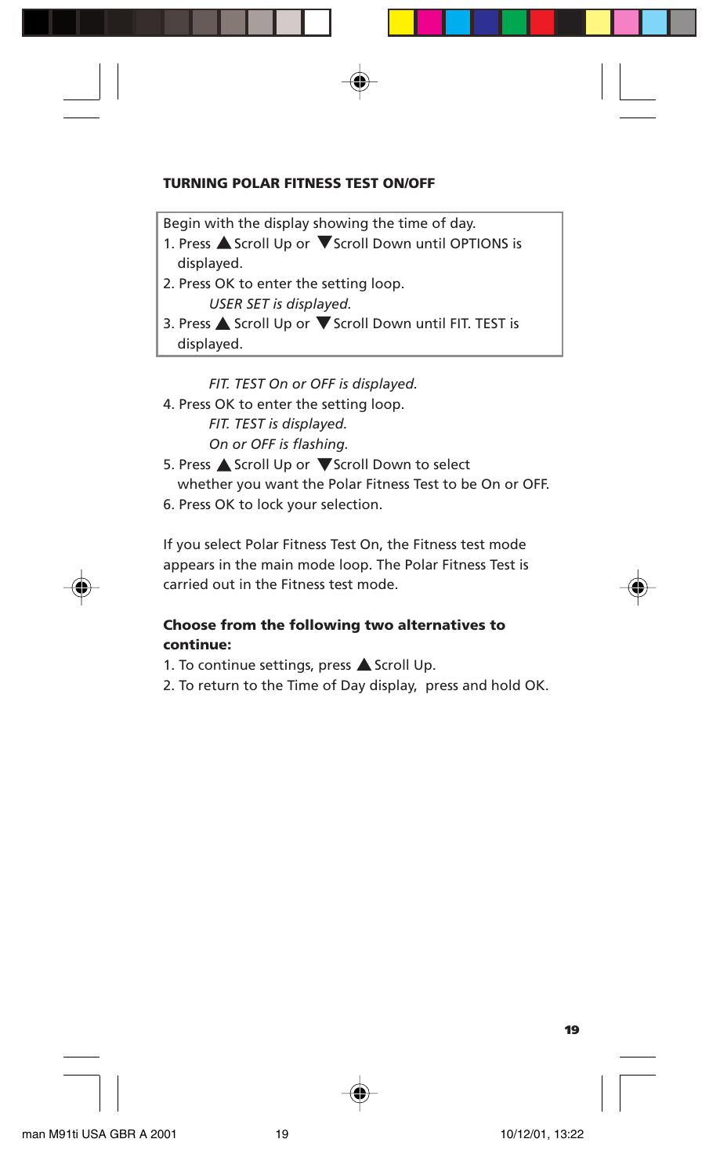#### **TURNING POLAR FITNESS TEST ON/OFF**

Begin with the display showing the time of day.

- 1. Press ▲ Scroll Up or ▼ Scroll Down until OPTIONS is displayed.
- 2. Press OK to enter the setting loop. *USER SET is displayed.*
- 3. Press  $\triangle$  Scroll Up or  $\nabla$  Scroll Down until FIT. TEST is displayed.

*FIT. TEST On or OFF is displayed.*

- 4. Press OK to enter the setting loop. *FIT. TEST is displayed. On or OFF is flashing.*
- 5. Press ▲ Scroll Up or ▼ Scroll Down to select

whether you want the Polar Fitness Test to be On or OFF.

6. Press OK to lock your selection.

If you select Polar Fitness Test On, the Fitness test mode appears in the main mode loop. The Polar Fitness Test is carried out in the Fitness test mode.

## **Choose from the following two alternatives to continue:**

- 1. To continue settings, press  $\triangle$  Scroll Up.
- 2. To return to the Time of Day display, press and hold OK.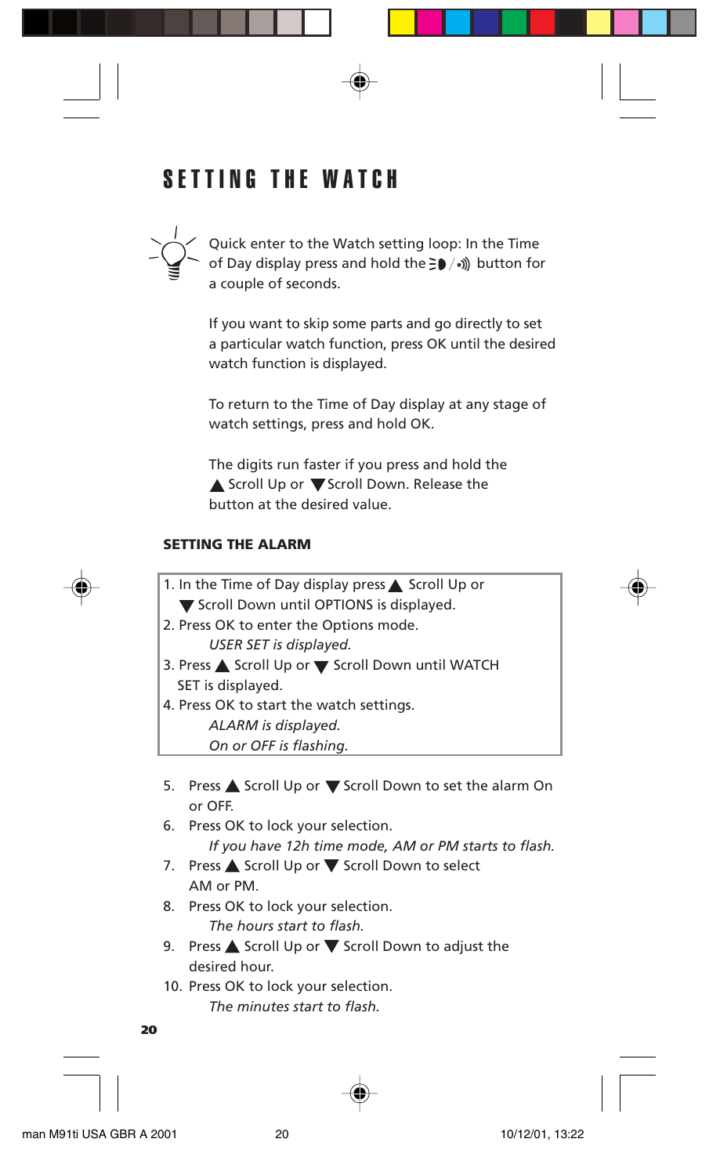## SETTING THE WATCH



If you want to skip some parts and go directly to set a particular watch function, press OK until the desired watch function is displayed.

To return to the Time of Day display at any stage of watch settings, press and hold OK.

The digits run faster if you press and hold the ▲ Scroll Up or ▼ Scroll Down. Release the button at the desired value.

#### **SETTING THE ALARM**

| 1. In the Time of Day display press ▲ Scroll Up or           |  |
|--------------------------------------------------------------|--|
| Scroll Down until OPTIONS is displayed.                      |  |
| 2. Press OK to enter the Options mode.                       |  |
| USER SET is displayed.                                       |  |
| 3. Press ▲ Scroll Up or ▼ Scroll Down until WATCH            |  |
| SET is displayed.                                            |  |
| 4. Press OK to start the watch settings.                     |  |
| ALARM is displayed.                                          |  |
| On or OFF is flashing.                                       |  |
|                                                              |  |
| Press ▲ Scroll Up or ▼ Scroll Down to set the alarm On<br>5. |  |
| or OFF.                                                      |  |
| Press OK to lock your selection.<br>6.                       |  |
| If you have 12h time mode, AM or PM starts to flash.         |  |
| 7 Dress A Corolling on Coroll Doug to solect                 |  |

- 7. Press  $\triangle$  Scroll Up or  $\blacktriangledown$  Scroll Down to select AM or PM.
- 8. Press OK to lock your selection. *The hours start to flash.*
- 9. Press  $\triangle$  Scroll Up or  $\nabla$  Scroll Down to adjust the desired hour.
- 10. Press OK to lock your selection. *The minutes start to flash.*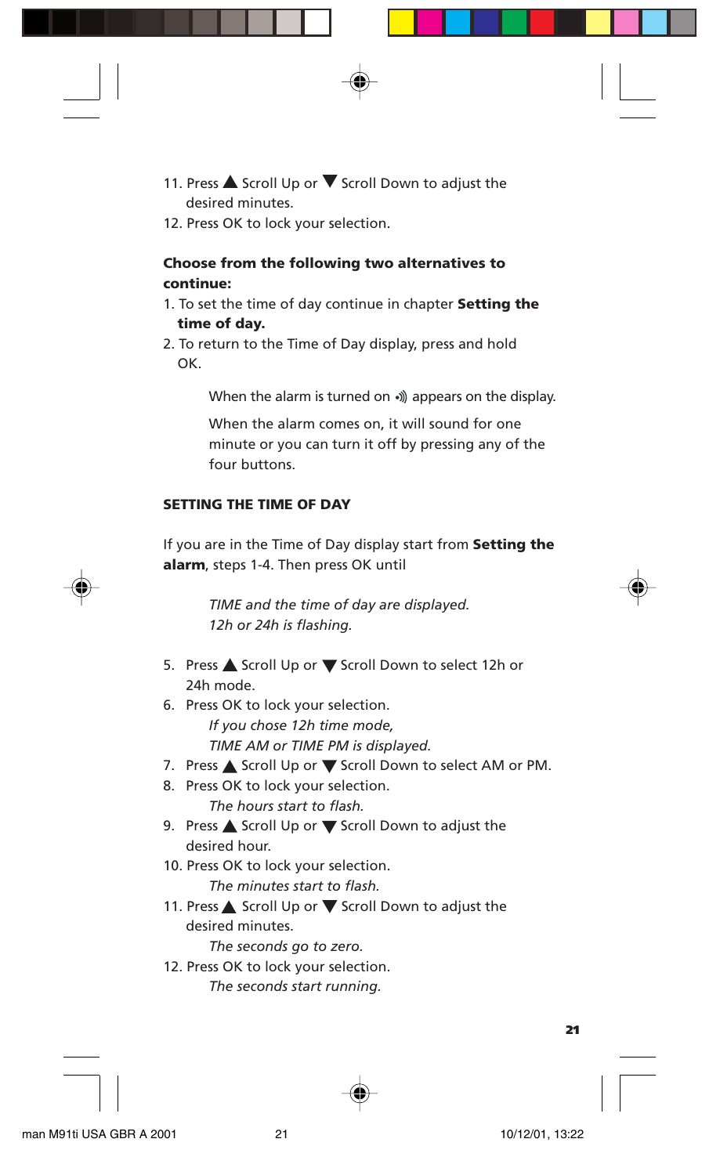- 11. Press  $\triangle$  Scroll Up or  $\nabla$  Scroll Down to adjust the desired minutes.
- 12. Press OK to lock your selection.

- 1. To set the time of day continue in chapter **Setting the time of day.**
- 2. To return to the Time of Day display, press and hold OK.

When the alarm is turned on  $\cdot$ ) appears on the display.

When the alarm comes on, it will sound for one minute or you can turn it off by pressing any of the four buttons.

### **SETTING THE TIME OF DAY**

If you are in the Time of Day display start from **Setting the alarm**, steps 1-4. Then press OK until

> *TIME and the time of day are displayed. 12h or 24h is flashing.*

- 5. Press ▲ Scroll Up or ▼ Scroll Down to select 12h or 24h mode.
- 6. Press OK to lock your selection.

*If you chose 12h time mode,*

*TIME AM or TIME PM is displayed.*

- 7. Press  $\triangle$  Scroll Up or  $\nabla$  Scroll Down to select AM or PM.
- 8. Press OK to lock your selection. *The hours start to flash.*
- 9. Press  $\triangle$  Scroll Up or  $\nabla$  Scroll Down to adjust the desired hour.
- 10. Press OK to lock your selection.

*The minutes start to flash.*

11. Press  $\triangle$  Scroll Up or  $\nabla$  Scroll Down to adjust the desired minutes.

*The seconds go to zero.*

12. Press OK to lock your selection. *The seconds start running.*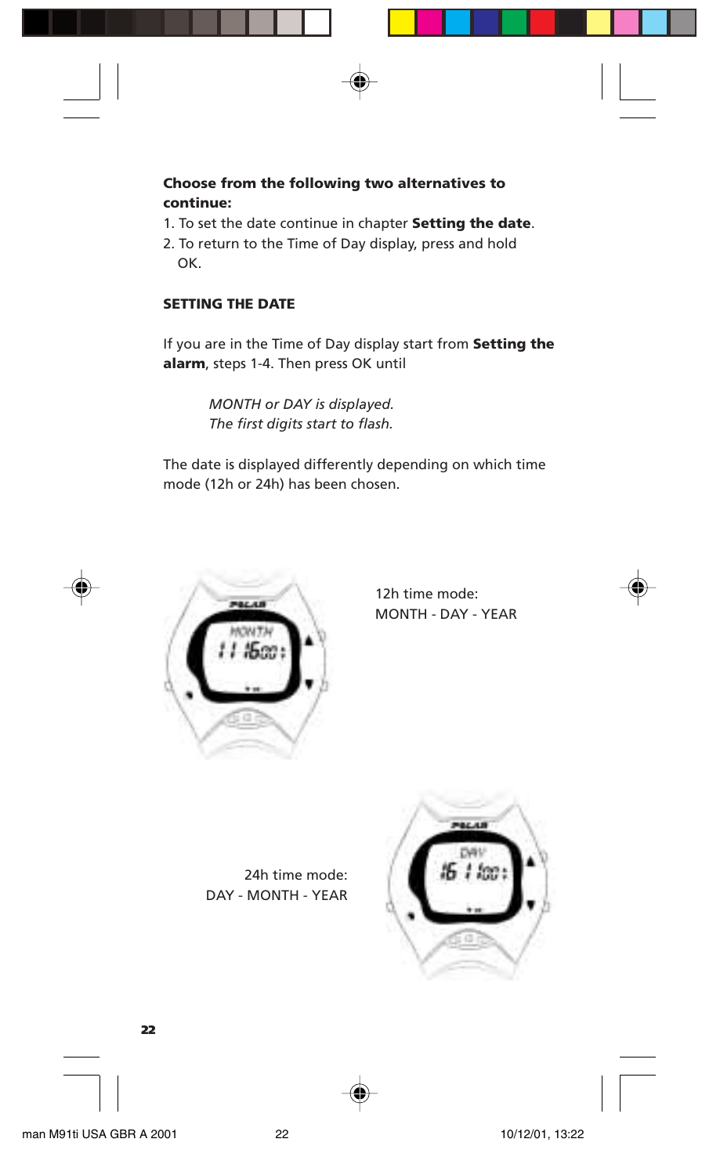- 1. To set the date continue in chapter **Setting the date**.
- 2. To return to the Time of Day display, press and hold OK.

### **SETTING THE DATE**

If you are in the Time of Day display start from **Setting the alarm**, steps 1-4. Then press OK until

> *MONTH or DAY is displayed. The first digits start to flash.*

The date is displayed differently depending on which time mode (12h or 24h) has been chosen.



12h time mode: MONTH - DAY - YEAR

24h time mode: DAY - MONTH - YEAR

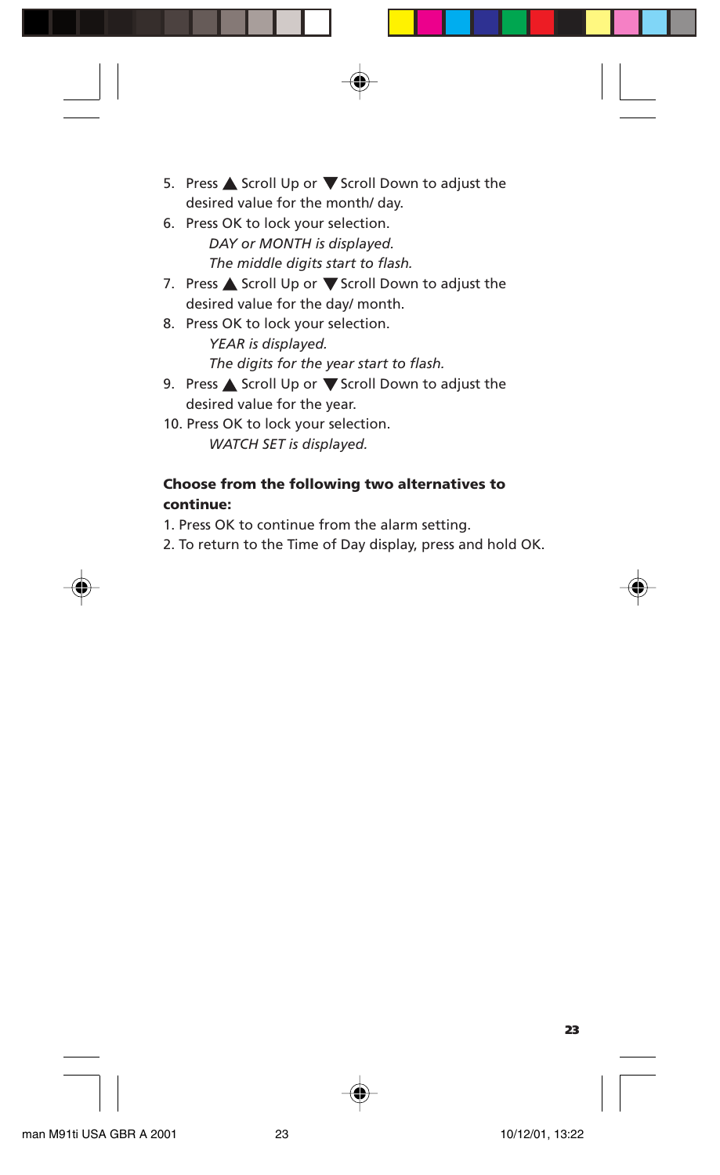- 5. Press  $\triangle$  Scroll Up or  $\nabla$  Scroll Down to adjust the desired value for the month/ day.
- 6. Press OK to lock your selection. *DAY or MONTH is displayed. The middle digits start to flash.*
- 7. Press  $\triangle$  Scroll Up or  $\nabla$  Scroll Down to adjust the desired value for the day/ month.
- 8. Press OK to lock your selection. *YEAR is displayed. The digits for the year start to flash.*
- 9. Press  $\triangle$  Scroll Up or  $\nabla$  Scroll Down to adjust the desired value for the year.
- 10. Press OK to lock your selection. *WATCH SET is displayed.*

- 1. Press OK to continue from the alarm setting.
- 2. To return to the Time of Day display, press and hold OK.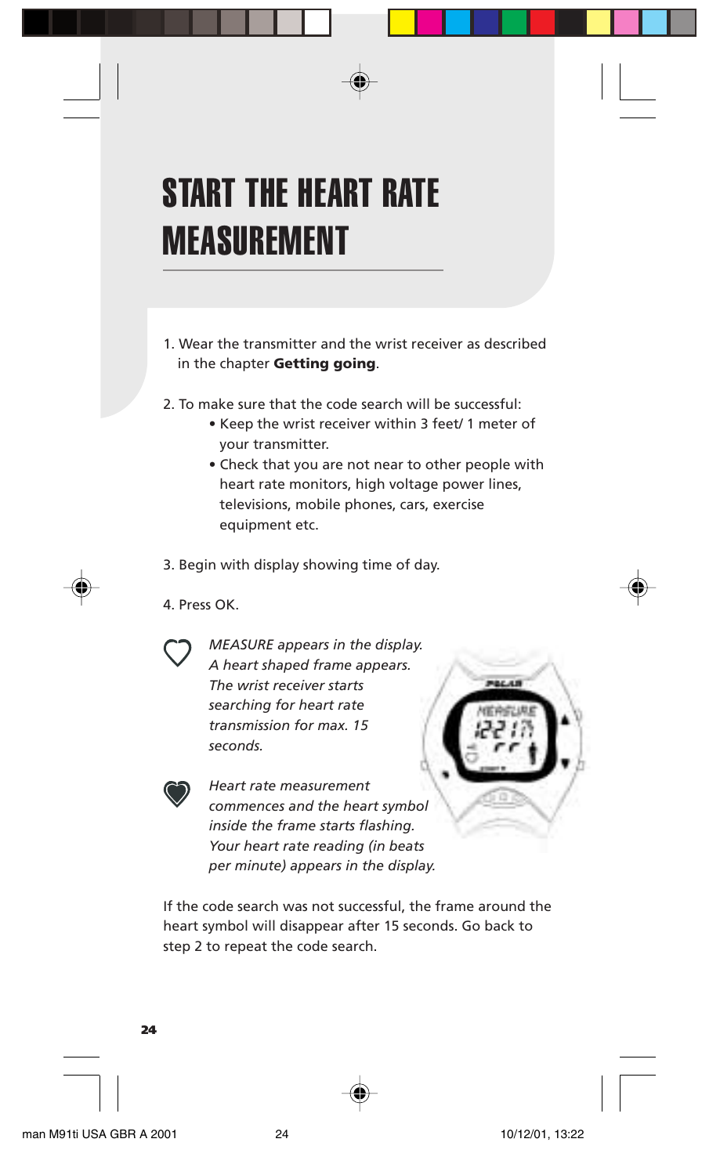# START THE HEART RATE MEASUREMENT

- 1. Wear the transmitter and the wrist receiver as described in the chapter **Getting going**.
- 2. To make sure that the code search will be successful:
	- Keep the wrist receiver within 3 feet/ 1 meter of your transmitter.
	- Check that you are not near to other people with heart rate monitors, high voltage power lines, televisions, mobile phones, cars, exercise equipment etc.
- 3. Begin with display showing time of day.
- 4. Press OK.



*MEASURE appears in the display. A heart shaped frame appears. The wrist receiver starts searching for heart rate transmission for max. 15 seconds.*





*Heart rate measurement commences and the heart symbol inside the frame starts flashing. Your heart rate reading (in beats per minute) appears in the display.*

If the code search was not successful, the frame around the heart symbol will disappear after 15 seconds. Go back to step 2 to repeat the code search.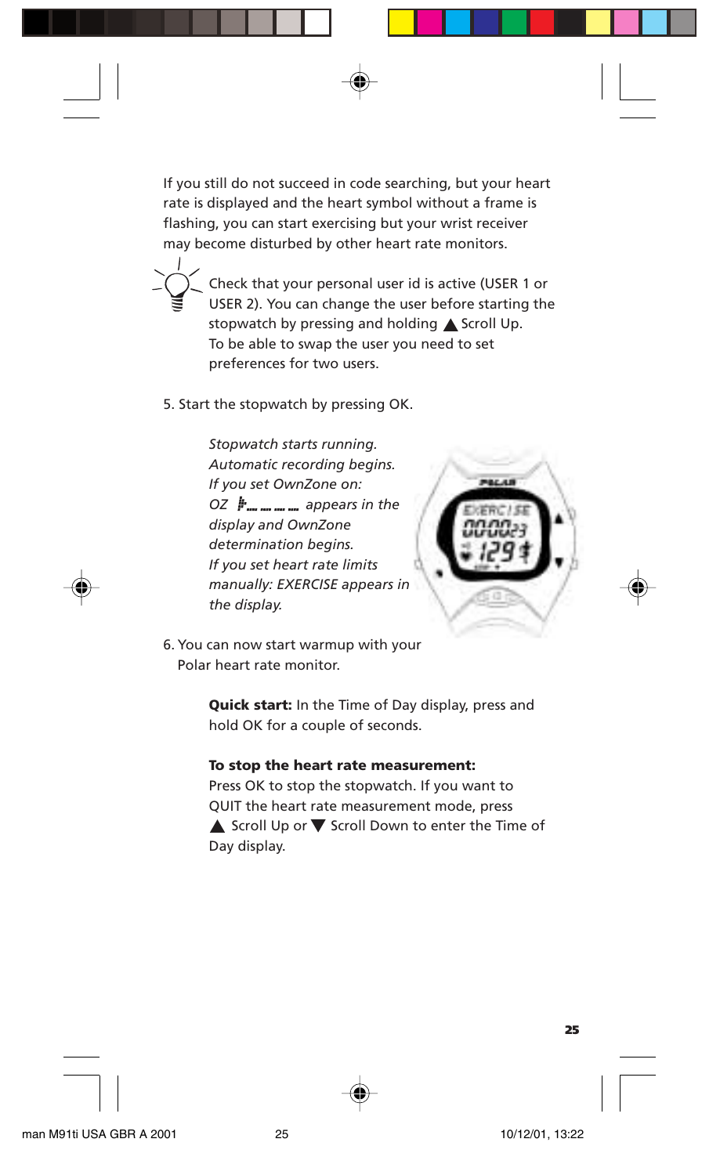If you still do not succeed in code searching, but your heart rate is displayed and the heart symbol without a frame is flashing, you can start exercising but your wrist receiver may become disturbed by other heart rate monitors.



Check that your personal user id is active (USER 1 or USER 2). You can change the user before starting the stopwatch by pressing and holding  $\triangle$  Scroll Up. To be able to swap the user you need to set preferences for two users.

5. Start the stopwatch by pressing OK.

*Stopwatch starts running. Automatic recording begins. If you set OwnZone on: OZ*  $\mu$ <sub>m</sub><sub>m</sub><sub>m</sub><sub>m</sub><sub>m</sub> appears in the *display and OwnZone determination begins. If you set heart rate limits manually: EXERCISE appears in the display.*



6. You can now start warmup with your Polar heart rate monitor.

> **Quick start:** In the Time of Day display, press and hold OK for a couple of seconds.

#### **To stop the heart rate measurement:**

Press OK to stop the stopwatch. If you want to QUIT the heart rate measurement mode, press  $\blacktriangle$  Scroll Up or  $\nabla$  Scroll Down to enter the Time of Day display.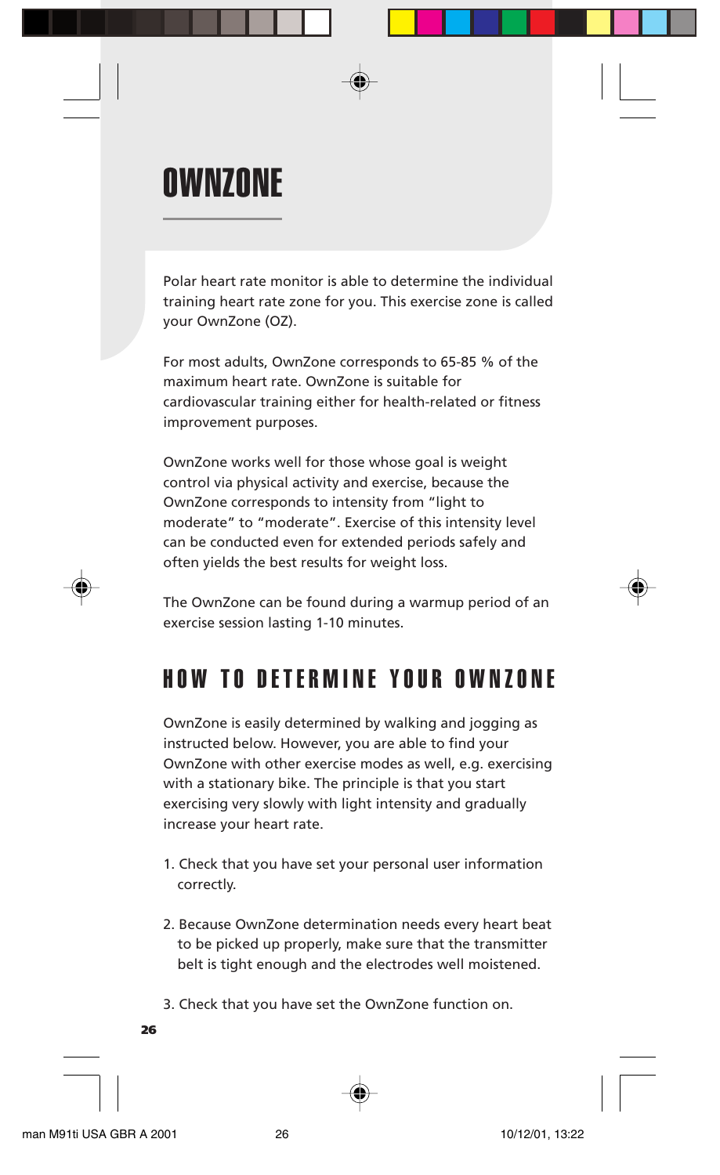# OWNZONE

Polar heart rate monitor is able to determine the individual training heart rate zone for you. This exercise zone is called your OwnZone (OZ).

For most adults, OwnZone corresponds to 65-85 % of the maximum heart rate. OwnZone is suitable for cardiovascular training either for health-related or fitness improvement purposes.

OwnZone works well for those whose goal is weight control via physical activity and exercise, because the OwnZone corresponds to intensity from "light to moderate" to "moderate". Exercise of this intensity level can be conducted even for extended periods safely and often yields the best results for weight loss.

The OwnZone can be found during a warmup period of an exercise session lasting 1-10 minutes.

## HOW TO DETERMINE YOUR OWNZONE

OwnZone is easily determined by walking and jogging as instructed below. However, you are able to find your OwnZone with other exercise modes as well, e.g. exercising with a stationary bike. The principle is that you start exercising very slowly with light intensity and gradually increase your heart rate.

- 1. Check that you have set your personal user information correctly.
- 2. Because OwnZone determination needs every heart beat to be picked up properly, make sure that the transmitter belt is tight enough and the electrodes well moistened.
- 3. Check that you have set the OwnZone function on.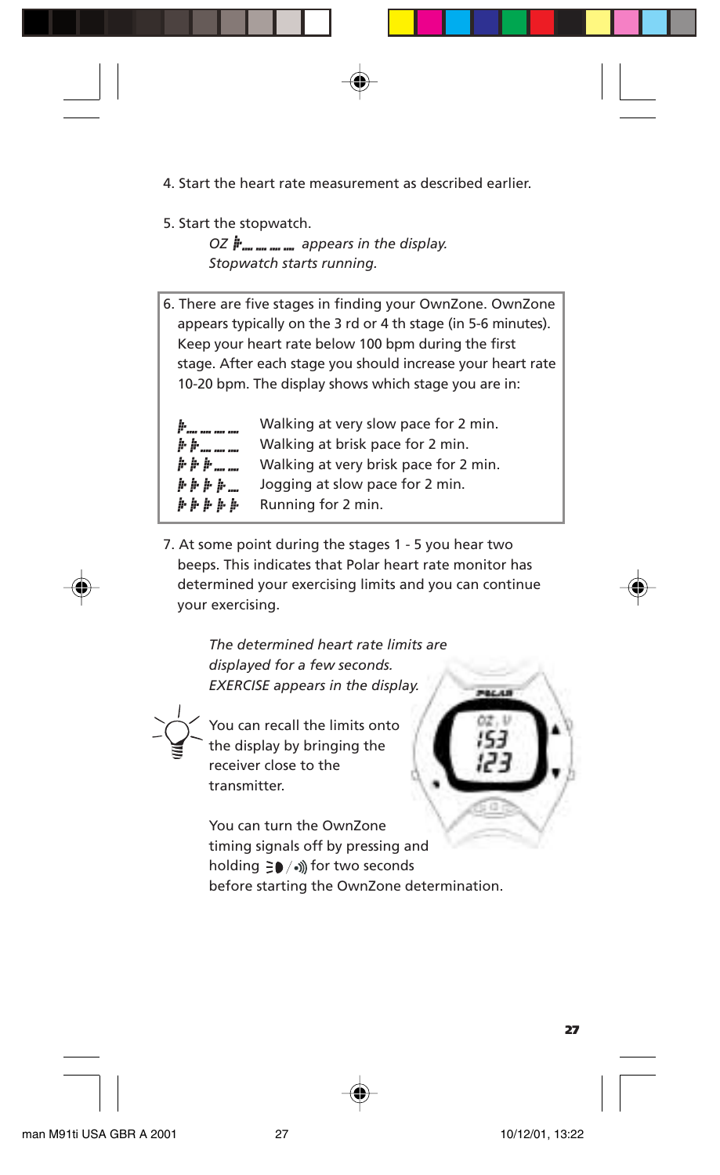- 4. Start the heart rate measurement as described earlier.
- 5. Start the stopwatch.

*OZ*  $\mu$ <sub>m</sub><sub>m</sub><sub>m</sub><sub>m</sub><sub>m</sub> appears in the display. *Stopwatch starts running.*

6. There are five stages in finding your OwnZone. OwnZone appears typically on the 3 rd or 4 th stage (in 5-6 minutes). Keep your heart rate below 100 bpm during the first stage. After each stage you should increase your heart rate 10-20 bpm. The display shows which stage you are in:

| <i>h</i>         | Walking at very slow pace for 2 min.  |
|------------------|---------------------------------------|
| #  #             | Walking at brisk pace for 2 min.      |
| ###              | Walking at very brisk pace for 2 min. |
| ####             | Jogging at slow pace for 2 min.       |
| <b>A</b> A A A A | Running for 2 min.                    |

7. At some point during the stages 1 - 5 you hear two beeps. This indicates that Polar heart rate monitor has determined your exercising limits and you can continue your exercising.

> *The determined heart rate limits are displayed for a few seconds. EXERCISE appears in the display.*

You can recall the limits onto the display by bringing the receiver close to the transmitter.



You can turn the OwnZone timing signals off by pressing and holding  $\exists \bullet / \bullet$ )) for two seconds before starting the OwnZone determination.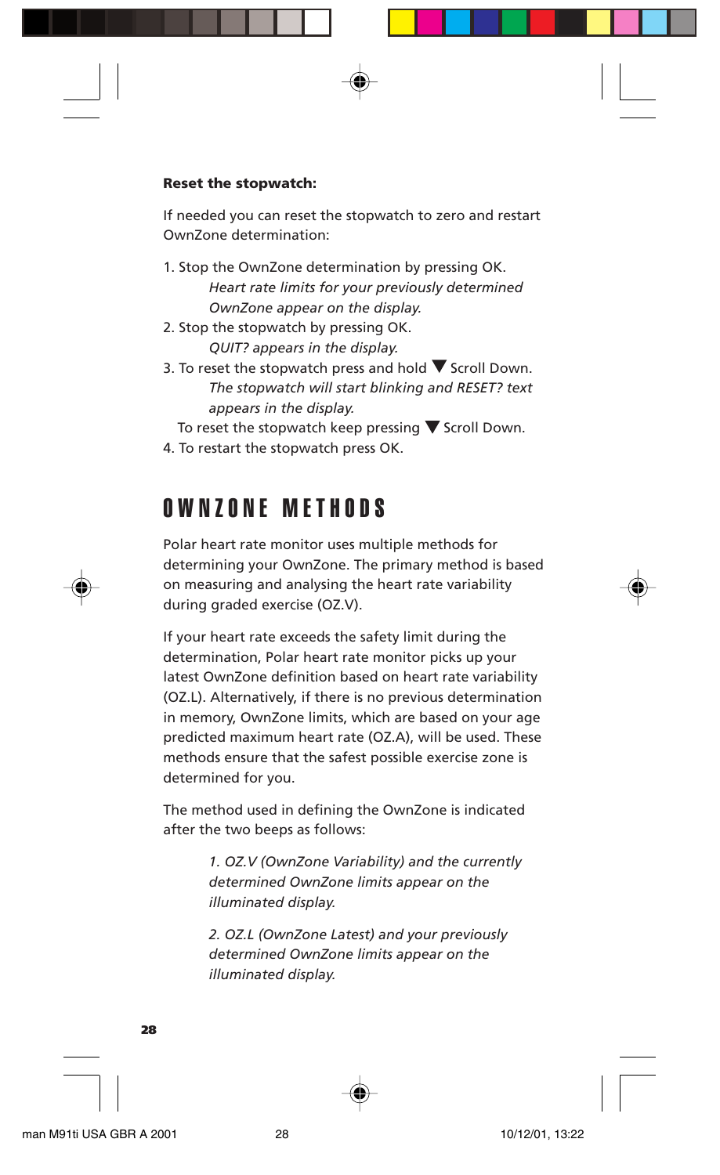## **Reset the stopwatch:**

If needed you can reset the stopwatch to zero and restart OwnZone determination:

- 1. Stop the OwnZone determination by pressing OK. *Heart rate limits for your previously determined OwnZone appear on the display.*
- 2. Stop the stopwatch by pressing OK. *QUIT? appears in the display.*
- 3. To reset the stopwatch press and hold  $\nabla$  Scroll Down. *The stopwatch will start blinking and RESET? text appears in the display.*

To reset the stopwatch keep pressing  $\nabla$  Scroll Down.

4. To restart the stopwatch press OK.

## OWNZONE METHODS

Polar heart rate monitor uses multiple methods for determining your OwnZone. The primary method is based on measuring and analysing the heart rate variability during graded exercise (OZ.V).

If your heart rate exceeds the safety limit during the determination, Polar heart rate monitor picks up your latest OwnZone definition based on heart rate variability (OZ.L). Alternatively, if there is no previous determination in memory, OwnZone limits, which are based on your age predicted maximum heart rate (OZ.A), will be used. These methods ensure that the safest possible exercise zone is determined for you.

The method used in defining the OwnZone is indicated after the two beeps as follows:

> *1. OZ.V (OwnZone Variability) and the currently determined OwnZone limits appear on the illuminated display.*

*2. OZ.L (OwnZone Latest) and your previously determined OwnZone limits appear on the illuminated display.*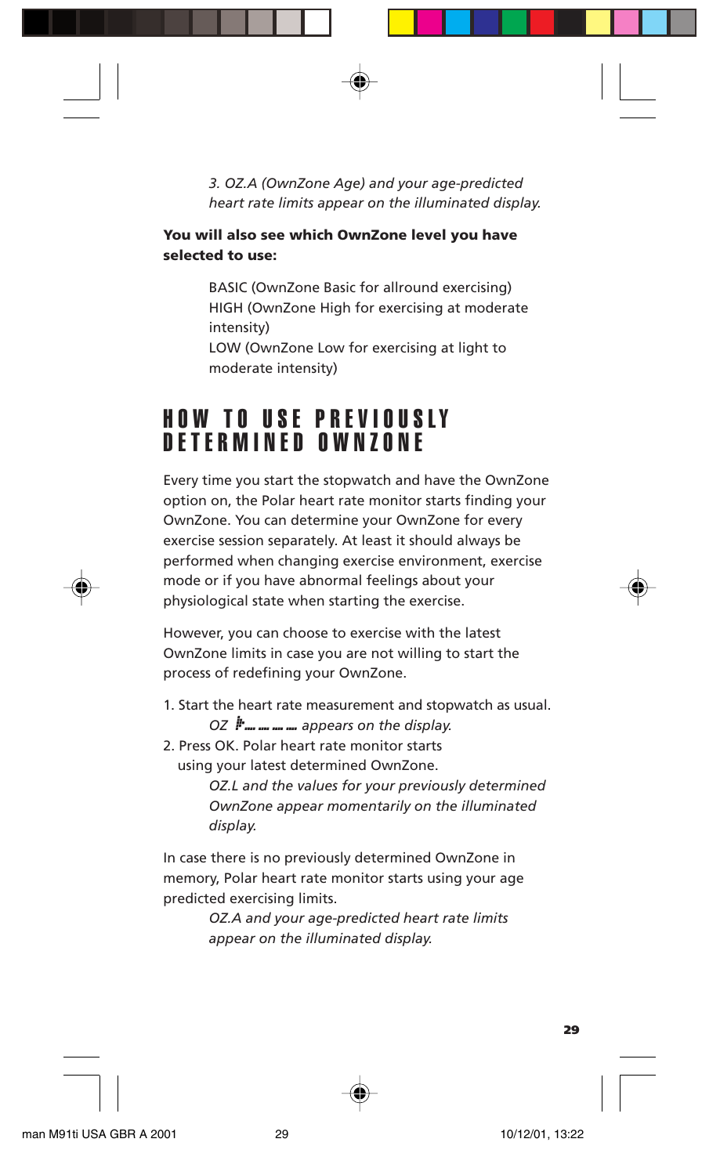*3. OZ.A (OwnZone Age) and your age-predicted heart rate limits appear on the illuminated display.*

## **You will also see which OwnZone level you have selected to use:**

BASIC (OwnZone Basic for allround exercising) HIGH (OwnZone High for exercising at moderate intensity)

LOW (OwnZone Low for exercising at light to moderate intensity)

## HOW TO USE PREVIOUSLY DETERMINED OWNZONE

Every time you start the stopwatch and have the OwnZone option on, the Polar heart rate monitor starts finding your OwnZone. You can determine your OwnZone for every exercise session separately. At least it should always be performed when changing exercise environment, exercise mode or if you have abnormal feelings about your physiological state when starting the exercise.

However, you can choose to exercise with the latest OwnZone limits in case you are not willing to start the process of redefining your OwnZone.

- 1. Start the heart rate measurement and stopwatch as usual. *OZ*  $\mathbf{F}$  .... .... .... appears on the display.
- 2. Press OK. Polar heart rate monitor starts using your latest determined OwnZone.

*OZ.L and the values for your previously determined OwnZone appear momentarily on the illuminated display.*

In case there is no previously determined OwnZone in memory, Polar heart rate monitor starts using your age predicted exercising limits.

> *OZ.A and your age-predicted heart rate limits appear on the illuminated display.*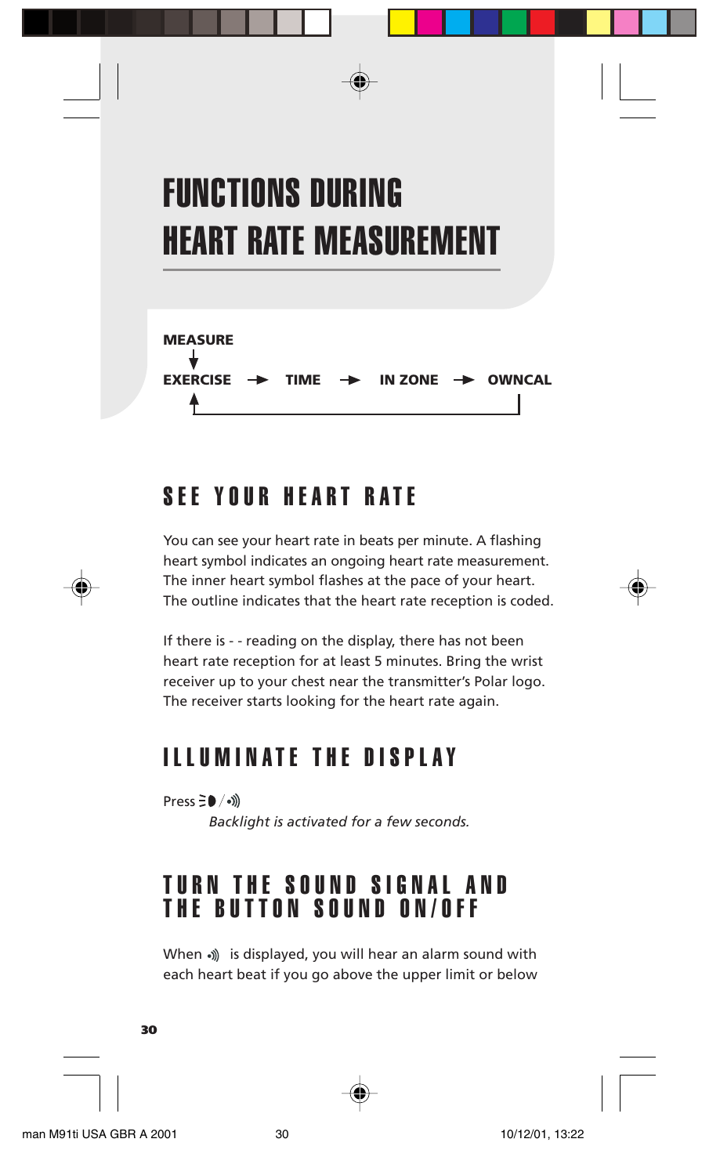# FUNCTIONS DURING HEART RATE MEASUREMENT



## SEE YOUR HEART RATE

You can see your heart rate in beats per minute. A flashing heart symbol indicates an ongoing heart rate measurement. The inner heart symbol flashes at the pace of your heart. The outline indicates that the heart rate reception is coded.

If there is - - reading on the display, there has not been heart rate reception for at least 5 minutes. Bring the wrist receiver up to your chest near the transmitter's Polar logo. The receiver starts looking for the heart rate again.

## ILLUMINATE THE DISPLAY

Press ∃●/•)

*Backlight is activated for a few seconds.*

## TURN THE SOUND SIGNAL AND THE BUTTON SOUND ON/OFF

When  $\binom{1}{2}$  is displayed, you will hear an alarm sound with each heart beat if you go above the upper limit or below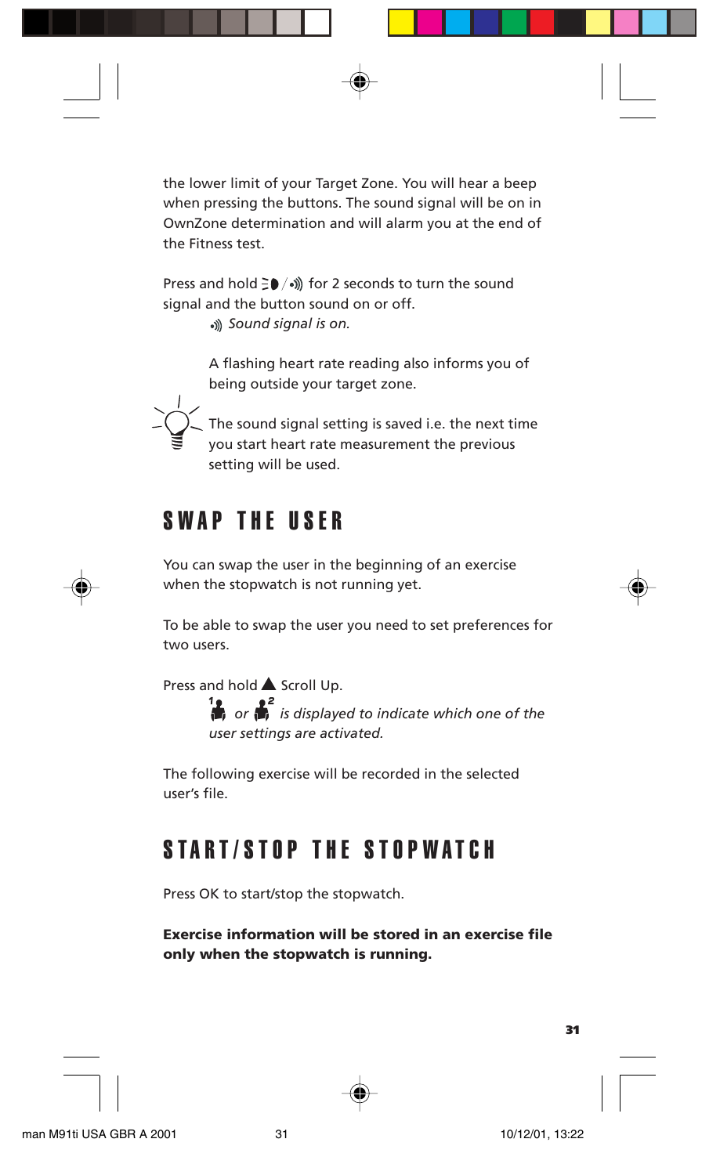the lower limit of your Target Zone. You will hear a beep when pressing the buttons. The sound signal will be on in OwnZone determination and will alarm you at the end of the Fitness test.

Press and hold  $\frac{1}{2}\bullet$  / $\bullet$ ) for 2 seconds to turn the sound signal and the button sound on or off.

 *Sound signal is on.*

A flashing heart rate reading also informs you of being outside your target zone.



The sound signal setting is saved i.e. the next time you start heart rate measurement the previous setting will be used.

## SWAP THE USER

You can swap the user in the beginning of an exercise when the stopwatch is not running yet.

To be able to swap the user you need to set preferences for two users.

Press and hold **A** Scroll Up.

*or is displayed to indicate which one of the user settings are activated.*

The following exercise will be recorded in the selected user's file.

## START/STOP THE STOPWATCH

Press OK to start/stop the stopwatch.

**Exercise information will be stored in an exercise file only when the stopwatch is running.**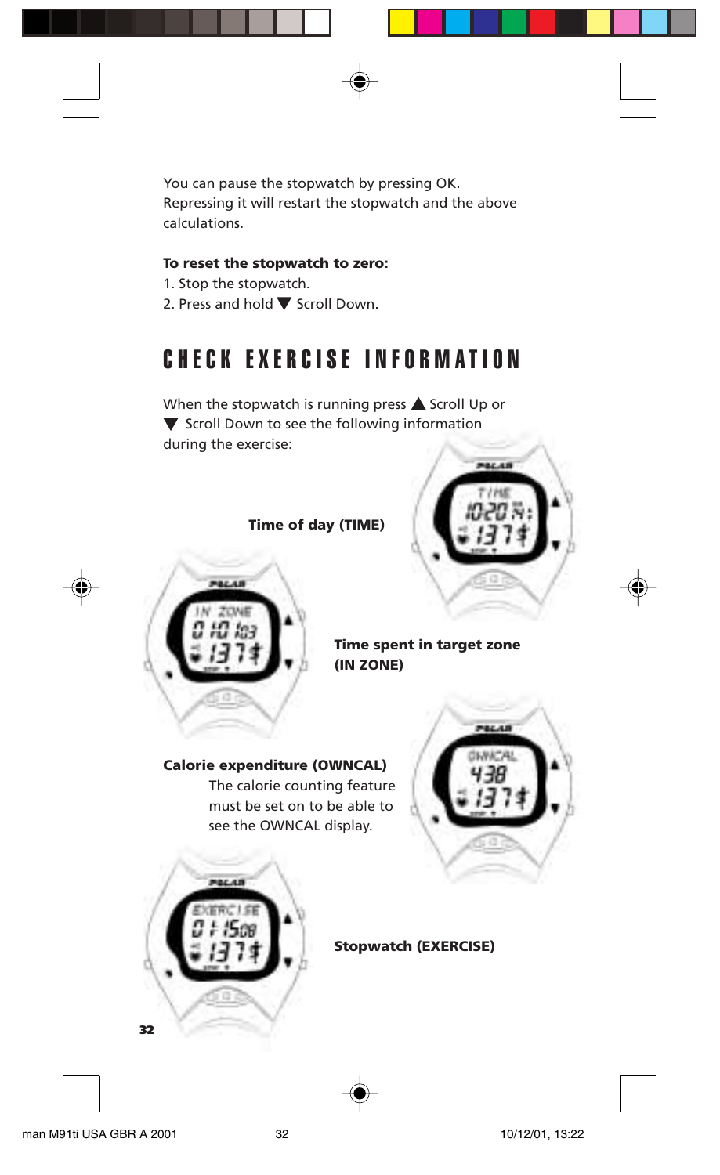You can pause the stopwatch by pressing OK. Repressing it will restart the stopwatch and the above calculations.

#### **To reset the stopwatch to zero:**

- 1. Stop the stopwatch.
- 2. Press and hold  $\nabla$  Scroll Down.

## CHECK EXERCISE INFORMATION

When the stopwatch is running press  $\triangle$  Scroll Up or  $\blacktriangledown$  Scroll Down to see the following information during the exercise:

### **Time of day (TIME)**





**Time spent in target zone (IN ZONE)**

## **Calorie expenditure (OWNCAL)**

The calorie counting feature must be set on to be able to see the OWNCAL display.





**Stopwatch (EXERCISE)**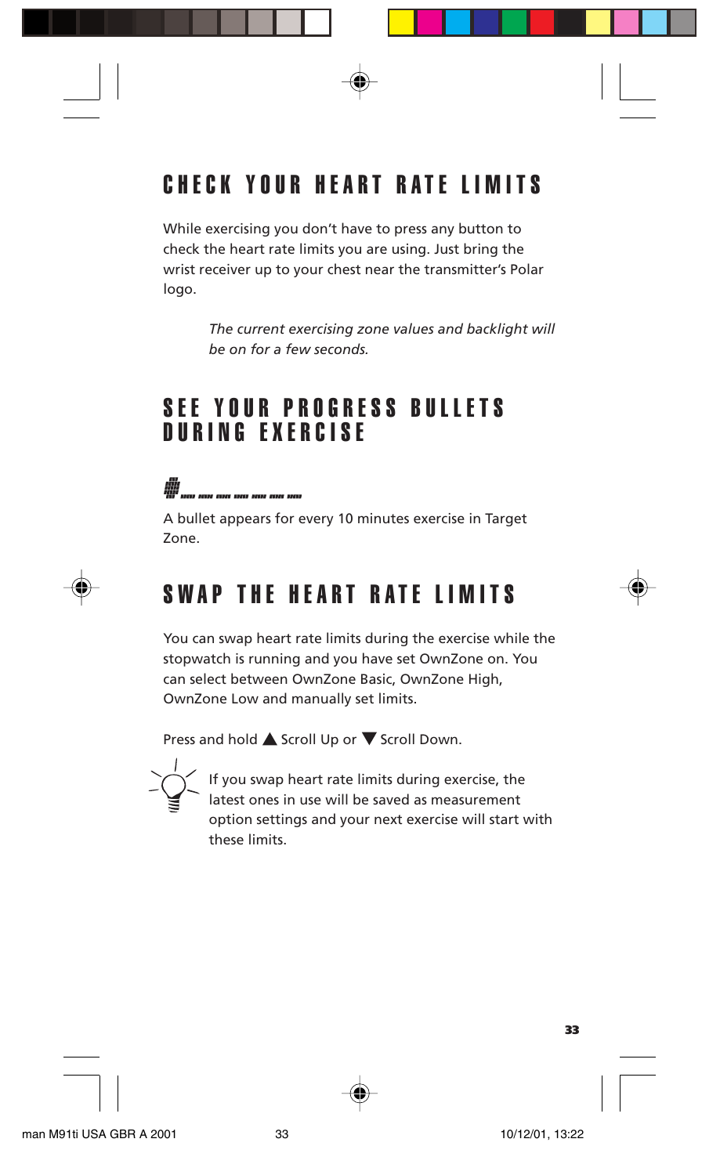## CHECK YOUR HEART RATE LIMITS

While exercising you don't have to press any button to check the heart rate limits you are using. Just bring the wrist receiver up to your chest near the transmitter's Polar logo.

> *The current exercising zone values and backlight will be on for a few seconds.*

## SEE YOUR PROGRESS BULLETS DURING EXERCISE



A bullet appears for every 10 minutes exercise in Target Zone.

## SWAP THE HEART RATE LIMITS

You can swap heart rate limits during the exercise while the stopwatch is running and you have set OwnZone on. You can select between OwnZone Basic, OwnZone High, OwnZone Low and manually set limits.

Press and hold  $\triangle$  Scroll Up or  $\nabla$  Scroll Down.



If you swap heart rate limits during exercise, the latest ones in use will be saved as measurement option settings and your next exercise will start with these limits.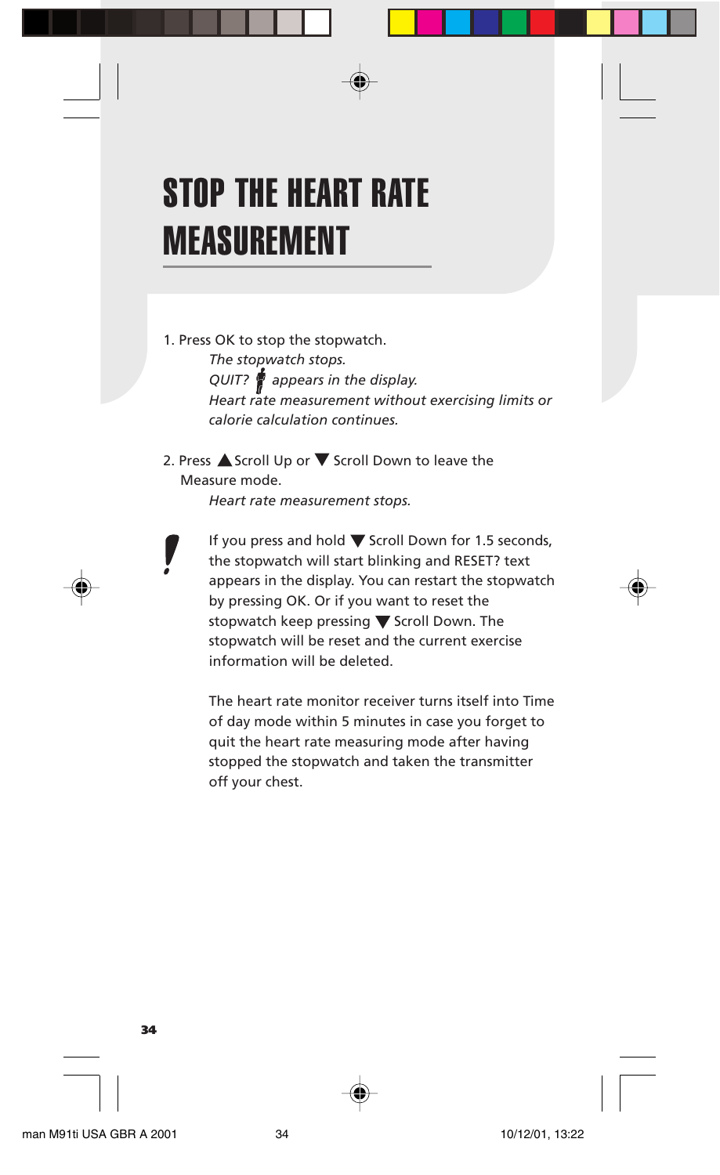# STOP THE HEART RATE MEASUREMENT

- 1. Press OK to stop the stopwatch. *The stopwatch stops. QUIT? appears in the display. Heart rate measurement without exercising limits or calorie calculation continues.*
- 2. Press  $\triangle$  Scroll Up or  $\nabla$  Scroll Down to leave the Measure mode.

*Heart rate measurement stops.*

If you press and hold  $\nabla$  Scroll Down for 1.5 seconds, the stopwatch will start blinking and RESET? text appears in the display. You can restart the stopwatch by pressing OK. Or if you want to reset the stopwatch keep pressing  $\nabla$  Scroll Down. The stopwatch will be reset and the current exercise information will be deleted.

The heart rate monitor receiver turns itself into Time of day mode within 5 minutes in case you forget to quit the heart rate measuring mode after having stopped the stopwatch and taken the transmitter off your chest.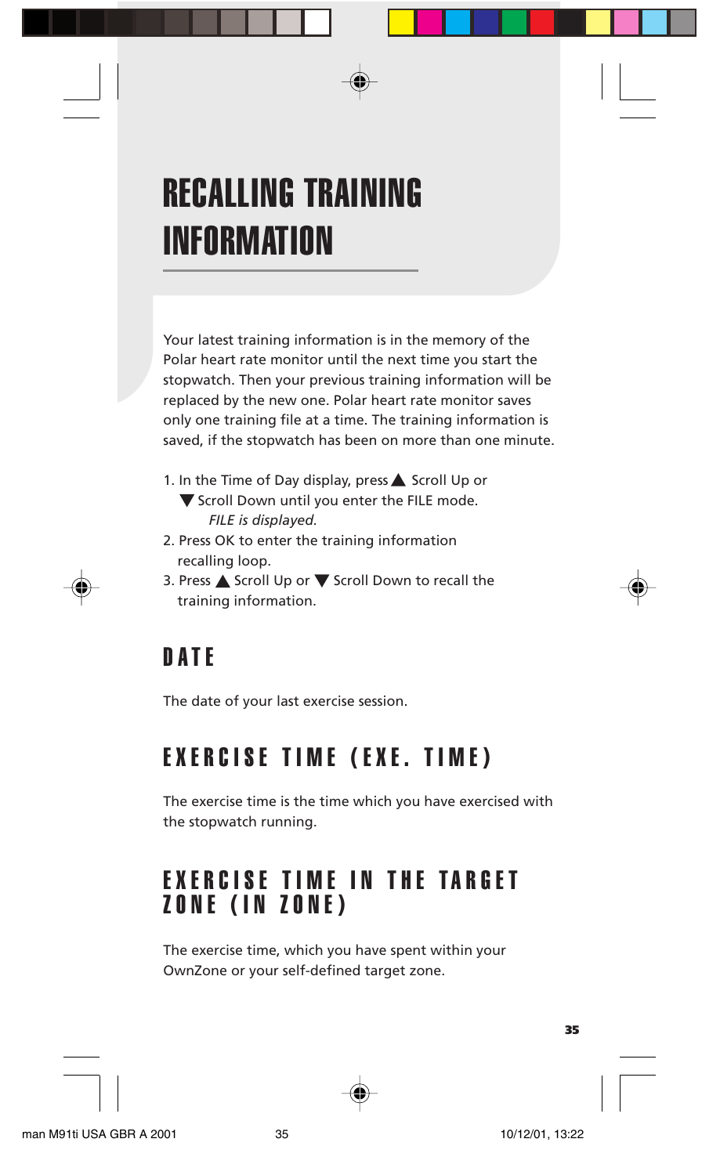# RECALLING TRAINING INFORMATION

Your latest training information is in the memory of the Polar heart rate monitor until the next time you start the stopwatch. Then your previous training information will be replaced by the new one. Polar heart rate monitor saves only one training file at a time. The training information is saved, if the stopwatch has been on more than one minute.

- 1. In the Time of Day display, press  $\triangle$  Scroll Up or ▼ Scroll Down until you enter the FILE mode. *FILE is displayed.*
- 2. Press OK to enter the training information recalling loop.
- 3. Press  $\triangle$  Scroll Up or  $\nabla$  Scroll Down to recall the training information.

## **DATE**

The date of your last exercise session.

## EXERCISE TIME (EXE. TIME)

The exercise time is the time which you have exercised with the stopwatch running.

## EXERCISE TIME IN THE TARGET ZONE (IN ZONE)

The exercise time, which you have spent within your OwnZone or your self-defined target zone.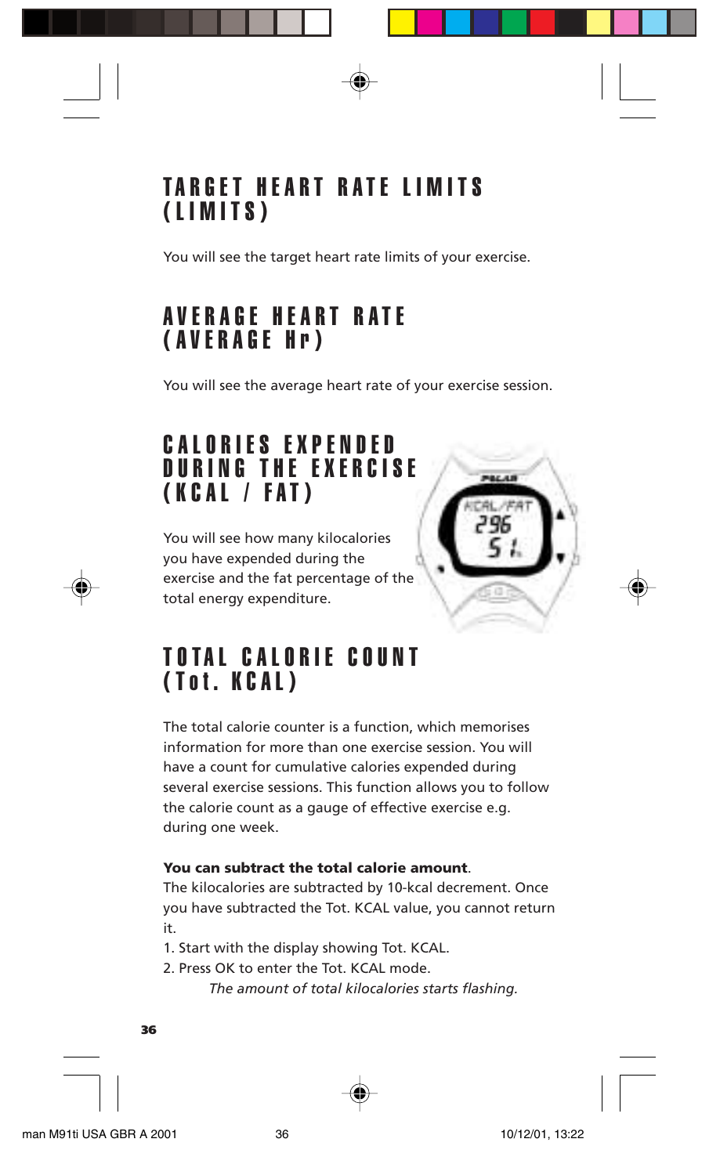## TARGET HEART RATE LIMITS (LIMITS)

You will see the target heart rate limits of your exercise.

## AVERAGE HEART RATE (AVERAGE Hr)

You will see the average heart rate of your exercise session.

## CALORIES EXPENDED DURING THE EXERCISE (KCAL / FAT)

You will see how many kilocalories you have expended during the exercise and the fat percentage of the total energy expenditure.



## TOTAL CALORIE COUNT (Tot. KCAL)

The total calorie counter is a function, which memorises information for more than one exercise session. You will have a count for cumulative calories expended during several exercise sessions. This function allows you to follow the calorie count as a gauge of effective exercise e.g. during one week.

## **You can subtract the total calorie amount**.

The kilocalories are subtracted by 10-kcal decrement. Once you have subtracted the Tot. KCAL value, you cannot return it.

- 1. Start with the display showing Tot. KCAL.
- 2. Press OK to enter the Tot. KCAL mode.

*The amount of total kilocalories starts flashing.*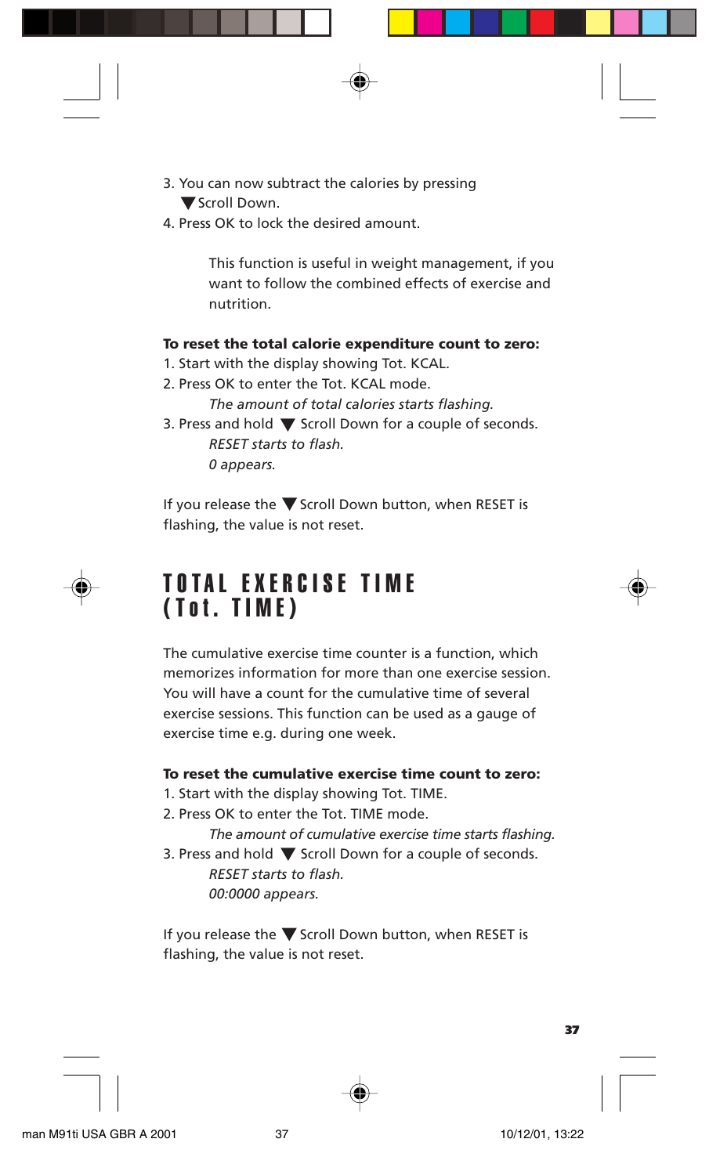- 3. You can now subtract the calories by pressing Scroll Down.
- 4. Press OK to lock the desired amount.

This function is useful in weight management, if you want to follow the combined effects of exercise and nutrition.

#### **To reset the total calorie expenditure count to zero:**

- 1. Start with the display showing Tot. KCAL.
- 2. Press OK to enter the Tot. KCAL mode.

*The amount of total calories starts flashing.*

3. Press and hold  $\nabla$  Scroll Down for a couple of seconds. *RESET starts to flash. 0 appears.*

If you release the  $\nabla$  Scroll Down button, when RESET is flashing, the value is not reset.

## TOTAL EXERCISE TIME (Tot. TIME)

The cumulative exercise time counter is a function, which memorizes information for more than one exercise session. You will have a count for the cumulative time of several exercise sessions. This function can be used as a gauge of exercise time e.g. during one week.

## **To reset the cumulative exercise time count to zero:**

- 1. Start with the display showing Tot. TIME.
- 2. Press OK to enter the Tot. TIME mode.

*The amount of cumulative exercise time starts flashing.* 3. Press and hold  $\nabla$  Scroll Down for a couple of seconds. *RESET starts to flash. 00:0000 appears.*

If you release the  $\nabla$  Scroll Down button, when RESET is flashing, the value is not reset.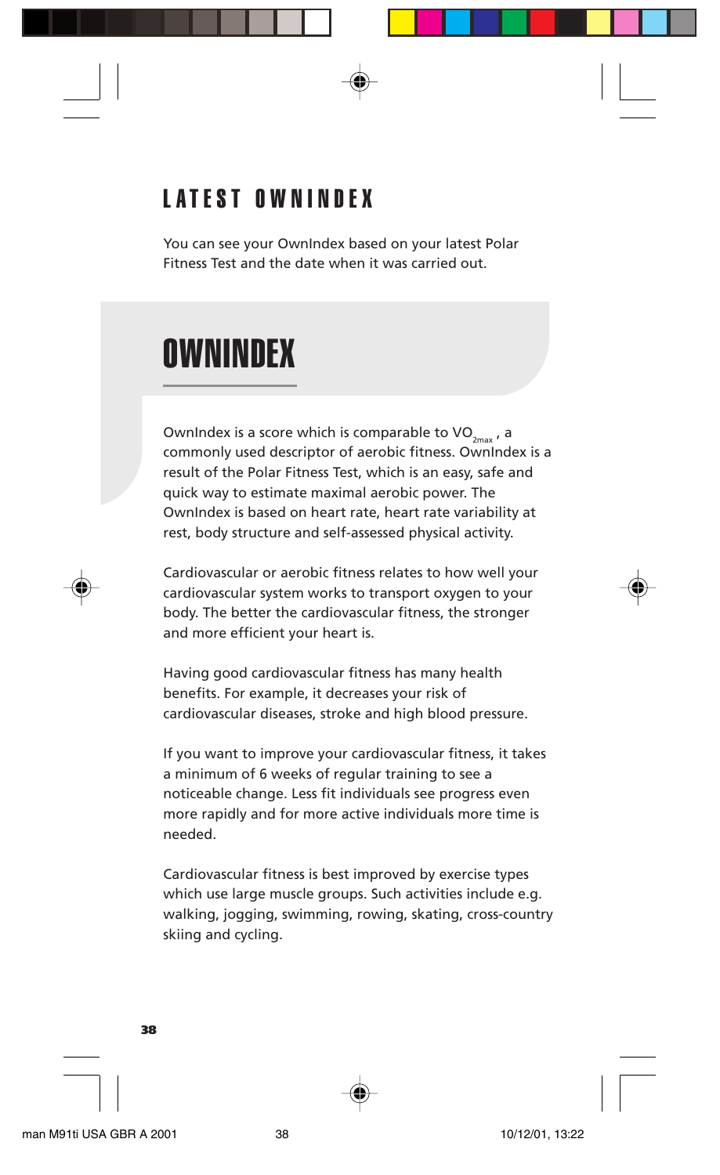## LATEST OWNINDEX

You can see your OwnIndex based on your latest Polar Fitness Test and the date when it was carried out.

# OWNINDEX

OwnIndex is a score which is comparable to  $VO_{2max}$ , a commonly used descriptor of aerobic fitness. OwnIndex is a result of the Polar Fitness Test, which is an easy, safe and quick way to estimate maximal aerobic power. The OwnIndex is based on heart rate, heart rate variability at rest, body structure and self-assessed physical activity.

Cardiovascular or aerobic fitness relates to how well your cardiovascular system works to transport oxygen to your body. The better the cardiovascular fitness, the stronger and more efficient your heart is.

Having good cardiovascular fitness has many health benefits. For example, it decreases your risk of cardiovascular diseases, stroke and high blood pressure.

If you want to improve your cardiovascular fitness, it takes a minimum of 6 weeks of regular training to see a noticeable change. Less fit individuals see progress even more rapidly and for more active individuals more time is needed.

Cardiovascular fitness is best improved by exercise types which use large muscle groups. Such activities include e.g. walking, jogging, swimming, rowing, skating, cross-country skiing and cycling.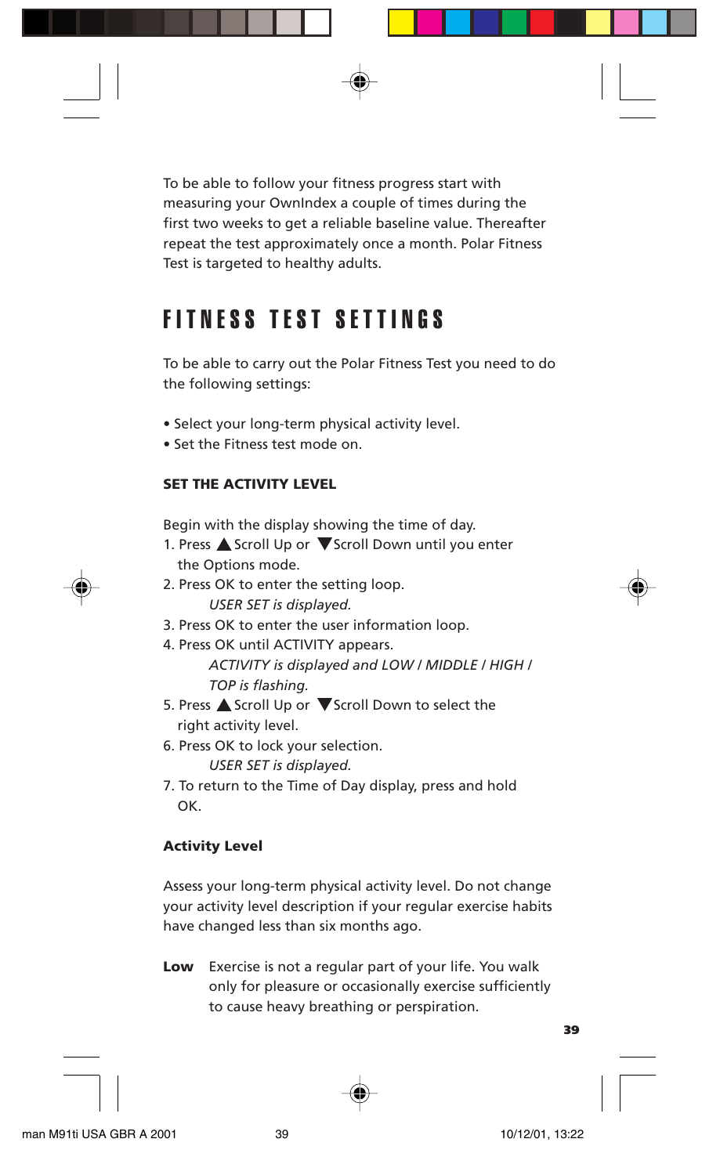To be able to follow your fitness progress start with measuring your OwnIndex a couple of times during the first two weeks to get a reliable baseline value. Thereafter repeat the test approximately once a month. Polar Fitness Test is targeted to healthy adults.

## FITNESS TEST SETTINGS

To be able to carry out the Polar Fitness Test you need to do the following settings:

- Select your long-term physical activity level.
- Set the Fitness test mode on.

#### **SET THE ACTIVITY LEVEL**

Begin with the display showing the time of day.

- 1. Press  $\triangle$  Scroll Up or  $\nabla$  Scroll Down until you enter the Options mode.
- 2. Press OK to enter the setting loop. *USER SET is displayed.*
- 3. Press OK to enter the user information loop.
- 4. Press OK until ACTIVITY appears.

*ACTIVITY is displayed and LOW / MIDDLE / HIGH / TOP is flashing.*

- 5. Press ▲ Scroll Up or ▼ Scroll Down to select the right activity level.
- 6. Press OK to lock your selection. *USER SET is displayed.*
- 7. To return to the Time of Day display, press and hold OK.

## **Activity Level**

Assess your long-term physical activity level. Do not change your activity level description if your regular exercise habits have changed less than six months ago.

**Low** Exercise is not a regular part of your life. You walk only for pleasure or occasionally exercise sufficiently to cause heavy breathing or perspiration.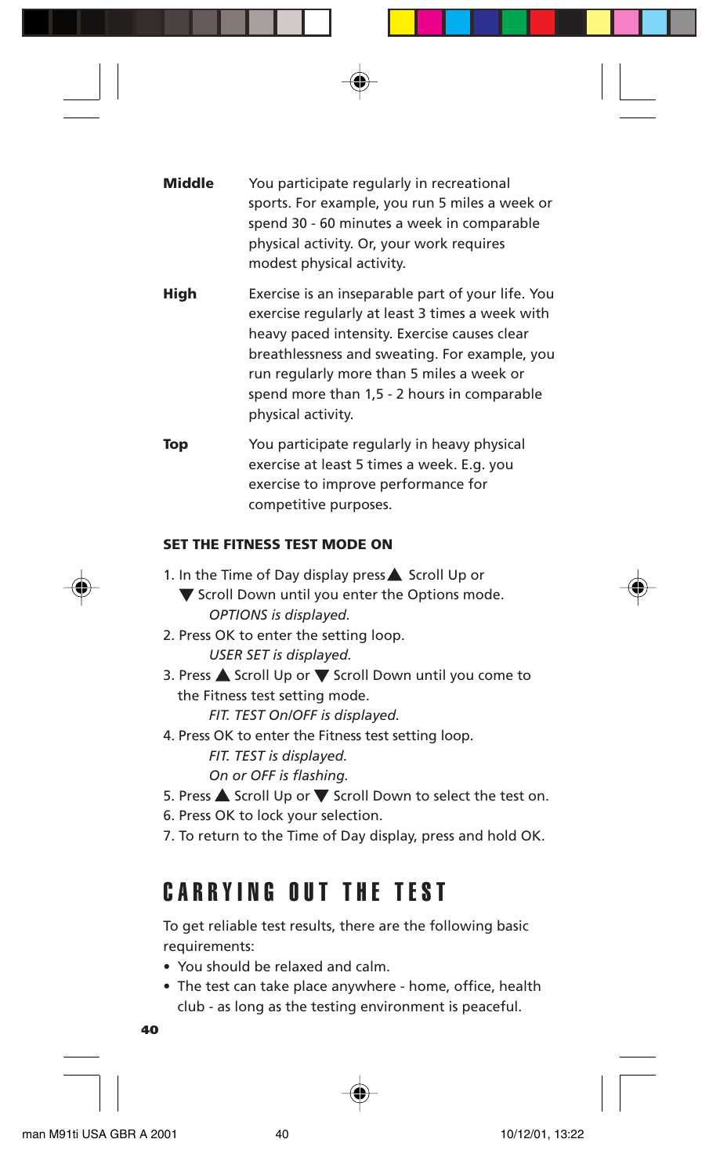- **Middle** You participate regularly in recreational sports. For example, you run 5 miles a week or spend 30 - 60 minutes a week in comparable physical activity. Or, your work requires modest physical activity.
- **High** Exercise is an inseparable part of your life. You exercise regularly at least 3 times a week with heavy paced intensity. Exercise causes clear breathlessness and sweating. For example, you run regularly more than 5 miles a week or spend more than 1,5 - 2 hours in comparable physical activity.
- **Top** You participate regularly in heavy physical exercise at least 5 times a week. E.g. you exercise to improve performance for competitive purposes.

### **SET THE FITNESS TEST MODE ON**

- 1. In the Time of Day display press  $\triangle$  Scroll Up or ▼ Scroll Down until you enter the Options mode. *OPTIONS is displayed.*
- 2. Press OK to enter the setting loop. *USER SET is displayed.*
- 3. Press  $\triangle$  Scroll Up or  $\nabla$  Scroll Down until you come to the Fitness test setting mode.

*FIT. TEST On/OFF is displayed.*

4. Press OK to enter the Fitness test setting loop.

*FIT. TEST is displayed.*

*On or OFF is flashing.*

- 5. Press  $\triangle$  Scroll Up or  $\nabla$  Scroll Down to select the test on.
- 6. Press OK to lock your selection.
- 7. To return to the Time of Day display, press and hold OK.

## CARRYING OUT THE TEST

To get reliable test results, there are the following basic requirements:

- You should be relaxed and calm.
- The test can take place anywhere home, office, health club - as long as the testing environment is peaceful.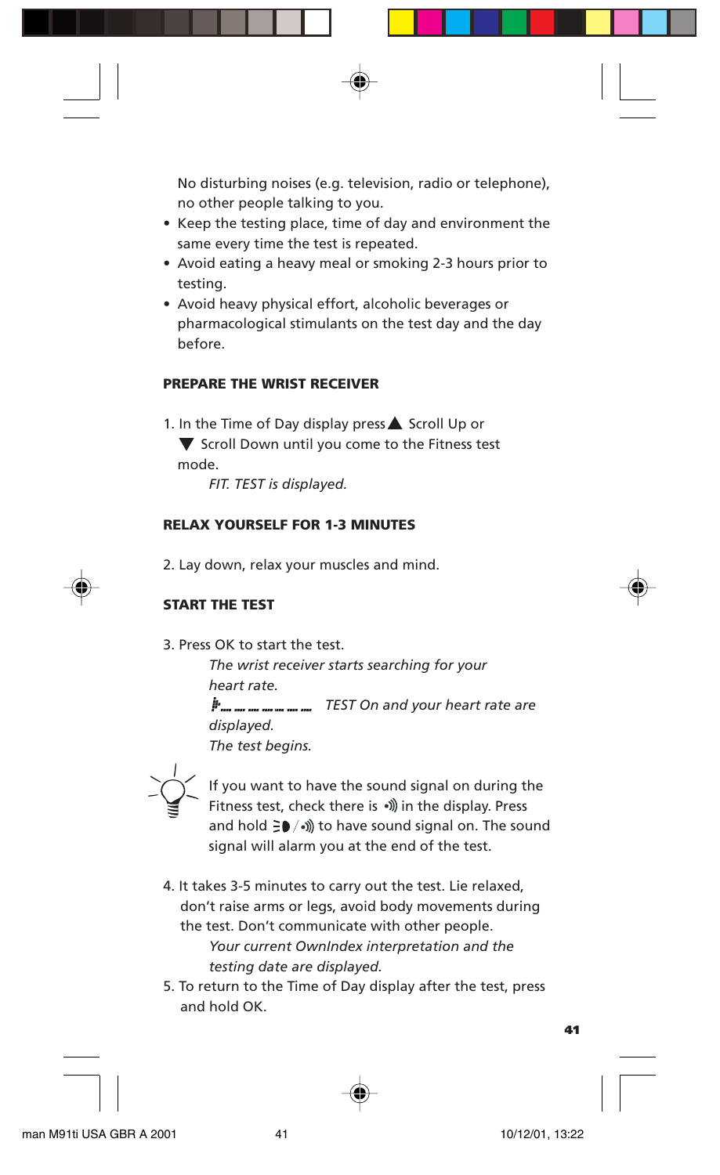No disturbing noises (e.g. television, radio or telephone), no other people talking to you.

- Keep the testing place, time of day and environment the same every time the test is repeated.
- Avoid eating a heavy meal or smoking 2-3 hours prior to testing.
- Avoid heavy physical effort, alcoholic beverages or pharmacological stimulants on the test day and the day before.

## **PREPARE THE WRIST RECEIVER**

1. In the Time of Day display press  $\triangle$  Scroll Up or  $\blacktriangledown$  Scroll Down until you come to the Fitness test mode.

*FIT. TEST is displayed.*

## **RELAX YOURSELF FOR 1-3 MINUTES**

2. Lay down, relax your muscles and mind.

#### **START THE TEST**

3. Press OK to start the test.

*The wrist receiver starts searching for your heart rate. TEST On and your heart rate are displayed. The test begins.*



If you want to have the sound signal on during the Fitness test, check there is  $\cdot$ ) in the display. Press and hold  $\geq 0$  /•)) to have sound signal on. The sound signal will alarm you at the end of the test.

- 4. It takes 3-5 minutes to carry out the test. Lie relaxed, don't raise arms or legs, avoid body movements during the test. Don't communicate with other people. *Your current OwnIndex interpretation and the testing date are displayed.*
- 5. To return to the Time of Day display after the test, press and hold OK.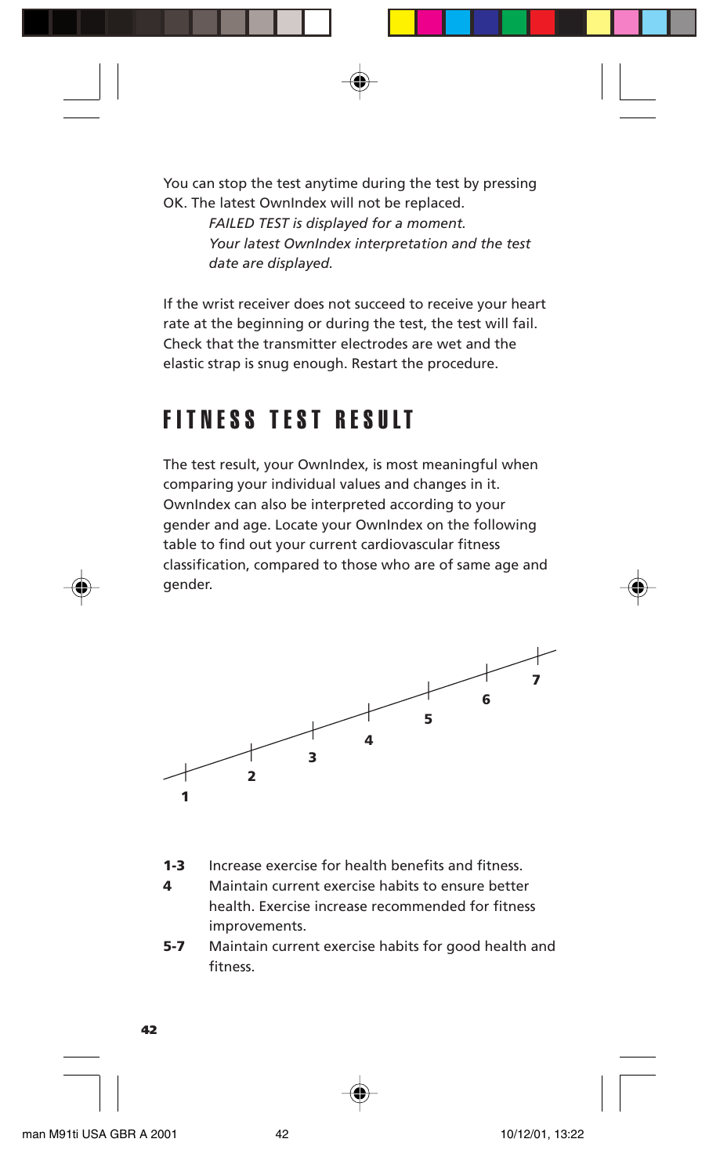You can stop the test anytime during the test by pressing OK. The latest OwnIndex will not be replaced.

> *FAILED TEST is displayed for a moment. Your latest OwnIndex interpretation and the test date are displayed.*

If the wrist receiver does not succeed to receive your heart rate at the beginning or during the test, the test will fail. Check that the transmitter electrodes are wet and the elastic strap is snug enough. Restart the procedure.

## FITNESS TEST RESULT

The test result, your OwnIndex, is most meaningful when comparing your individual values and changes in it. OwnIndex can also be interpreted according to your gender and age. Locate your OwnIndex on the following table to find out your current cardiovascular fitness classification, compared to those who are of same age and gender.



- **1-3** Increase exercise for health benefits and fitness.
- **4** Maintain current exercise habits to ensure better health. Exercise increase recommended for fitness improvements.
- **5-7** Maintain current exercise habits for good health and fitness.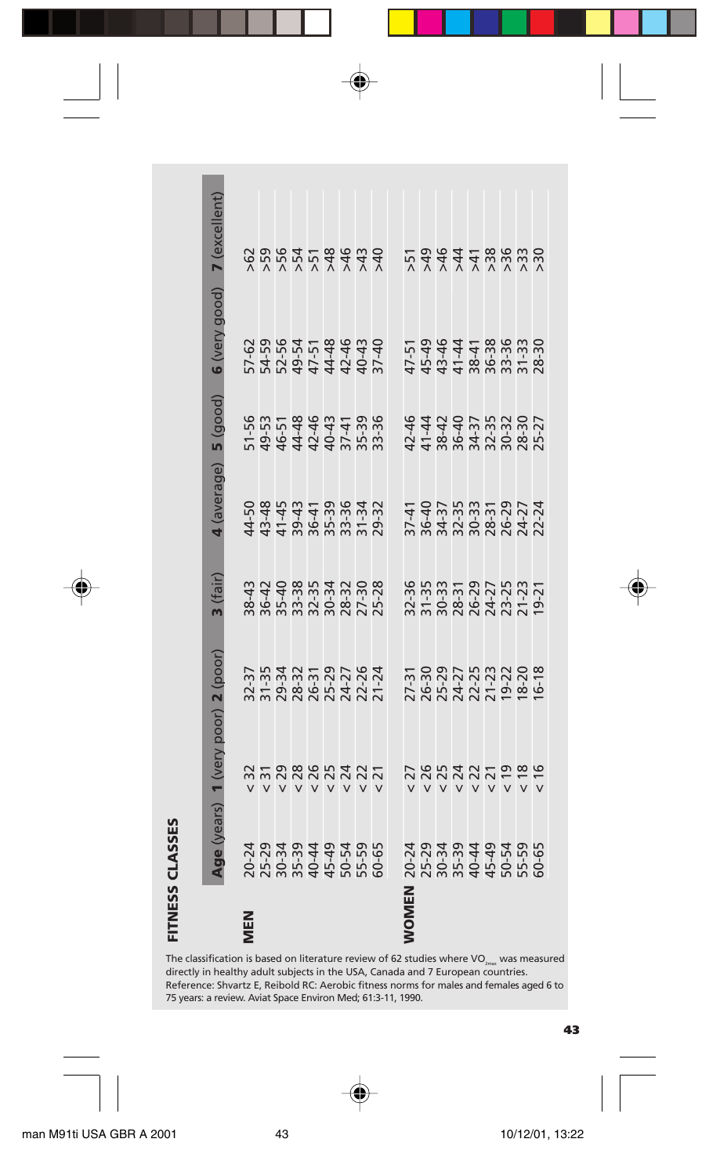| 6 (very good) 7 (excellent<br>888858888<br>$5.5884744474$<br>$5.59647444474$<br>$5.59647144474$<br>$47 - 5$<br>$49 - 44$<br>$49 - 44$<br>$49 - 44$<br>$49 - 44$<br>$49 - 44$<br>$49 - 8$<br>$49 - 8$<br>$49 - 8$<br>$49 - 8$<br>$49 - 8$<br>$49 - 8$<br>$49 - 8$<br>$49 - 8$<br>$49 - 8$<br>$49 - 8$<br>$49 - 8$<br>(average) 5 (good)<br>5156<br>44444455556<br>54444445555<br>54444455556<br>$47440$<br>$44420$<br>$44420$<br>$4420$<br>$4420$<br>$4420$<br>$5750$<br>$570$<br>$570$<br>$570$<br>$37 - 49$<br>$36 - 39$<br>$37 - 39$<br>$38 - 39$<br>$38 - 39$<br>$38 - 39$<br>$38 - 39$<br>$32 - 34$<br>$32 - 34$<br>Age (years) 1 (very poor) 2 (poor)<br>$\begin{array}{l} 27 - 31 \\ 26 - 39 \\ 27 - 29 \\ 28 - 27 \\ 29 - 29 \\ 29 - 29 \\ 20 - 29 \\ 21 - 29 \\ 22 - 29 \\ 23 - 29 \\ 24 - 29 \\ 25 - 29 \\ 26 - 18 \\ 27 - 29 \\ 28 - 29 \\ 29 - 29 \\ 20 - 29 \\ 21 - 29 \\ 23 - 29 \\ 20 - 29 \\ 21 - 29 \\ 22 - 29 \\ 23 - 29 \\ 24 - 29 \\ 25 - 29 \\ 27 - 29 \\ 28 - $<br>$\begin{array}{l} 27.37 \\ 27.47 \\ 28.38 \\ 29.47 \\ 20.47 \\ 21.47 \\ 23.47 \\ 24.47 \\ 25.47 \\ 26.47 \\ 27.47 \\ 28.47 \\ 29.47 \\ 20.47 \\ 21.47 \\ 22.47 \\ 23.47 \\ 24.47 \\ 25.47 \\ 26.47 \\ 27.47 \\ 28.47 \\ 29.47 \\ 20.47 \\ 21.47 \\ 22.47 \\ 23.47 \\ 24.47 \\ 25.47 \\ 26.47 \\ 27$<br>ていさんという e de de de de la produit<br>2010 - A de de de la produit<br>2010 - A de de la produit<br>22222222222<br>2222222222<br>2023 3024<br>2023 3024<br>2023 3024 3025<br>N<br>三 |  |  |        |  |  |
|---------------------------------------------------------------------------------------------------------------------------------------------------------------------------------------------------------------------------------------------------------------------------------------------------------------------------------------------------------------------------------------------------------------------------------------------------------------------------------------------------------------------------------------------------------------------------------------------------------------------------------------------------------------------------------------------------------------------------------------------------------------------------------------------------------------------------------------------------------------------------------------------------------------------------------------------------------------------------------------------------------------------------------------------------------------------------------------------------------------------------------------------------------------------------------------------------------------------------------------------------------------------------------------------------------------------------------------------------------------------------------------------------------------------------------------------------------------------------------|--|--|--------|--|--|
|                                                                                                                                                                                                                                                                                                                                                                                                                                                                                                                                                                                                                                                                                                                                                                                                                                                                                                                                                                                                                                                                                                                                                                                                                                                                                                                                                                                                                                                                                 |  |  | (fair) |  |  |
|                                                                                                                                                                                                                                                                                                                                                                                                                                                                                                                                                                                                                                                                                                                                                                                                                                                                                                                                                                                                                                                                                                                                                                                                                                                                                                                                                                                                                                                                                 |  |  |        |  |  |
|                                                                                                                                                                                                                                                                                                                                                                                                                                                                                                                                                                                                                                                                                                                                                                                                                                                                                                                                                                                                                                                                                                                                                                                                                                                                                                                                                                                                                                                                                 |  |  |        |  |  |
|                                                                                                                                                                                                                                                                                                                                                                                                                                                                                                                                                                                                                                                                                                                                                                                                                                                                                                                                                                                                                                                                                                                                                                                                                                                                                                                                                                                                                                                                                 |  |  |        |  |  |
|                                                                                                                                                                                                                                                                                                                                                                                                                                                                                                                                                                                                                                                                                                                                                                                                                                                                                                                                                                                                                                                                                                                                                                                                                                                                                                                                                                                                                                                                                 |  |  |        |  |  |
|                                                                                                                                                                                                                                                                                                                                                                                                                                                                                                                                                                                                                                                                                                                                                                                                                                                                                                                                                                                                                                                                                                                                                                                                                                                                                                                                                                                                                                                                                 |  |  |        |  |  |
|                                                                                                                                                                                                                                                                                                                                                                                                                                                                                                                                                                                                                                                                                                                                                                                                                                                                                                                                                                                                                                                                                                                                                                                                                                                                                                                                                                                                                                                                                 |  |  |        |  |  |
|                                                                                                                                                                                                                                                                                                                                                                                                                                                                                                                                                                                                                                                                                                                                                                                                                                                                                                                                                                                                                                                                                                                                                                                                                                                                                                                                                                                                                                                                                 |  |  |        |  |  |
|                                                                                                                                                                                                                                                                                                                                                                                                                                                                                                                                                                                                                                                                                                                                                                                                                                                                                                                                                                                                                                                                                                                                                                                                                                                                                                                                                                                                                                                                                 |  |  |        |  |  |
|                                                                                                                                                                                                                                                                                                                                                                                                                                                                                                                                                                                                                                                                                                                                                                                                                                                                                                                                                                                                                                                                                                                                                                                                                                                                                                                                                                                                                                                                                 |  |  |        |  |  |
|                                                                                                                                                                                                                                                                                                                                                                                                                                                                                                                                                                                                                                                                                                                                                                                                                                                                                                                                                                                                                                                                                                                                                                                                                                                                                                                                                                                                                                                                                 |  |  |        |  |  |
|                                                                                                                                                                                                                                                                                                                                                                                                                                                                                                                                                                                                                                                                                                                                                                                                                                                                                                                                                                                                                                                                                                                                                                                                                                                                                                                                                                                                                                                                                 |  |  |        |  |  |
|                                                                                                                                                                                                                                                                                                                                                                                                                                                                                                                                                                                                                                                                                                                                                                                                                                                                                                                                                                                                                                                                                                                                                                                                                                                                                                                                                                                                                                                                                 |  |  |        |  |  |
|                                                                                                                                                                                                                                                                                                                                                                                                                                                                                                                                                                                                                                                                                                                                                                                                                                                                                                                                                                                                                                                                                                                                                                                                                                                                                                                                                                                                                                                                                 |  |  |        |  |  |
|                                                                                                                                                                                                                                                                                                                                                                                                                                                                                                                                                                                                                                                                                                                                                                                                                                                                                                                                                                                                                                                                                                                                                                                                                                                                                                                                                                                                                                                                                 |  |  |        |  |  |
|                                                                                                                                                                                                                                                                                                                                                                                                                                                                                                                                                                                                                                                                                                                                                                                                                                                                                                                                                                                                                                                                                                                                                                                                                                                                                                                                                                                                                                                                                 |  |  |        |  |  |
|                                                                                                                                                                                                                                                                                                                                                                                                                                                                                                                                                                                                                                                                                                                                                                                                                                                                                                                                                                                                                                                                                                                                                                                                                                                                                                                                                                                                                                                                                 |  |  |        |  |  |
|                                                                                                                                                                                                                                                                                                                                                                                                                                                                                                                                                                                                                                                                                                                                                                                                                                                                                                                                                                                                                                                                                                                                                                                                                                                                                                                                                                                                                                                                                 |  |  |        |  |  |
|                                                                                                                                                                                                                                                                                                                                                                                                                                                                                                                                                                                                                                                                                                                                                                                                                                                                                                                                                                                                                                                                                                                                                                                                                                                                                                                                                                                                                                                                                 |  |  |        |  |  |
|                                                                                                                                                                                                                                                                                                                                                                                                                                                                                                                                                                                                                                                                                                                                                                                                                                                                                                                                                                                                                                                                                                                                                                                                                                                                                                                                                                                                                                                                                 |  |  |        |  |  |

The classification is based on literature review of 62 studies where VO<sub>2max</sub> was measurec<br>directly in healthy adult subjects in the USA, Canada and 7 European countries. Reference: Shvartz E, Reibold RC: Aerobic fitness norms for males and females aged 6 to 75 years: a review. Aviat Space Environ Med; 61:3-11, 1990.

**FITNESS CLASSES**

FITNESS CLASSES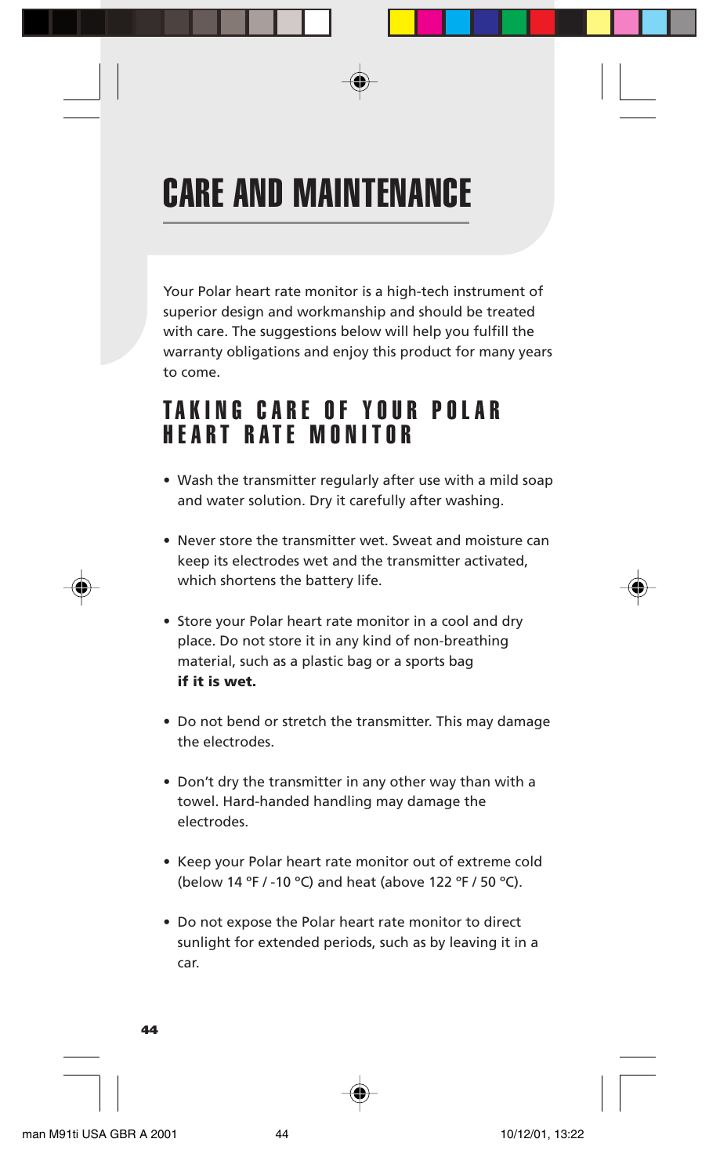# CARE AND MAINTENANCE

Your Polar heart rate monitor is a high-tech instrument of superior design and workmanship and should be treated with care. The suggestions below will help you fulfill the warranty obligations and enjoy this product for many years to come.

## TAKING CARE OF YOUR POLAR HEART RATE MONITOR

- Wash the transmitter regularly after use with a mild soap and water solution. Dry it carefully after washing.
- Never store the transmitter wet. Sweat and moisture can keep its electrodes wet and the transmitter activated, which shortens the battery life.
- Store your Polar heart rate monitor in a cool and dry place. Do not store it in any kind of non-breathing material, such as a plastic bag or a sports bag **if it is wet.**
- Do not bend or stretch the transmitter. This may damage the electrodes.
- Don't dry the transmitter in any other way than with a towel. Hard-handed handling may damage the electrodes.
- Keep your Polar heart rate monitor out of extreme cold (below 14 ºF / -10 ºC) and heat (above 122 ºF / 50 ºC).
- Do not expose the Polar heart rate monitor to direct sunlight for extended periods, such as by leaving it in a car.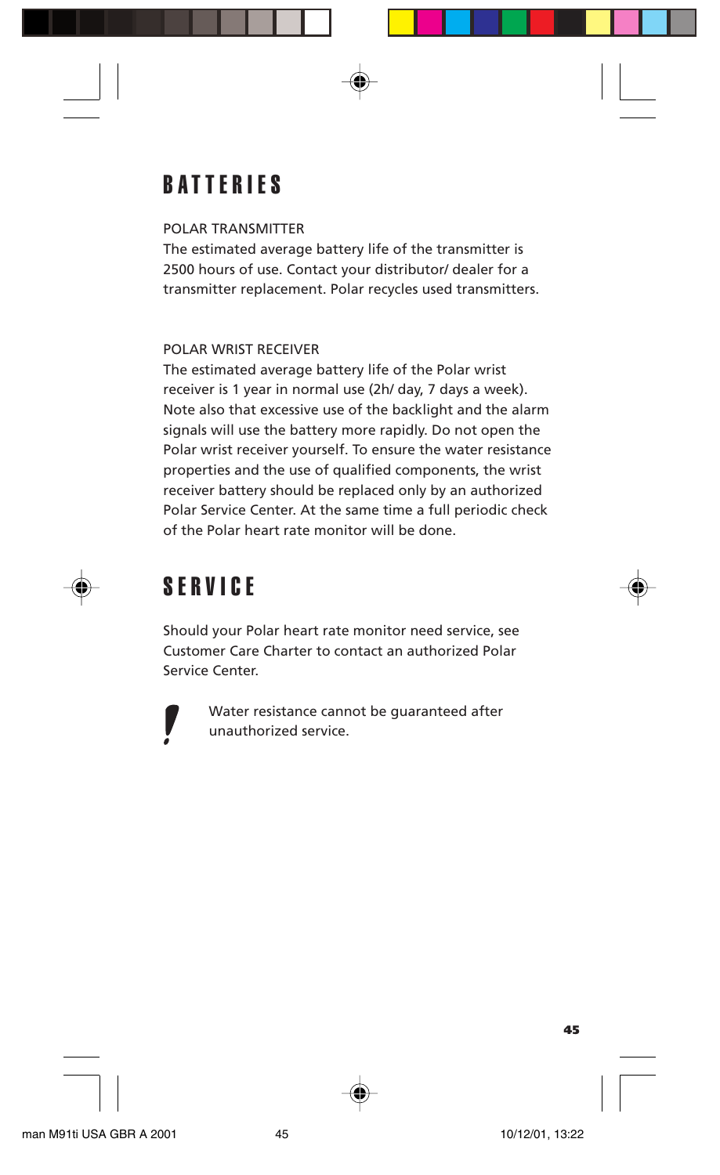## **BATTERIES**

## POLAR TRANSMITTER

The estimated average battery life of the transmitter is 2500 hours of use. Contact your distributor/ dealer for a transmitter replacement. Polar recycles used transmitters.

## POLAR WRIST RECEIVER

The estimated average battery life of the Polar wrist receiver is 1 year in normal use (2h/ day, 7 days a week). Note also that excessive use of the backlight and the alarm signals will use the battery more rapidly. Do not open the Polar wrist receiver yourself. To ensure the water resistance properties and the use of qualified components, the wrist receiver battery should be replaced only by an authorized Polar Service Center. At the same time a full periodic check of the Polar heart rate monitor will be done.

## **SFRVICE**

Should your Polar heart rate monitor need service, see Customer Care Charter to contact an authorized Polar Service Center.



Water resistance cannot be guaranteed after unauthorized service.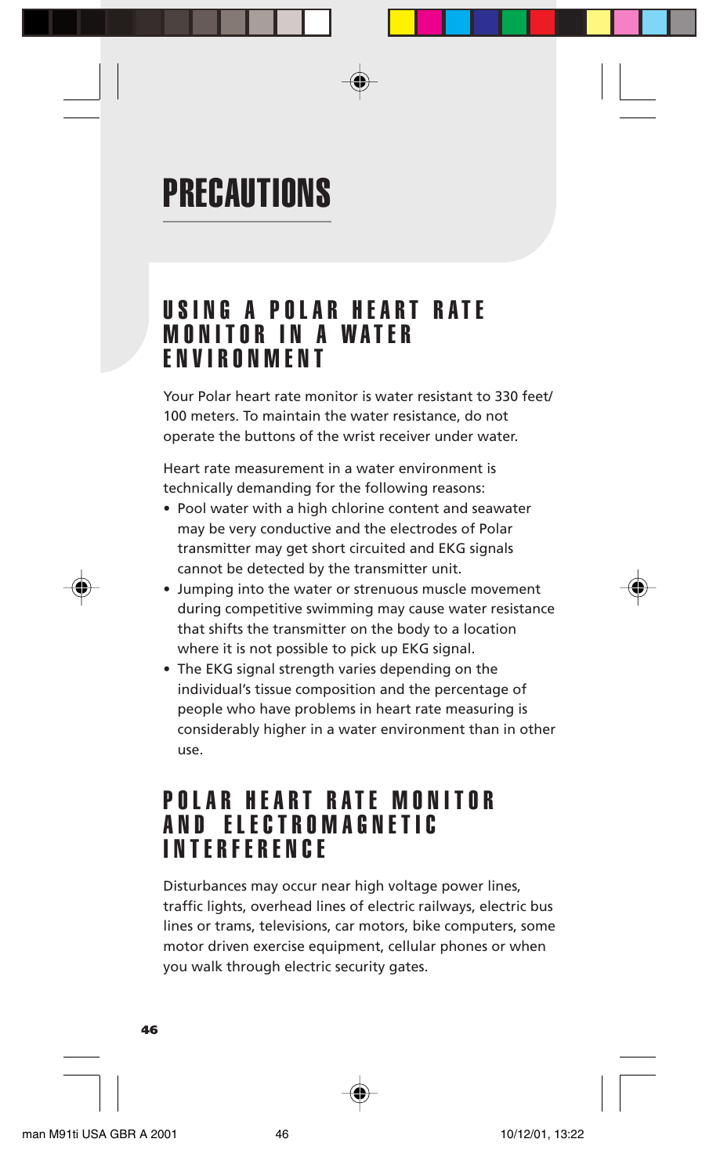# PRECAUTIONS

## USING A POLAR HEART RATE MONITOR IN A WATER ENVIRONMENT

Your Polar heart rate monitor is water resistant to 330 feet/ 100 meters. To maintain the water resistance, do not operate the buttons of the wrist receiver under water.

Heart rate measurement in a water environment is technically demanding for the following reasons:

- Pool water with a high chlorine content and seawater may be very conductive and the electrodes of Polar transmitter may get short circuited and EKG signals cannot be detected by the transmitter unit.
- Jumping into the water or strenuous muscle movement during competitive swimming may cause water resistance that shifts the transmitter on the body to a location where it is not possible to pick up EKG signal.
- The EKG signal strength varies depending on the individual's tissue composition and the percentage of people who have problems in heart rate measuring is considerably higher in a water environment than in other use.

## POLAR HEART RATE MONITOR AND ELECTROMAGNETIC INTERFERENCE

Disturbances may occur near high voltage power lines, traffic lights, overhead lines of electric railways, electric bus lines or trams, televisions, car motors, bike computers, some motor driven exercise equipment, cellular phones or when you walk through electric security gates.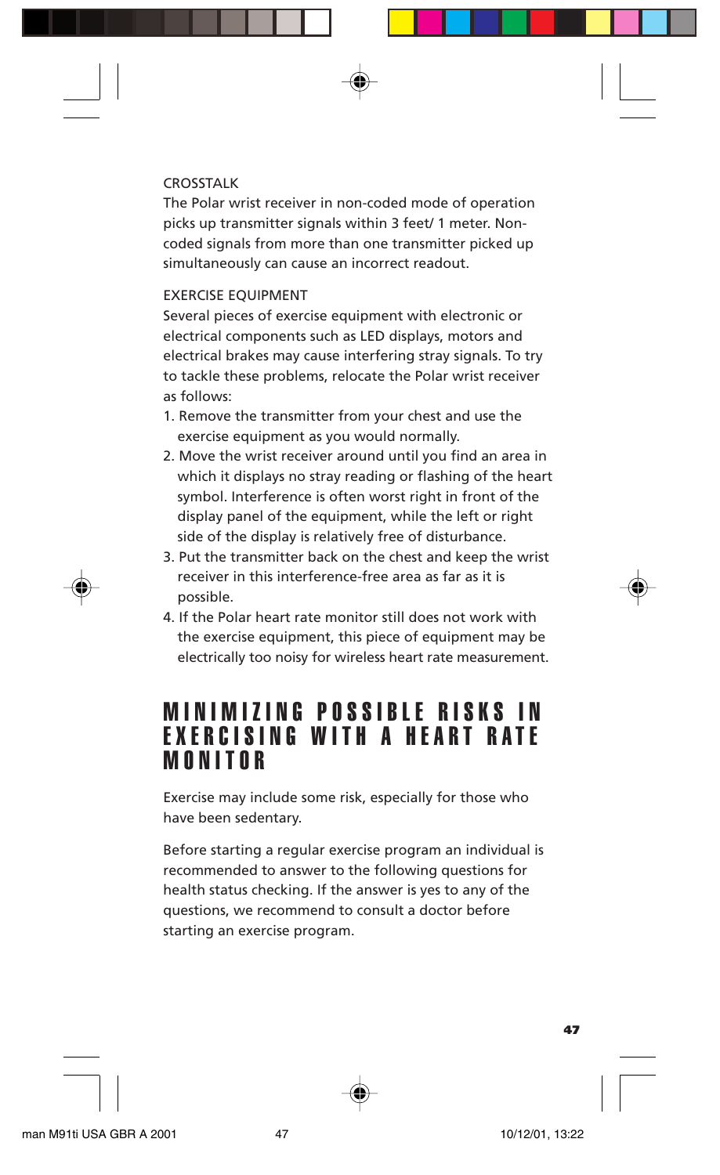## CROSSTALK

The Polar wrist receiver in non-coded mode of operation picks up transmitter signals within 3 feet/ 1 meter. Noncoded signals from more than one transmitter picked up simultaneously can cause an incorrect readout.

### EXERCISE EQUIPMENT

Several pieces of exercise equipment with electronic or electrical components such as LED displays, motors and electrical brakes may cause interfering stray signals. To try to tackle these problems, relocate the Polar wrist receiver as follows:

- 1. Remove the transmitter from your chest and use the exercise equipment as you would normally.
- 2. Move the wrist receiver around until you find an area in which it displays no stray reading or flashing of the heart symbol. Interference is often worst right in front of the display panel of the equipment, while the left or right side of the display is relatively free of disturbance.
- 3. Put the transmitter back on the chest and keep the wrist receiver in this interference-free area as far as it is possible.
- 4. If the Polar heart rate monitor still does not work with the exercise equipment, this piece of equipment may be electrically too noisy for wireless heart rate measurement.

## MINIMIZING POSSIBLE RISKS IN EXERCISING WITH A HEART RATE MONITOR

Exercise may include some risk, especially for those who have been sedentary.

Before starting a regular exercise program an individual is recommended to answer to the following questions for health status checking. If the answer is yes to any of the questions, we recommend to consult a doctor before starting an exercise program.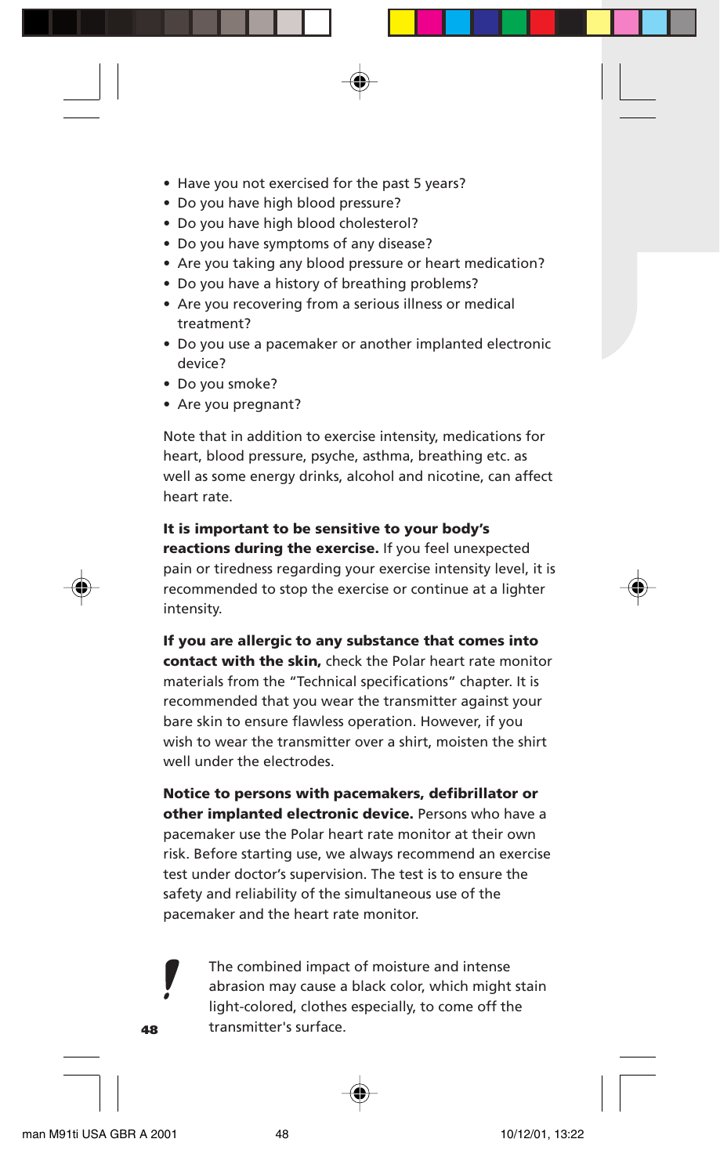- Have you not exercised for the past 5 years?
- Do you have high blood pressure?
- Do you have high blood cholesterol?
- Do you have symptoms of any disease?
- Are you taking any blood pressure or heart medication?
- Do you have a history of breathing problems?
- Are you recovering from a serious illness or medical treatment?
- Do you use a pacemaker or another implanted electronic device?
- Do you smoke?
- Are you pregnant?

Note that in addition to exercise intensity, medications for heart, blood pressure, psyche, asthma, breathing etc. as well as some energy drinks, alcohol and nicotine, can affect heart rate.

**It is important to be sensitive to your body's reactions during the exercise.** If you feel unexpected pain or tiredness regarding your exercise intensity level, it is recommended to stop the exercise or continue at a lighter intensity.

**If you are allergic to any substance that comes into contact with the skin,** check the Polar heart rate monitor materials from the "Technical specifications" chapter. It is recommended that you wear the transmitter against your bare skin to ensure flawless operation. However, if you wish to wear the transmitter over a shirt, moisten the shirt well under the electrodes.

**Notice to persons with pacemakers, defibrillator or other implanted electronic device.** Persons who have a pacemaker use the Polar heart rate monitor at their own risk. Before starting use, we always recommend an exercise test under doctor's supervision. The test is to ensure the safety and reliability of the simultaneous use of the pacemaker and the heart rate monitor.

> The combined impact of moisture and intense abrasion may cause a black color, which might stain light-colored, clothes especially, to come off the transmitter's surface.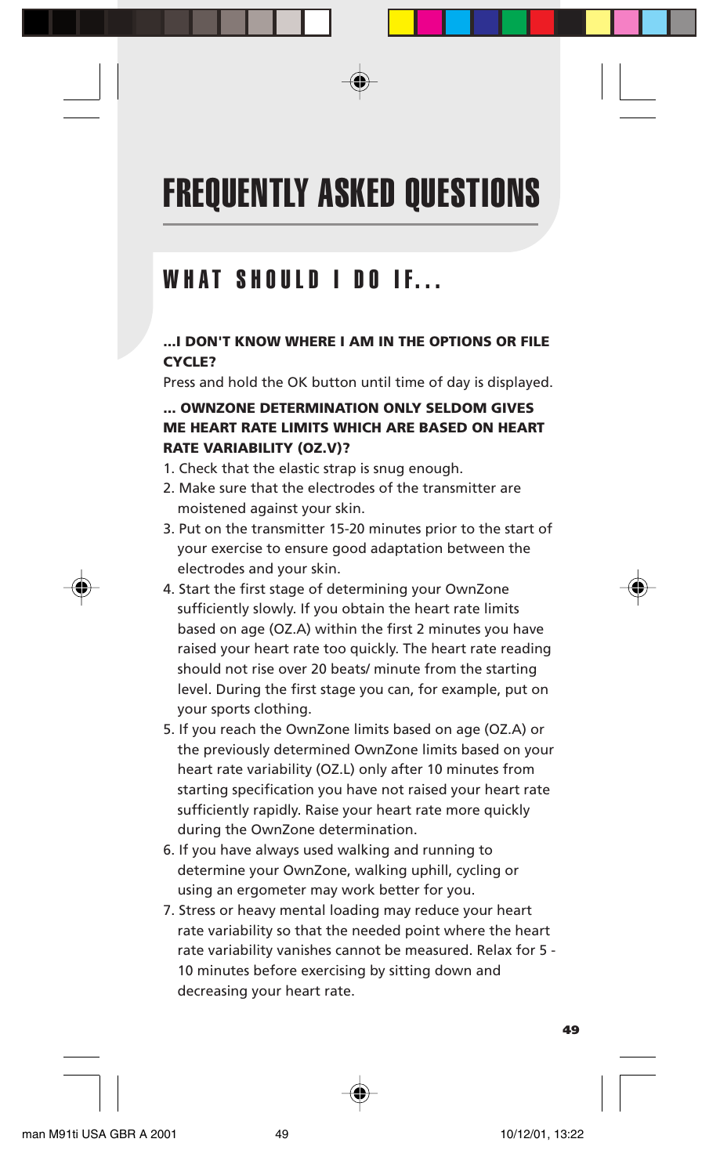# FREQUENTLY ASKED QUESTIONS

## WHAT SHOULD I DO IF...

## **...I DON'T KNOW WHERE I AM IN THE OPTIONS OR FILE CYCLE?**

Press and hold the OK button until time of day is displayed.

## **... OWNZONE DETERMINATION ONLY SELDOM GIVES ME HEART RATE LIMITS WHICH ARE BASED ON HEART RATE VARIABILITY (OZ.V)?**

- 1. Check that the elastic strap is snug enough.
- 2. Make sure that the electrodes of the transmitter are moistened against your skin.
- 3. Put on the transmitter 15-20 minutes prior to the start of your exercise to ensure good adaptation between the electrodes and your skin.
- 4. Start the first stage of determining your OwnZone sufficiently slowly. If you obtain the heart rate limits based on age (OZ.A) within the first 2 minutes you have raised your heart rate too quickly. The heart rate reading should not rise over 20 beats/ minute from the starting level. During the first stage you can, for example, put on your sports clothing.
- 5. If you reach the OwnZone limits based on age (OZ.A) or the previously determined OwnZone limits based on your heart rate variability (OZ.L) only after 10 minutes from starting specification you have not raised your heart rate sufficiently rapidly. Raise your heart rate more quickly during the OwnZone determination.
- 6. If you have always used walking and running to determine your OwnZone, walking uphill, cycling or using an ergometer may work better for you.
- 7. Stress or heavy mental loading may reduce your heart rate variability so that the needed point where the heart rate variability vanishes cannot be measured. Relax for 5 - 10 minutes before exercising by sitting down and decreasing your heart rate.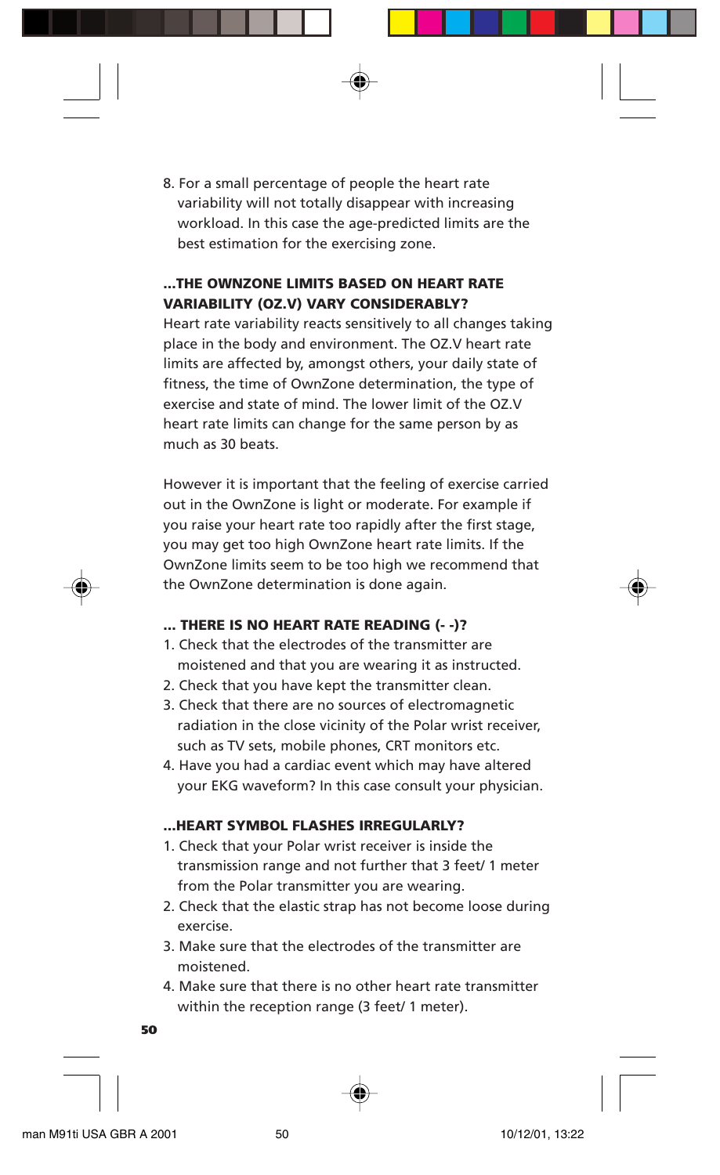8. For a small percentage of people the heart rate variability will not totally disappear with increasing workload. In this case the age-predicted limits are the best estimation for the exercising zone.

## **...THE OWNZONE LIMITS BASED ON HEART RATE VARIABILITY (OZ.V) VARY CONSIDERABLY?**

Heart rate variability reacts sensitively to all changes taking place in the body and environment. The OZ.V heart rate limits are affected by, amongst others, your daily state of fitness, the time of OwnZone determination, the type of exercise and state of mind. The lower limit of the OZ.V heart rate limits can change for the same person by as much as 30 beats.

However it is important that the feeling of exercise carried out in the OwnZone is light or moderate. For example if you raise your heart rate too rapidly after the first stage, you may get too high OwnZone heart rate limits. If the OwnZone limits seem to be too high we recommend that the OwnZone determination is done again.

#### **... THERE IS NO HEART RATE READING (- -)?**

- 1. Check that the electrodes of the transmitter are moistened and that you are wearing it as instructed.
- 2. Check that you have kept the transmitter clean.
- 3. Check that there are no sources of electromagnetic radiation in the close vicinity of the Polar wrist receiver, such as TV sets, mobile phones, CRT monitors etc.
- 4. Have you had a cardiac event which may have altered your EKG waveform? In this case consult your physician.

## **... HEART SYMROL FLASHES IRREGULARLY?**

- 1. Check that your Polar wrist receiver is inside the transmission range and not further that 3 feet/ 1 meter from the Polar transmitter you are wearing.
- 2. Check that the elastic strap has not become loose during exercise.
- 3. Make sure that the electrodes of the transmitter are moistened.
- 4. Make sure that there is no other heart rate transmitter within the reception range (3 feet/ 1 meter).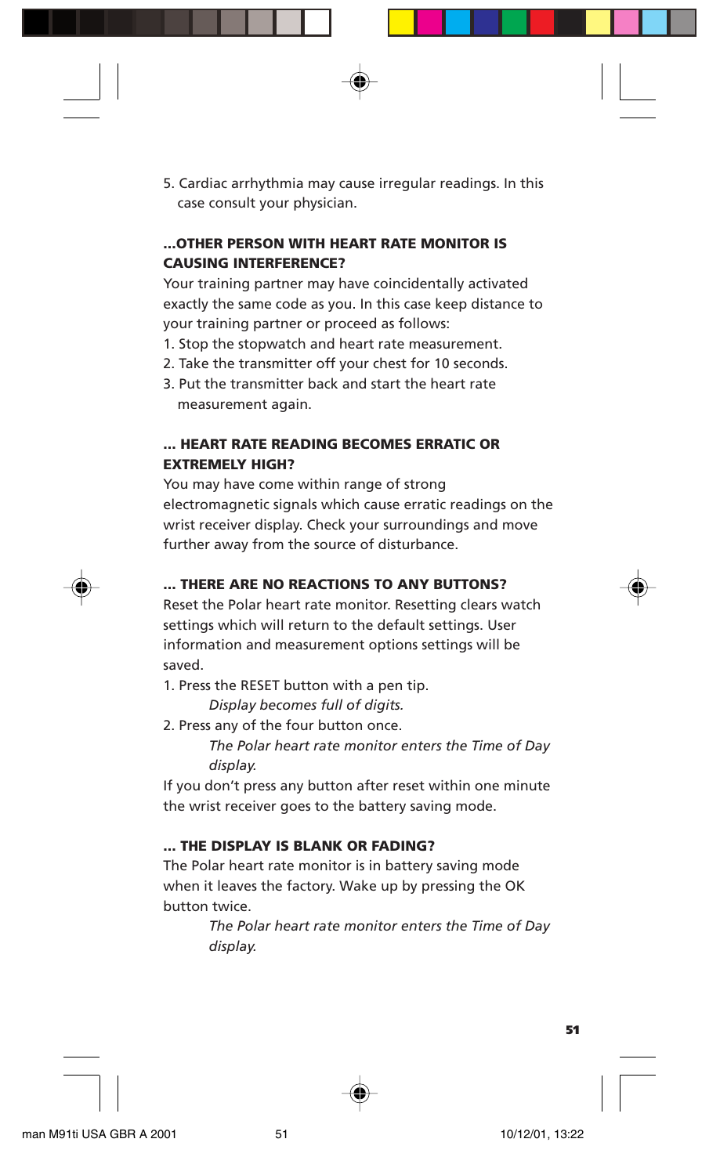5. Cardiac arrhythmia may cause irregular readings. In this case consult your physician.

## **...OTHER PERSON WITH HEART RATE MONITOR IS CAUSING INTERFERENCE?**

Your training partner may have coincidentally activated exactly the same code as you. In this case keep distance to your training partner or proceed as follows:

- 1. Stop the stopwatch and heart rate measurement.
- 2. Take the transmitter off your chest for 10 seconds.
- 3. Put the transmitter back and start the heart rate measurement again.

## **... HEART RATE READING BECOMES ERRATIC OR EXTREMELY HIGH?**

You may have come within range of strong electromagnetic signals which cause erratic readings on the wrist receiver display. Check your surroundings and move further away from the source of disturbance.

### **... THERE ARE NO REACTIONS TO ANY BUTTONS?**

Reset the Polar heart rate monitor. Resetting clears watch settings which will return to the default settings. User information and measurement options settings will be saved.

1. Press the RESET button with a pen tip.

*Display becomes full of digits.*

2. Press any of the four button once.

*The Polar heart rate monitor enters the Time of Day display.*

If you don't press any button after reset within one minute the wrist receiver goes to the battery saving mode.

#### **... THE DISPLAY IS BLANK OR FADING?**

The Polar heart rate monitor is in battery saving mode when it leaves the factory. Wake up by pressing the OK button twice.

> *The Polar heart rate monitor enters the Time of Day display.*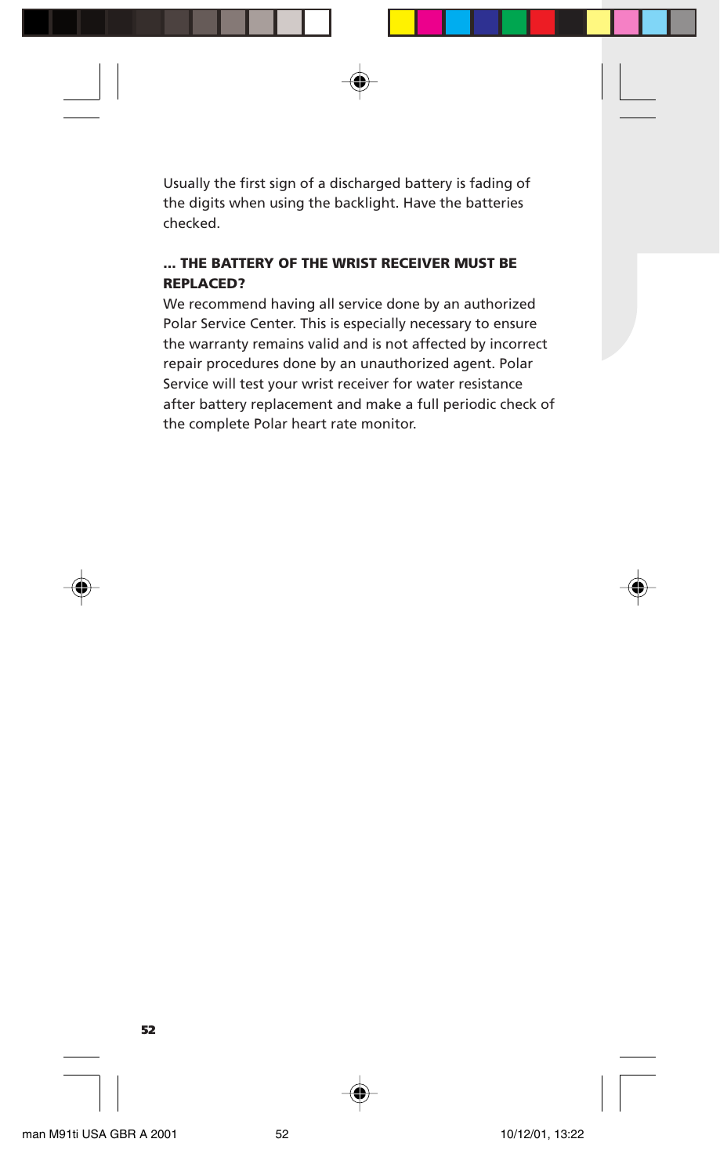Usually the first sign of a discharged battery is fading of the digits when using the backlight. Have the batteries checked.

## **... THE BATTERY OF THE WRIST RECEIVER MUST BE REPLACED?**

We recommend having all service done by an authorized Polar Service Center. This is especially necessary to ensure the warranty remains valid and is not affected by incorrect repair procedures done by an unauthorized agent. Polar Service will test your wrist receiver for water resistance after battery replacement and make a full periodic check of the complete Polar heart rate monitor.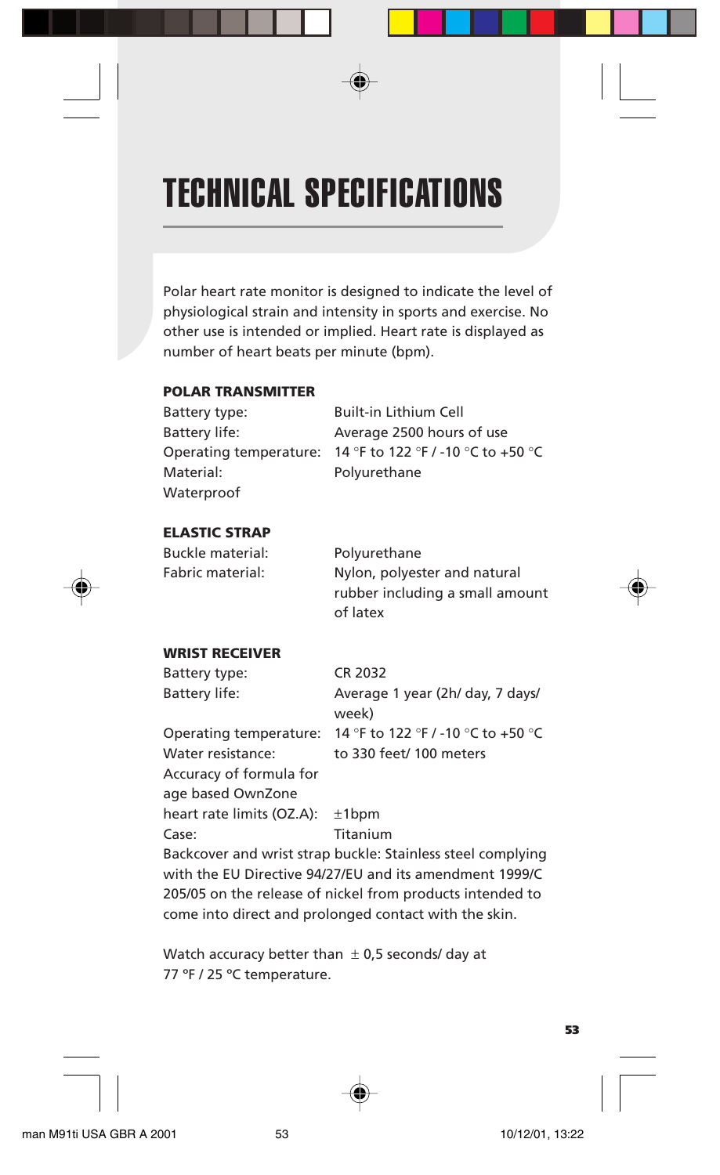# TECHNICAL SPECIFICATIONS

Polar heart rate monitor is designed to indicate the level of physiological strain and intensity in sports and exercise. No other use is intended or implied. Heart rate is displayed as number of heart beats per minute (bpm).

#### **POLAR TRANSMITTER**

| Battery type:          | <b>Built-in Lithium Cell</b>                                    |
|------------------------|-----------------------------------------------------------------|
| Battery life:          | Average 2500 hours of use                                       |
| Operating temperature: | 14 °F to 122 °F / -10 °C to +50 °C                              |
| Material:              | Polyurethane                                                    |
| Waterproof             |                                                                 |
| <b>ELASTIC STRAP</b>   |                                                                 |
| Buckle material:       | Polyurethane                                                    |
| Fabric material:       | Nylon, polyester and natural<br>rubber including a small amount |
|                        | of latex                                                        |
| <b>WRIST RECEIVER</b>  |                                                                 |
| Battery type:          | CR 2032                                                         |
| Battery life:          | Average 1 year (2h/ day, 7 days/<br>week)                       |
| Operating temperature: | 14 °F to 122 °F / -10 °C to +50 °C                              |
| Water resistance:      | to 330 feet/ 100 meters                                         |

Accuracy of formula for age based OwnZone heart rate limits (OZ.A): +1bpm Case: Titanium

Backcover and wrist strap buckle: Stainless steel complying with the EU Directive 94/27/EU and its amendment 1999/C 205/05 on the release of nickel from products intended to come into direct and prolonged contact with the skin.

Watch accuracy better than  $\pm$  0,5 seconds/ day at 77 ºF / 25 ºC temperature.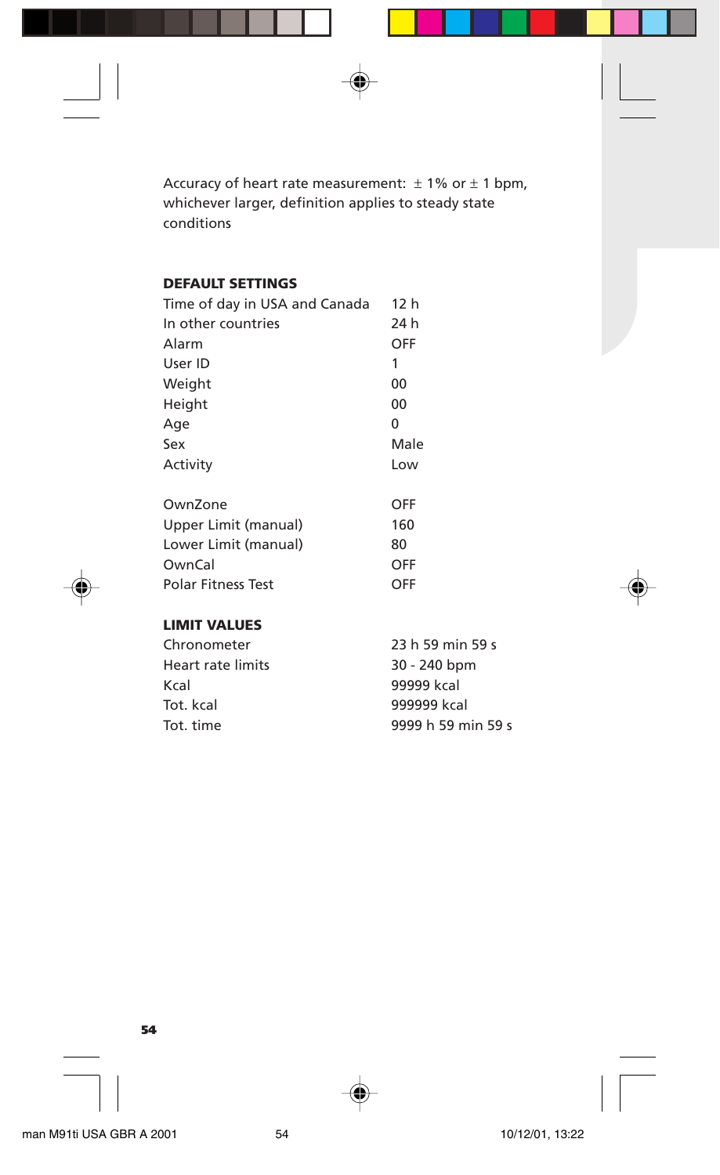Accuracy of heart rate measurement:  $\pm$  1% or  $\pm$  1 bpm, whichever larger, definition applies to steady state conditions

## **DEFAULT SETTINGS**

| Time of day in USA and Canada | 12 h |
|-------------------------------|------|
| In other countries            | 24 h |
| Alarm                         | OFF  |
| User ID                       | 1    |
| Weight                        | 00   |
| Height                        | 00   |
| Age                           | 0    |
| Sex                           | Male |
| Activity                      | Low  |
| OwnZone                       | OFF  |
| Upper Limit (manual)          | 160  |
| Lower Limit (manual)          | 80   |
| OwnCal                        | OFF  |
| Polar Fitness Test            | OFF  |
|                               |      |

## **LIMIT VALUES**

| Chronometer       | 23 h 59 min 59 s   |
|-------------------|--------------------|
| Heart rate limits | 30 - 240 bpm       |
| Kcal              | 99999 kcal         |
| Tot. kcal         | 999999 kcal        |
| Tot. time         | 9999 h 59 min 59 s |
|                   |                    |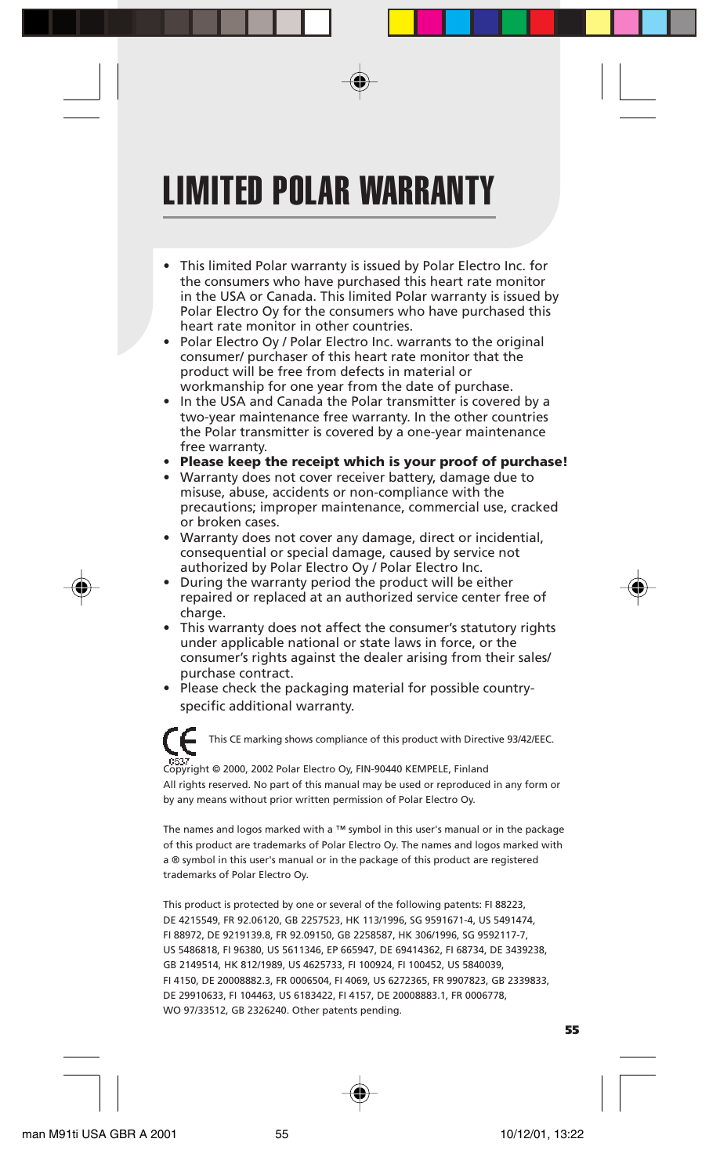# LIMITED POLAR WARRANTY

- This limited Polar warranty is issued by Polar Electro Inc. for the consumers who have purchased this heart rate monitor in the USA or Canada. This limited Polar warranty is issued by Polar Electro Oy for the consumers who have purchased this heart rate monitor in other countries.
- Polar Electro Oy / Polar Electro Inc. warrants to the original consumer/ purchaser of this heart rate monitor that the product will be free from defects in material or workmanship for one year from the date of purchase.
- In the USA and Canada the Polar transmitter is covered by a two-year maintenance free warranty. In the other countries the Polar transmitter is covered by a one-year maintenance free warranty.
- **Please keep the receipt which is your proof of purchase!**
- Warranty does not cover receiver battery, damage due to misuse, abuse, accidents or non-compliance with the precautions; improper maintenance, commercial use, cracked or broken cases.
- Warranty does not cover any damage, direct or incidential, consequential or special damage, caused by service not authorized by Polar Electro Oy / Polar Electro Inc.
- During the warranty period the product will be either repaired or replaced at an authorized service center free of charge.
- This warranty does not affect the consumer's statutory rights under applicable national or state laws in force, or the consumer's rights against the dealer arising from their sales/ purchase contract.
- Please check the packaging material for possible countryspecific additional warranty.

This CE marking shows compliance of this product with Directive 93/42/EEC. Copyright © 2000, 2002 Polar Electro Oy, FIN-90440 KEMPELE, Finland All rights reserved. No part of this manual may be used or reproduced in any form or by any means without prior written permission of Polar Electro Oy.

The names and logos marked with a ™ symbol in this user's manual or in the package of this product are trademarks of Polar Electro Oy. The names and logos marked with a ® symbol in this user's manual or in the package of this product are registered trademarks of Polar Electro Oy.

This product is protected by one or several of the following patents: FI 88223, DE 4215549, FR 92.06120, GB 2257523, HK 113/1996, SG 9591671-4, US 5491474, FI 88972, DE 9219139.8, FR 92.09150, GB 2258587, HK 306/1996, SG 9592117-7, US 5486818, FI 96380, US 5611346, EP 665947, DE 69414362, FI 68734, DE 3439238, GB 2149514, HK 812/1989, US 4625733, FI 100924, FI 100452, US 5840039, FI 4150, DE 20008882.3, FR 0006504, FI 4069, US 6272365, FR 9907823, GB 2339833, DE 29910633, FI 104463, US 6183422, FI 4157, DE 20008883.1, FR 0006778, WO 97/33512, GB 2326240. Other patents pending.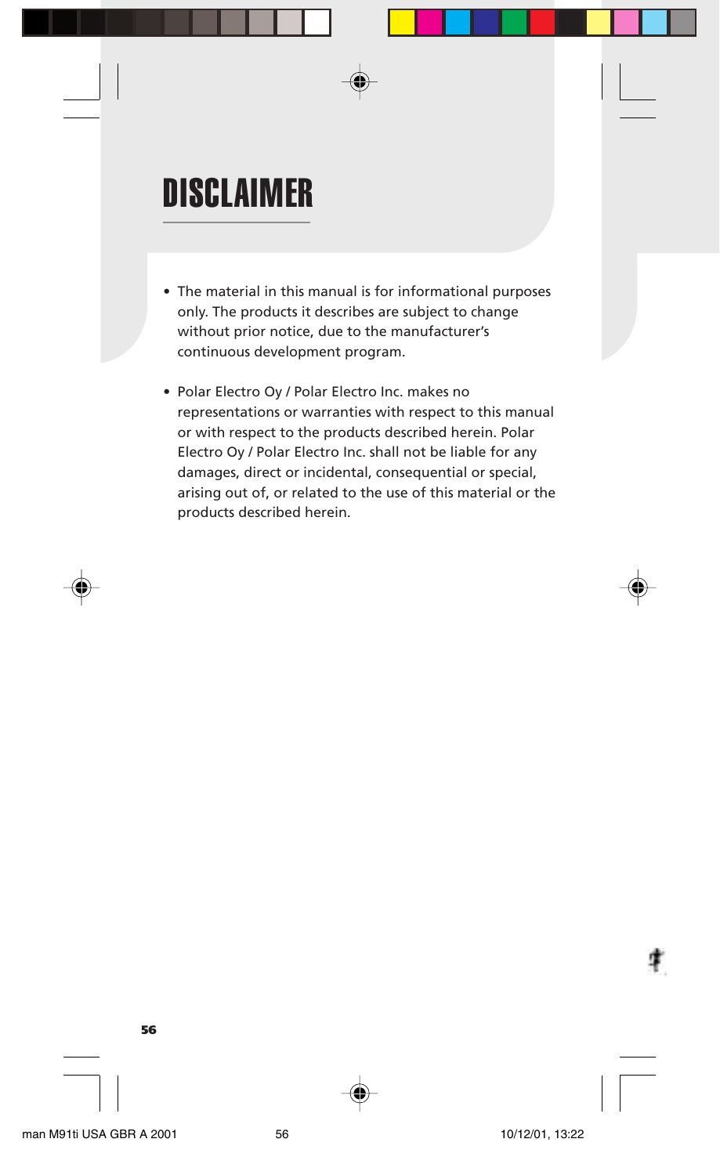# DISCLAIMER

- The material in this manual is for informational purposes only. The products it describes are subject to change without prior notice, due to the manufacturer's continuous development program.
- Polar Electro Oy / Polar Electro Inc. makes no representations or warranties with respect to this manual or with respect to the products described herein. Polar Electro Oy / Polar Electro Inc. shall not be liable for any damages, direct or incidental, consequential or special, arising out of, or related to the use of this material or the products described herein.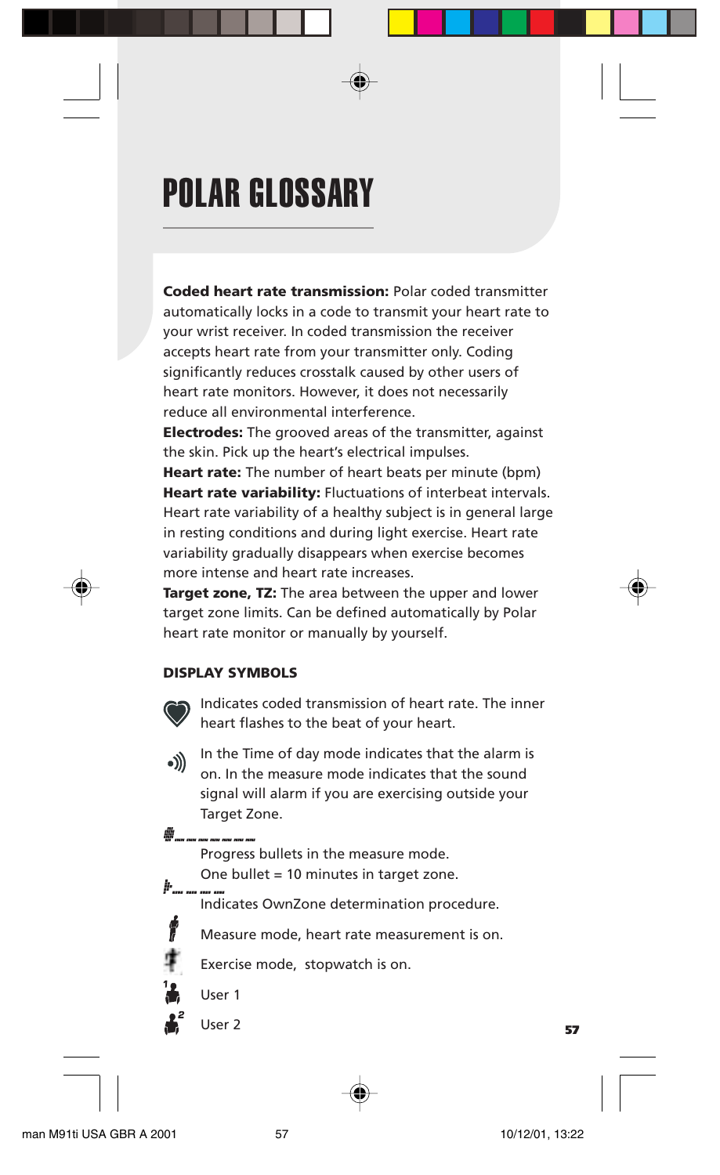# POLAR GLOSSARY

**Coded heart rate transmission:** Polar coded transmitter automatically locks in a code to transmit your heart rate to your wrist receiver. In coded transmission the receiver accepts heart rate from your transmitter only. Coding significantly reduces crosstalk caused by other users of heart rate monitors. However, it does not necessarily reduce all environmental interference.

**Electrodes:** The grooved areas of the transmitter, against the skin. Pick up the heart's electrical impulses.

**Heart rate:** The number of heart beats per minute (bpm) **Heart rate variability:** Fluctuations of interbeat intervals. Heart rate variability of a healthy subject is in general large in resting conditions and during light exercise. Heart rate variability gradually disappears when exercise becomes more intense and heart rate increases.

**Target zone, TZ:** The area between the upper and lower target zone limits. Can be defined automatically by Polar heart rate monitor or manually by yourself.

## **DISPLAY SYMBOLS**

Indicates coded transmission of heart rate. The inner heart flashes to the beat of your heart.

In the Time of day mode indicates that the alarm is ((ه on. In the measure mode indicates that the sound signal will alarm if you are exercising outside your Target Zone.

∰……………………………

Progress bullets in the measure mode. One bullet = 10 minutes in target zone.

Indicates OwnZone determination procedure.

Measure mode, heart rate measurement is on.

Exercise mode, stopwatch is on.



User 1

User 2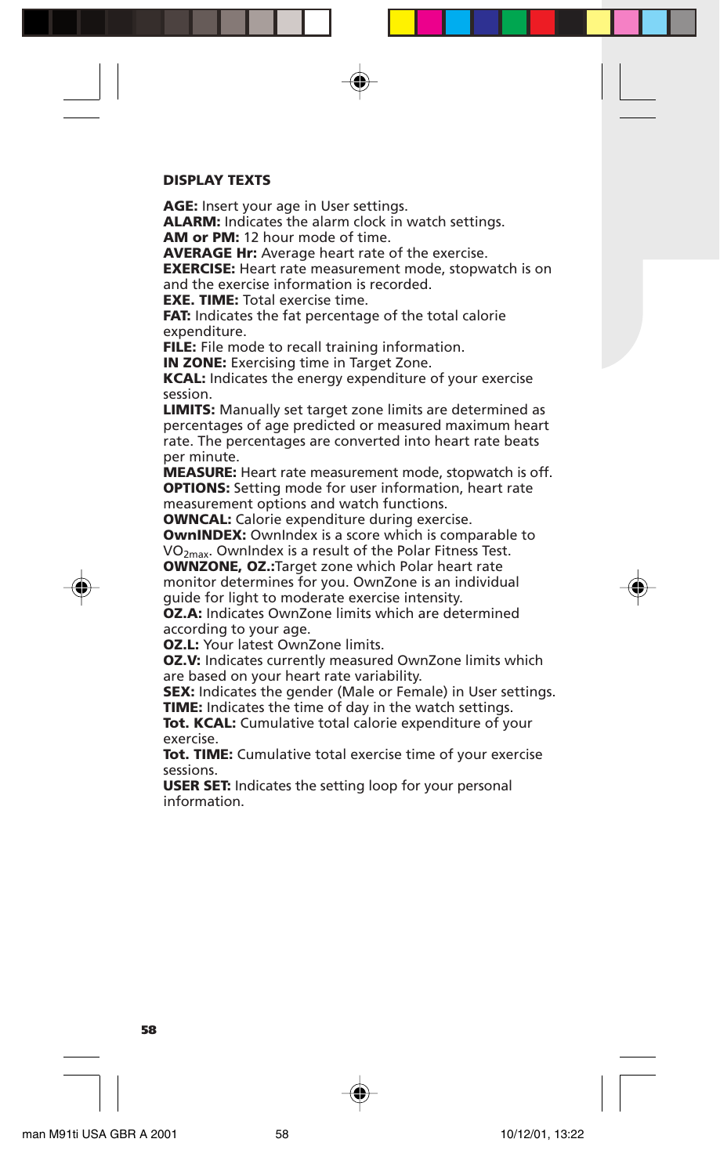#### **DISPLAY TEXTS**

**AGE:** Insert your age in User settings.

**ALARM:** Indicates the alarm clock in watch settings.

**AM or PM:** 12 hour mode of time.

**AVERAGE Hr:** Average heart rate of the exercise.

**EXERCISE:** Heart rate measurement mode, stopwatch is on and the exercise information is recorded.

**EXE. TIME:** Total exercise time.

**FAT:** Indicates the fat percentage of the total calorie expenditure.

**FILE:** File mode to recall training information.

**IN ZONE:** Exercising time in Target Zone.

**KCAL:** Indicates the energy expenditure of your exercise session.

**LIMITS:** Manually set target zone limits are determined as percentages of age predicted or measured maximum heart rate. The percentages are converted into heart rate beats per minute.

**MEASURE:** Heart rate measurement mode, stopwatch is off. **OPTIONS:** Setting mode for user information, heart rate measurement options and watch functions.

**OWNCAL:** Calorie expenditure during exercise.

**OwnINDEX:** OwnIndex is a score which is comparable to VO<sub>2may</sub>. OwnIndex is a result of the Polar Fitness Test.

**OWNZONE, OZ.:**Target zone which Polar heart rate monitor determines for you. OwnZone is an individual guide for light to moderate exercise intensity.

**OZ.A:** Indicates OwnZone limits which are determined according to your age.

**OZ.L:** Your latest OwnZone limits.

**OZ.V:** Indicates currently measured OwnZone limits which are based on your heart rate variability.

**SEX:** Indicates the gender (Male or Female) in User settings. **TIME:** Indicates the time of day in the watch settings.

**Tot. KCAL:** Cumulative total calorie expenditure of your exercise.

**Tot. TIME:** Cumulative total exercise time of your exercise sessions.

**USER SET:** Indicates the setting loop for your personal information.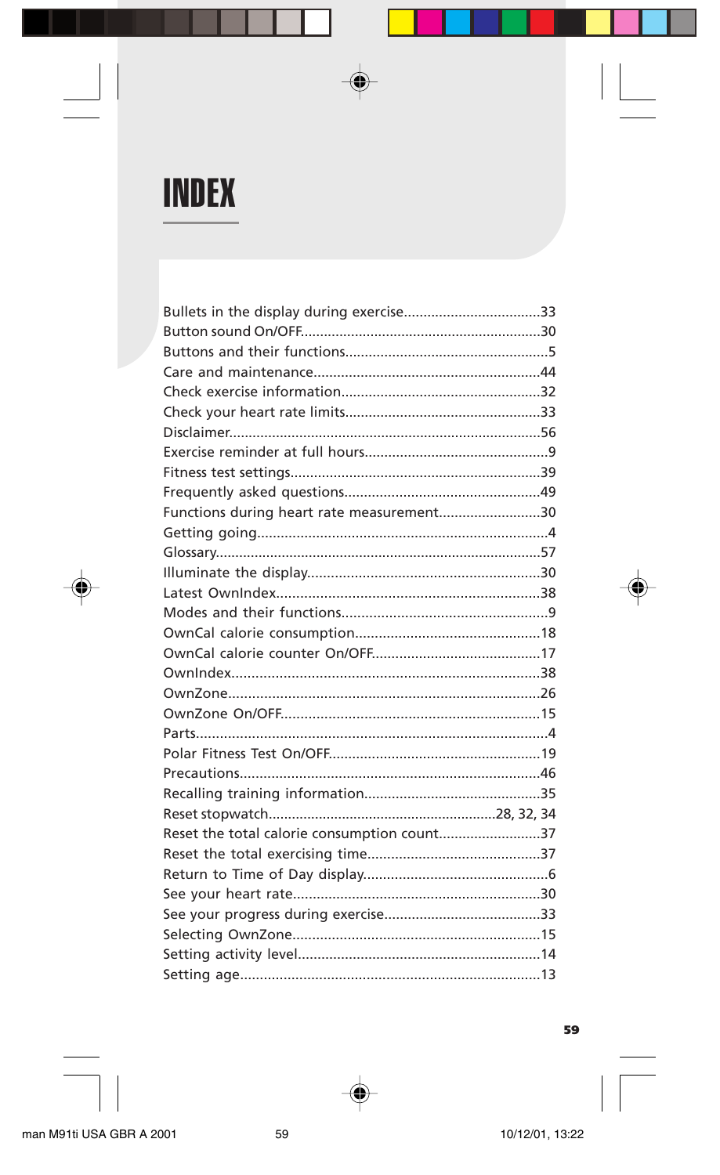# **INDEX**

| Functions during heart rate measurement30   |  |
|---------------------------------------------|--|
|                                             |  |
|                                             |  |
|                                             |  |
|                                             |  |
|                                             |  |
|                                             |  |
|                                             |  |
|                                             |  |
|                                             |  |
|                                             |  |
|                                             |  |
|                                             |  |
|                                             |  |
|                                             |  |
|                                             |  |
| Reset the total calorie consumption count37 |  |
|                                             |  |
|                                             |  |
|                                             |  |
|                                             |  |
|                                             |  |
|                                             |  |
|                                             |  |